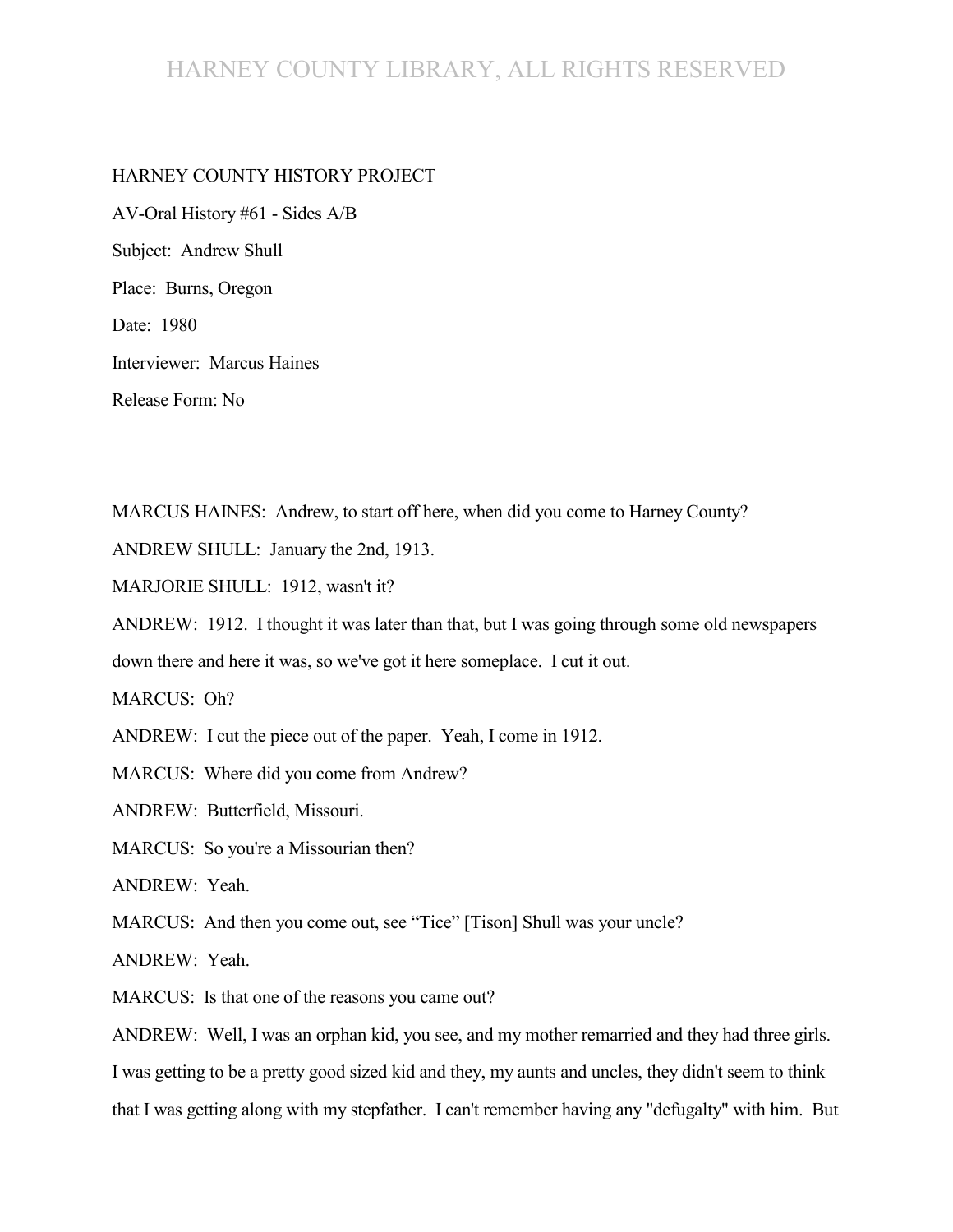# HARNEY COUNTY LIBRARY, ALL RIGHTS RESERVED

### HARNEY COUNTY HISTORY PROJECT

AV-Oral History #61 - Sides A/B Subject: Andrew Shull Place: Burns, Oregon Date: 1980 Interviewer: Marcus Haines Release Form: No

MARCUS HAINES: Andrew, to start off here, when did you come to Harney County?

ANDREW SHULL: January the 2nd, 1913.

MARJORIE SHULL: 1912, wasn't it?

ANDREW: 1912. I thought it was later than that, but I was going through some old newspapers down there and here it was, so we've got it here someplace. I cut it out.

MARCUS: Oh?

ANDREW: I cut the piece out of the paper. Yeah, I come in 1912.

MARCUS: Where did you come from Andrew?

ANDREW: Butterfield, Missouri.

MARCUS: So you're a Missourian then?

ANDREW: Yeah.

MARCUS: And then you come out, see "Tice" [Tison] Shull was your uncle?

ANDREW: Yeah.

MARCUS: Is that one of the reasons you came out?

ANDREW: Well, I was an orphan kid, you see, and my mother remarried and they had three girls. I was getting to be a pretty good sized kid and they, my aunts and uncles, they didn't seem to think that I was getting along with my stepfather. I can't remember having any "defugalty" with him. But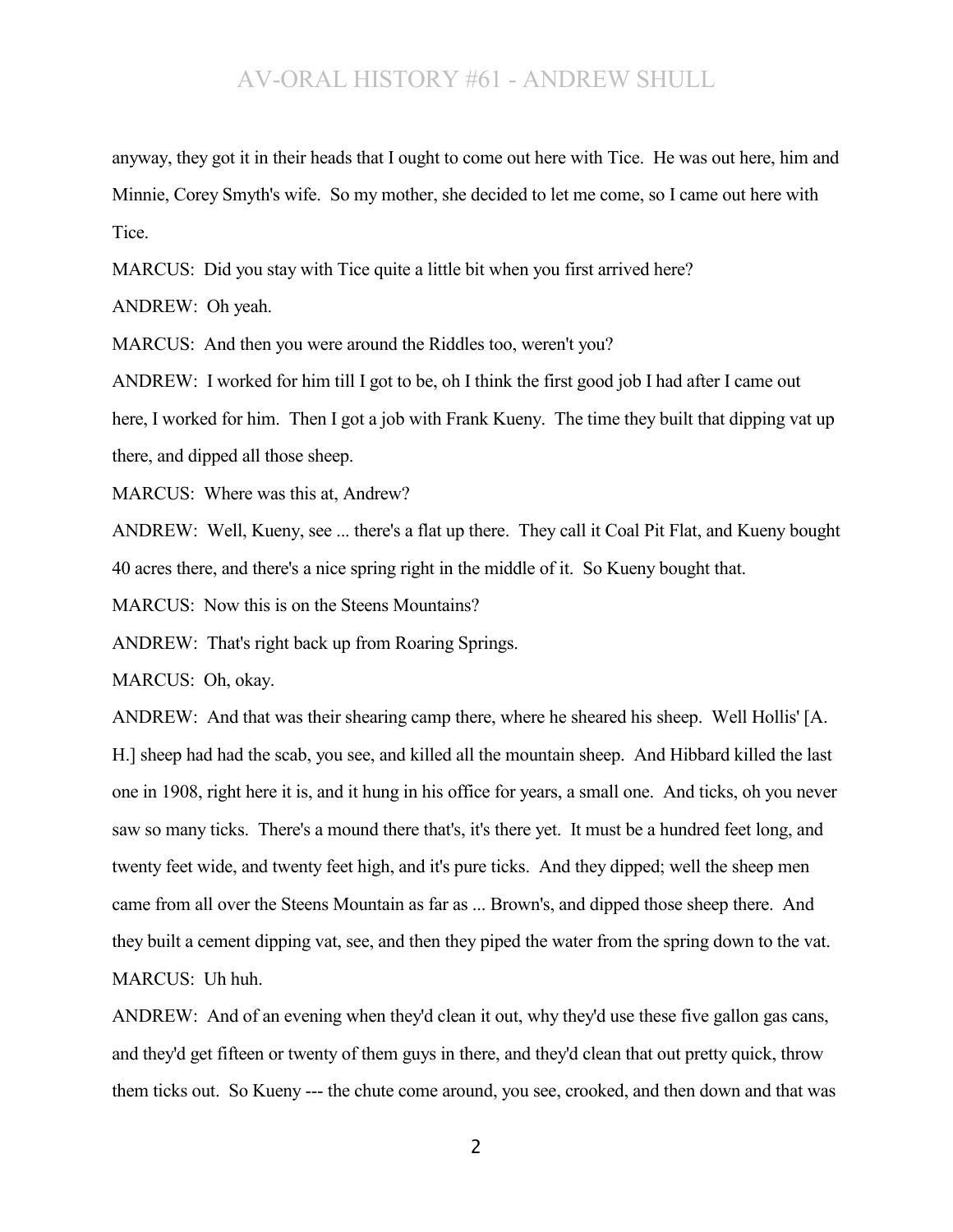anyway, they got it in their heads that I ought to come out here with Tice. He was out here, him and Minnie, Corey Smyth's wife. So my mother, she decided to let me come, so I came out here with Tice.

MARCUS: Did you stay with Tice quite a little bit when you first arrived here?

ANDREW: Oh yeah.

MARCUS: And then you were around the Riddles too, weren't you?

ANDREW: I worked for him till I got to be, oh I think the first good job I had after I came out here, I worked for him. Then I got a job with Frank Kueny. The time they built that dipping vat up there, and dipped all those sheep.

MARCUS: Where was this at, Andrew?

ANDREW: Well, Kueny, see ... there's a flat up there. They call it Coal Pit Flat, and Kueny bought 40 acres there, and there's a nice spring right in the middle of it. So Kueny bought that.

MARCUS: Now this is on the Steens Mountains?

ANDREW: That's right back up from Roaring Springs.

MARCUS: Oh, okay.

ANDREW: And that was their shearing camp there, where he sheared his sheep. Well Hollis' [A. H.] sheep had had the scab, you see, and killed all the mountain sheep. And Hibbard killed the last one in 1908, right here it is, and it hung in his office for years, a small one. And ticks, oh you never saw so many ticks. There's a mound there that's, it's there yet. It must be a hundred feet long, and twenty feet wide, and twenty feet high, and it's pure ticks. And they dipped; well the sheep men came from all over the Steens Mountain as far as ... Brown's, and dipped those sheep there. And they built a cement dipping vat, see, and then they piped the water from the spring down to the vat. MARCUS: Uh huh.

ANDREW: And of an evening when they'd clean it out, why they'd use these five gallon gas cans, and they'd get fifteen or twenty of them guys in there, and they'd clean that out pretty quick, throw them ticks out. So Kueny --- the chute come around, you see, crooked, and then down and that was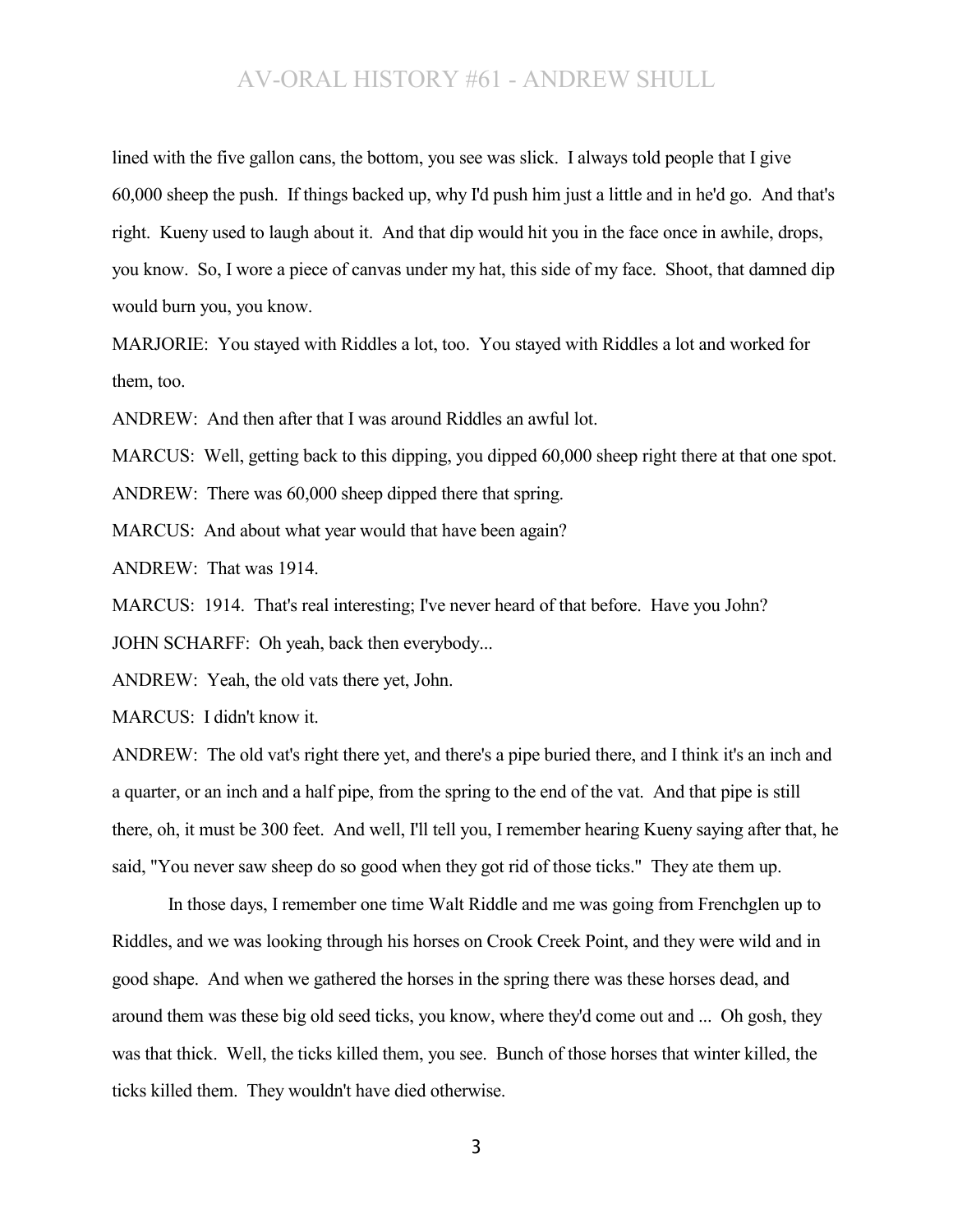lined with the five gallon cans, the bottom, you see was slick. I always told people that I give 60,000 sheep the push. If things backed up, why I'd push him just a little and in he'd go. And that's right. Kueny used to laugh about it. And that dip would hit you in the face once in awhile, drops, you know. So, I wore a piece of canvas under my hat, this side of my face. Shoot, that damned dip would burn you, you know.

MARJORIE: You stayed with Riddles a lot, too. You stayed with Riddles a lot and worked for them, too.

ANDREW: And then after that I was around Riddles an awful lot.

MARCUS: Well, getting back to this dipping, you dipped 60,000 sheep right there at that one spot.

ANDREW: There was 60,000 sheep dipped there that spring.

MARCUS: And about what year would that have been again?

ANDREW: That was 1914.

MARCUS: 1914. That's real interesting; I've never heard of that before. Have you John? JOHN SCHARFF: Oh yeah, back then everybody...

ANDREW: Yeah, the old vats there yet, John.

MARCUS: I didn't know it.

ANDREW: The old vat's right there yet, and there's a pipe buried there, and I think it's an inch and a quarter, or an inch and a half pipe, from the spring to the end of the vat. And that pipe is still there, oh, it must be 300 feet. And well, I'll tell you, I remember hearing Kueny saying after that, he said, "You never saw sheep do so good when they got rid of those ticks." They ate them up.

In those days, I remember one time Walt Riddle and me was going from Frenchglen up to Riddles, and we was looking through his horses on Crook Creek Point, and they were wild and in good shape. And when we gathered the horses in the spring there was these horses dead, and around them was these big old seed ticks, you know, where they'd come out and ... Oh gosh, they was that thick. Well, the ticks killed them, you see. Bunch of those horses that winter killed, the ticks killed them. They wouldn't have died otherwise.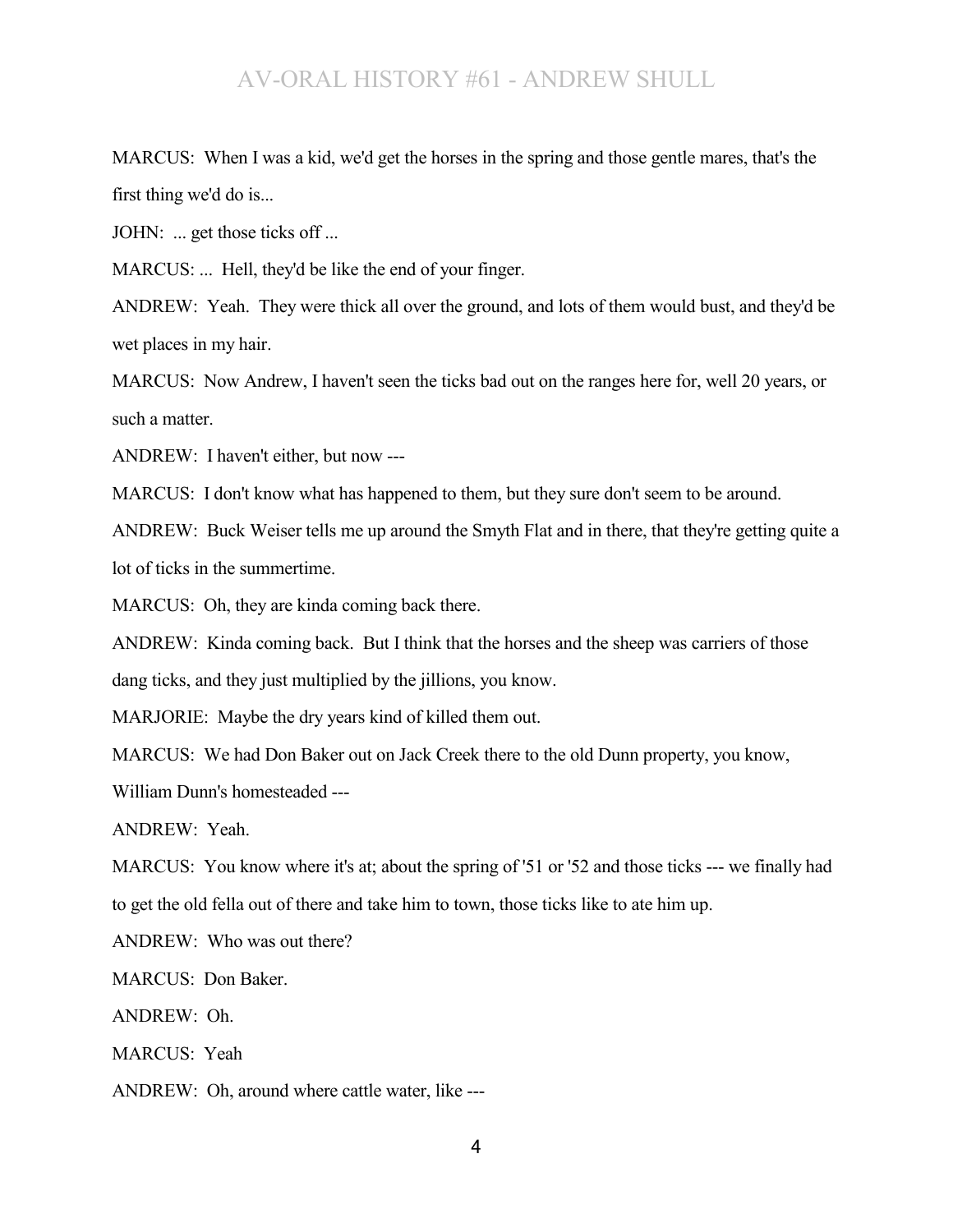MARCUS: When I was a kid, we'd get the horses in the spring and those gentle mares, that's the first thing we'd do is...

JOHN: ... get those ticks off ...

MARCUS: ... Hell, they'd be like the end of your finger.

ANDREW: Yeah. They were thick all over the ground, and lots of them would bust, and they'd be wet places in my hair.

MARCUS: Now Andrew, I haven't seen the ticks bad out on the ranges here for, well 20 years, or such a matter.

ANDREW: I haven't either, but now ---

MARCUS: I don't know what has happened to them, but they sure don't seem to be around.

ANDREW: Buck Weiser tells me up around the Smyth Flat and in there, that they're getting quite a lot of ticks in the summertime.

MARCUS: Oh, they are kinda coming back there.

ANDREW: Kinda coming back. But I think that the horses and the sheep was carriers of those dang ticks, and they just multiplied by the jillions, you know.

MARJORIE: Maybe the dry years kind of killed them out.

MARCUS: We had Don Baker out on Jack Creek there to the old Dunn property, you know,

William Dunn's homesteaded ---

ANDREW: Yeah.

MARCUS: You know where it's at; about the spring of '51 or '52 and those ticks --- we finally had to get the old fella out of there and take him to town, those ticks like to ate him up.

ANDREW: Who was out there?

MARCUS: Don Baker.

ANDREW: Oh.

MARCUS: Yeah

ANDREW: Oh, around where cattle water, like ---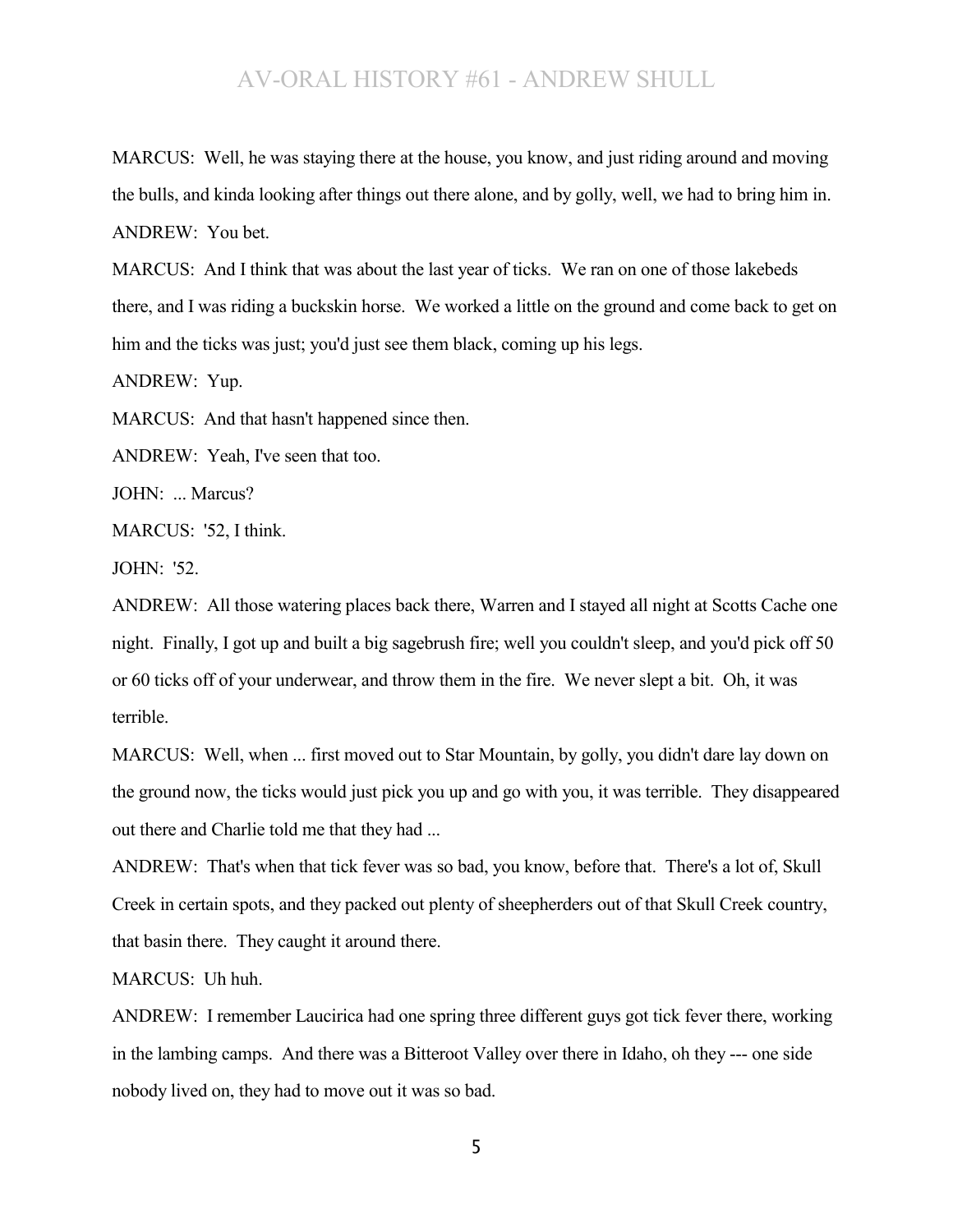MARCUS: Well, he was staying there at the house, you know, and just riding around and moving the bulls, and kinda looking after things out there alone, and by golly, well, we had to bring him in. ANDREW: You bet.

MARCUS: And I think that was about the last year of ticks. We ran on one of those lakebeds there, and I was riding a buckskin horse. We worked a little on the ground and come back to get on him and the ticks was just; you'd just see them black, coming up his legs.

ANDREW: Yup.

MARCUS: And that hasn't happened since then.

ANDREW: Yeah, I've seen that too.

JOHN: ... Marcus?

MARCUS: '52, I think.

 $JOHN: '52$ 

ANDREW: All those watering places back there, Warren and I stayed all night at Scotts Cache one night. Finally, I got up and built a big sagebrush fire; well you couldn't sleep, and you'd pick off 50 or 60 ticks off of your underwear, and throw them in the fire. We never slept a bit. Oh, it was terrible.

MARCUS: Well, when ... first moved out to Star Mountain, by golly, you didn't dare lay down on the ground now, the ticks would just pick you up and go with you, it was terrible. They disappeared out there and Charlie told me that they had ...

ANDREW: That's when that tick fever was so bad, you know, before that. There's a lot of, Skull Creek in certain spots, and they packed out plenty of sheepherders out of that Skull Creek country, that basin there. They caught it around there.

MARCUS: Uh huh.

ANDREW: I remember Laucirica had one spring three different guys got tick fever there, working in the lambing camps. And there was a Bitteroot Valley over there in Idaho, oh they --- one side nobody lived on, they had to move out it was so bad.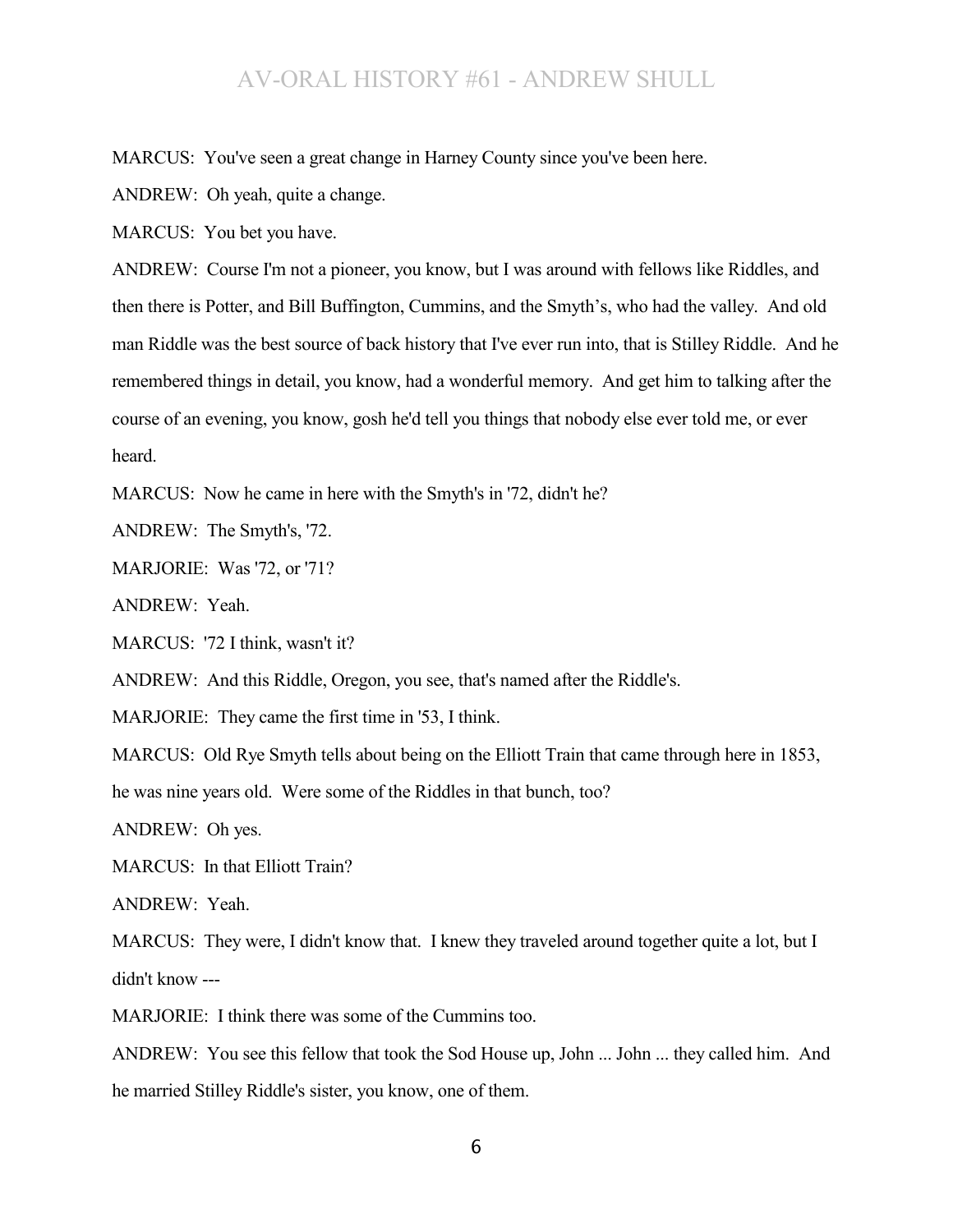MARCUS: You've seen a great change in Harney County since you've been here.

ANDREW: Oh yeah, quite a change.

MARCUS: You bet you have.

ANDREW: Course I'm not a pioneer, you know, but I was around with fellows like Riddles, and then there is Potter, and Bill Buffington, Cummins, and the Smyth's, who had the valley. And old man Riddle was the best source of back history that I've ever run into, that is Stilley Riddle. And he remembered things in detail, you know, had a wonderful memory. And get him to talking after the course of an evening, you know, gosh he'd tell you things that nobody else ever told me, or ever heard.

MARCUS: Now he came in here with the Smyth's in '72, didn't he?

ANDREW: The Smyth's, '72.

MARJORIE: Was '72, or '71?

ANDREW: Yeah.

MARCUS: '72 I think, wasn't it?

ANDREW: And this Riddle, Oregon, you see, that's named after the Riddle's.

MARJORIE: They came the first time in '53, I think.

MARCUS: Old Rye Smyth tells about being on the Elliott Train that came through here in 1853,

he was nine years old. Were some of the Riddles in that bunch, too?

ANDREW: Oh yes.

MARCUS: In that Elliott Train?

ANDREW: Yeah.

MARCUS: They were, I didn't know that. I knew they traveled around together quite a lot, but I didn't know ---

MARJORIE: I think there was some of the Cummins too.

ANDREW: You see this fellow that took the Sod House up, John ... John ... they called him. And he married Stilley Riddle's sister, you know, one of them.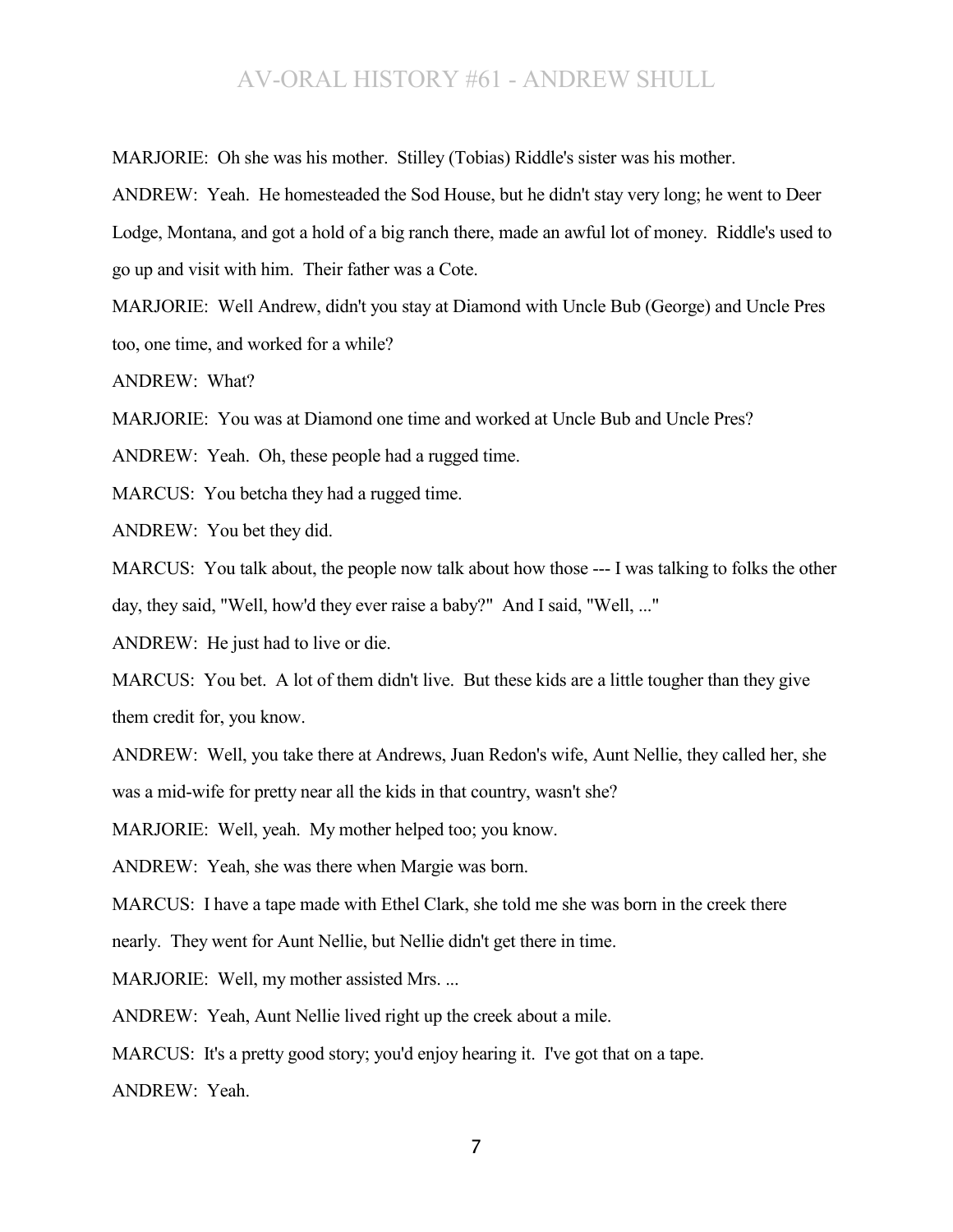MARJORIE: Oh she was his mother. Stilley (Tobias) Riddle's sister was his mother.

ANDREW: Yeah. He homesteaded the Sod House, but he didn't stay very long; he went to Deer Lodge, Montana, and got a hold of a big ranch there, made an awful lot of money. Riddle's used to go up and visit with him. Their father was a Cote.

MARJORIE: Well Andrew, didn't you stay at Diamond with Uncle Bub (George) and Uncle Pres too, one time, and worked for a while?

ANDREW: What?

MARJORIE: You was at Diamond one time and worked at Uncle Bub and Uncle Pres?

ANDREW: Yeah. Oh, these people had a rugged time.

MARCUS: You betcha they had a rugged time.

ANDREW: You bet they did.

MARCUS: You talk about, the people now talk about how those --- I was talking to folks the other day, they said, "Well, how'd they ever raise a baby?" And I said, "Well, ..."

ANDREW: He just had to live or die.

MARCUS: You bet. A lot of them didn't live. But these kids are a little tougher than they give them credit for, you know.

ANDREW: Well, you take there at Andrews, Juan Redon's wife, Aunt Nellie, they called her, she was a mid-wife for pretty near all the kids in that country, wasn't she?

MARJORIE: Well, yeah. My mother helped too; you know.

ANDREW: Yeah, she was there when Margie was born.

MARCUS: I have a tape made with Ethel Clark, she told me she was born in the creek there

nearly. They went for Aunt Nellie, but Nellie didn't get there in time.

MARJORIE: Well, my mother assisted Mrs. ...

ANDREW: Yeah, Aunt Nellie lived right up the creek about a mile.

MARCUS: It's a pretty good story; you'd enjoy hearing it. I've got that on a tape.

ANDREW: Yeah.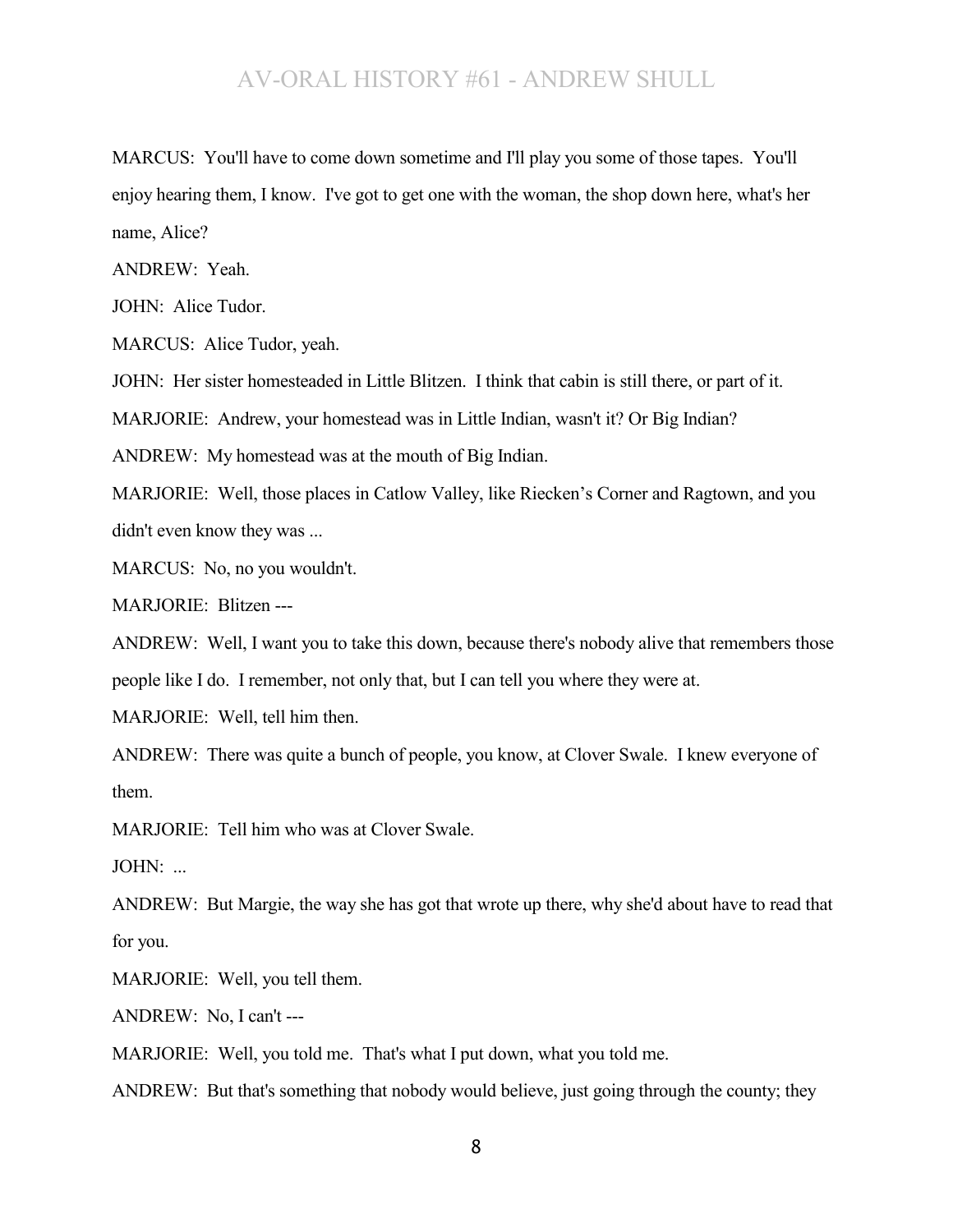MARCUS: You'll have to come down sometime and I'll play you some of those tapes. You'll enjoy hearing them, I know. I've got to get one with the woman, the shop down here, what's her name, Alice?

ANDREW: Yeah.

JOHN: Alice Tudor.

MARCUS: Alice Tudor, yeah.

JOHN: Her sister homesteaded in Little Blitzen. I think that cabin is still there, or part of it.

MARJORIE: Andrew, your homestead was in Little Indian, wasn't it? Or Big Indian?

ANDREW: My homestead was at the mouth of Big Indian.

MARJORIE: Well, those places in Catlow Valley, like Riecken's Corner and Ragtown, and you didn't even know they was ...

MARCUS: No, no you wouldn't.

MARJORIE: Blitzen ---

ANDREW: Well, I want you to take this down, because there's nobody alive that remembers those people like I do. I remember, not only that, but I can tell you where they were at.

MARJORIE: Well, tell him then.

ANDREW: There was quite a bunch of people, you know, at Clover Swale. I knew everyone of them.

MARJORIE: Tell him who was at Clover Swale.

JOHN: ...

ANDREW: But Margie, the way she has got that wrote up there, why she'd about have to read that for you.

MARJORIE: Well, you tell them.

ANDREW: No, I can't ---

MARJORIE: Well, you told me. That's what I put down, what you told me.

ANDREW: But that's something that nobody would believe, just going through the county; they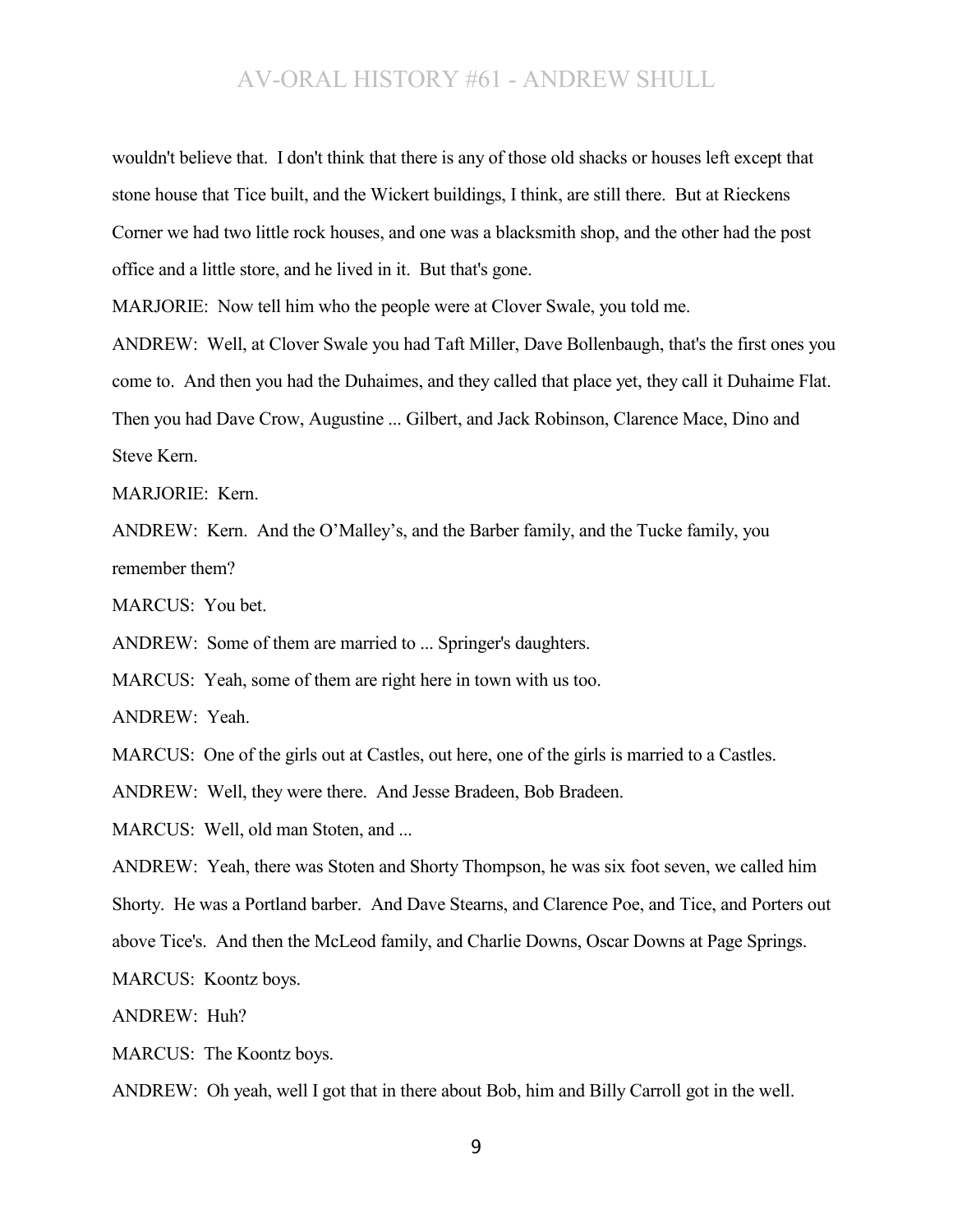wouldn't believe that. I don't think that there is any of those old shacks or houses left except that stone house that Tice built, and the Wickert buildings, I think, are still there. But at Rieckens Corner we had two little rock houses, and one was a blacksmith shop, and the other had the post office and a little store, and he lived in it. But that's gone.

MARJORIE: Now tell him who the people were at Clover Swale, you told me.

ANDREW: Well, at Clover Swale you had Taft Miller, Dave Bollenbaugh, that's the first ones you come to. And then you had the Duhaimes, and they called that place yet, they call it Duhaime Flat. Then you had Dave Crow, Augustine ... Gilbert, and Jack Robinson, Clarence Mace, Dino and Steve Kern.

MARJORIE: Kern.

ANDREW: Kern. And the O'Malley's, and the Barber family, and the Tucke family, you remember them?

MARCUS: You bet.

ANDREW: Some of them are married to ... Springer's daughters.

MARCUS: Yeah, some of them are right here in town with us too.

ANDREW: Yeah.

MARCUS: One of the girls out at Castles, out here, one of the girls is married to a Castles.

ANDREW: Well, they were there. And Jesse Bradeen, Bob Bradeen.

MARCUS: Well, old man Stoten, and ...

ANDREW: Yeah, there was Stoten and Shorty Thompson, he was six foot seven, we called him Shorty. He was a Portland barber. And Dave Stearns, and Clarence Poe, and Tice, and Porters out above Tice's. And then the McLeod family, and Charlie Downs, Oscar Downs at Page Springs. MARCUS: Koontz boys.

ANDREW: Huh?

MARCUS: The Koontz boys.

ANDREW: Oh yeah, well I got that in there about Bob, him and Billy Carroll got in the well.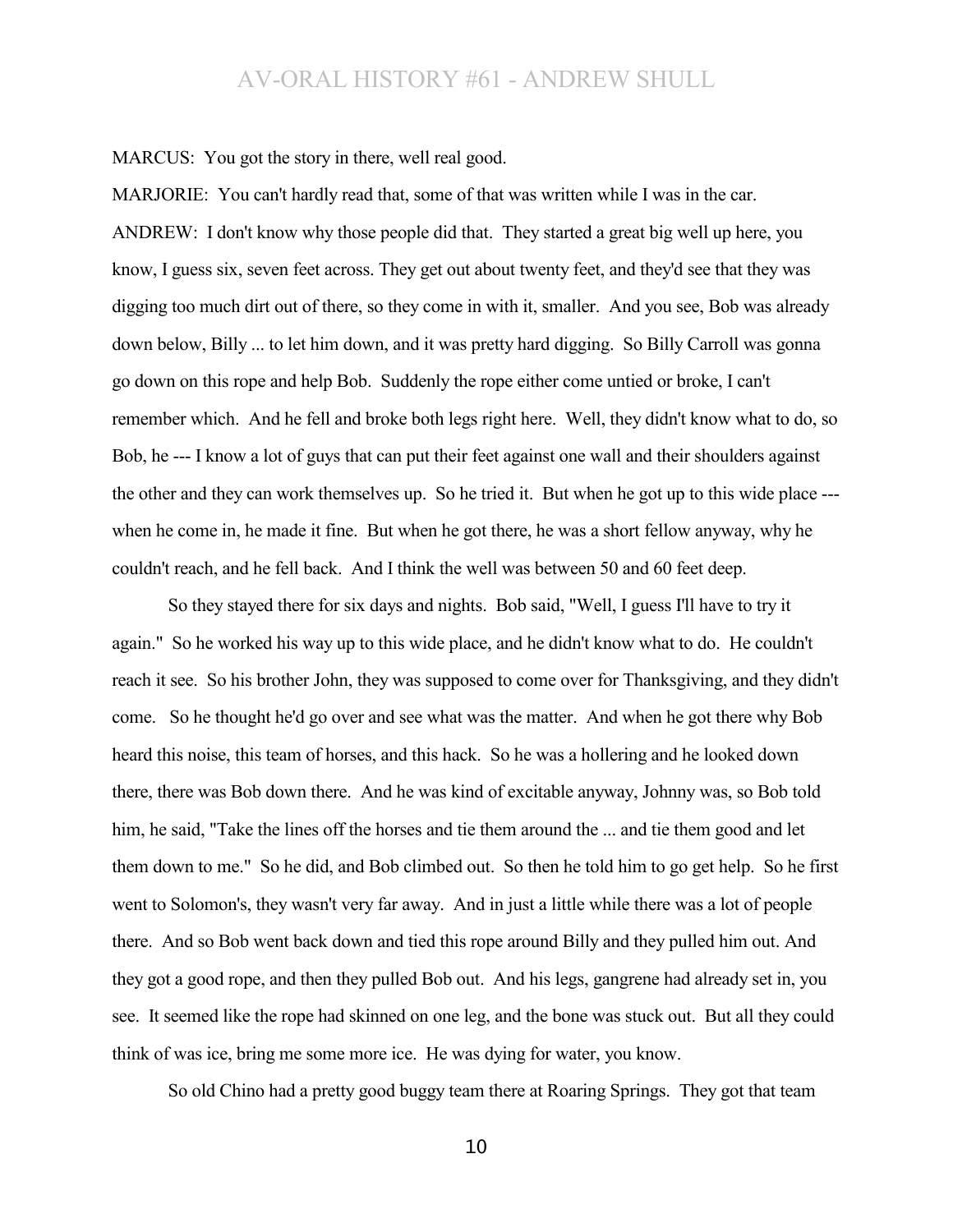MARCUS: You got the story in there, well real good.

MARJORIE: You can't hardly read that, some of that was written while I was in the car. ANDREW: I don't know why those people did that. They started a great big well up here, you know, I guess six, seven feet across. They get out about twenty feet, and they'd see that they was digging too much dirt out of there, so they come in with it, smaller. And you see, Bob was already down below, Billy ... to let him down, and it was pretty hard digging. So Billy Carroll was gonna go down on this rope and help Bob. Suddenly the rope either come untied or broke, I can't remember which. And he fell and broke both legs right here. Well, they didn't know what to do, so Bob, he --- I know a lot of guys that can put their feet against one wall and their shoulders against the other and they can work themselves up. So he tried it. But when he got up to this wide place -- when he come in, he made it fine. But when he got there, he was a short fellow anyway, why he couldn't reach, and he fell back. And I think the well was between 50 and 60 feet deep.

So they stayed there for six days and nights. Bob said, "Well, I guess I'll have to try it again." So he worked his way up to this wide place, and he didn't know what to do. He couldn't reach it see. So his brother John, they was supposed to come over for Thanksgiving, and they didn't come. So he thought he'd go over and see what was the matter. And when he got there why Bob heard this noise, this team of horses, and this hack. So he was a hollering and he looked down there, there was Bob down there. And he was kind of excitable anyway, Johnny was, so Bob told him, he said, "Take the lines off the horses and tie them around the ... and tie them good and let them down to me." So he did, and Bob climbed out. So then he told him to go get help. So he first went to Solomon's, they wasn't very far away. And in just a little while there was a lot of people there. And so Bob went back down and tied this rope around Billy and they pulled him out. And they got a good rope, and then they pulled Bob out. And his legs, gangrene had already set in, you see. It seemed like the rope had skinned on one leg, and the bone was stuck out. But all they could think of was ice, bring me some more ice. He was dying for water, you know.

So old Chino had a pretty good buggy team there at Roaring Springs. They got that team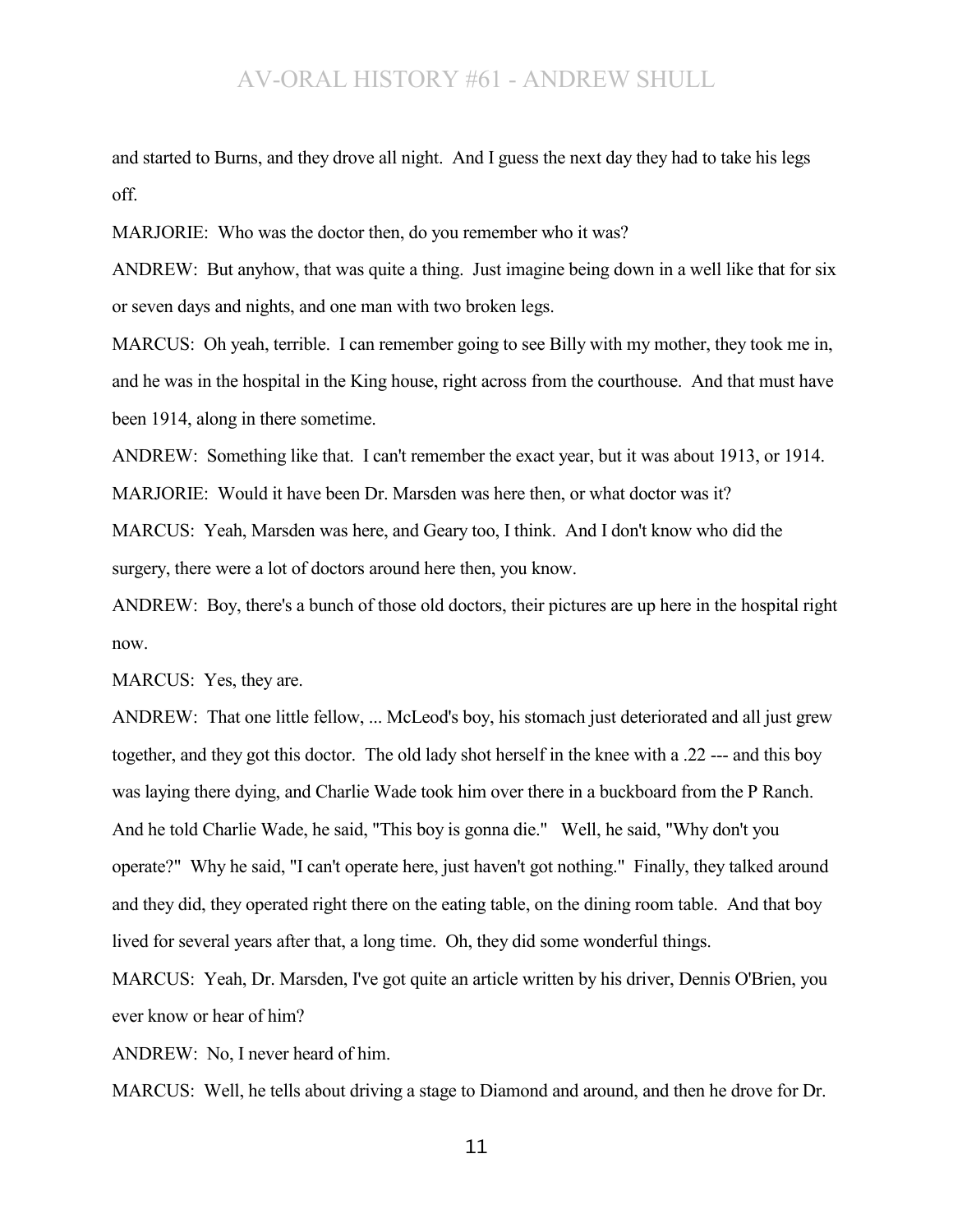and started to Burns, and they drove all night. And I guess the next day they had to take his legs off.

MARJORIE: Who was the doctor then, do you remember who it was?

ANDREW: But anyhow, that was quite a thing. Just imagine being down in a well like that for six or seven days and nights, and one man with two broken legs.

MARCUS: Oh yeah, terrible. I can remember going to see Billy with my mother, they took me in, and he was in the hospital in the King house, right across from the courthouse. And that must have been 1914, along in there sometime.

ANDREW: Something like that. I can't remember the exact year, but it was about 1913, or 1914. MARJORIE: Would it have been Dr. Marsden was here then, or what doctor was it?

MARCUS: Yeah, Marsden was here, and Geary too, I think. And I don't know who did the surgery, there were a lot of doctors around here then, you know.

ANDREW: Boy, there's a bunch of those old doctors, their pictures are up here in the hospital right now.

MARCUS: Yes, they are.

ANDREW: That one little fellow, ... McLeod's boy, his stomach just deteriorated and all just grew together, and they got this doctor. The old lady shot herself in the knee with a .22 --- and this boy was laying there dying, and Charlie Wade took him over there in a buckboard from the P Ranch. And he told Charlie Wade, he said, "This boy is gonna die." Well, he said, "Why don't you operate?" Why he said, "I can't operate here, just haven't got nothing." Finally, they talked around and they did, they operated right there on the eating table, on the dining room table. And that boy lived for several years after that, a long time. Oh, they did some wonderful things.

MARCUS: Yeah, Dr. Marsden, I've got quite an article written by his driver, Dennis O'Brien, you ever know or hear of him?

ANDREW: No, I never heard of him.

MARCUS: Well, he tells about driving a stage to Diamond and around, and then he drove for Dr.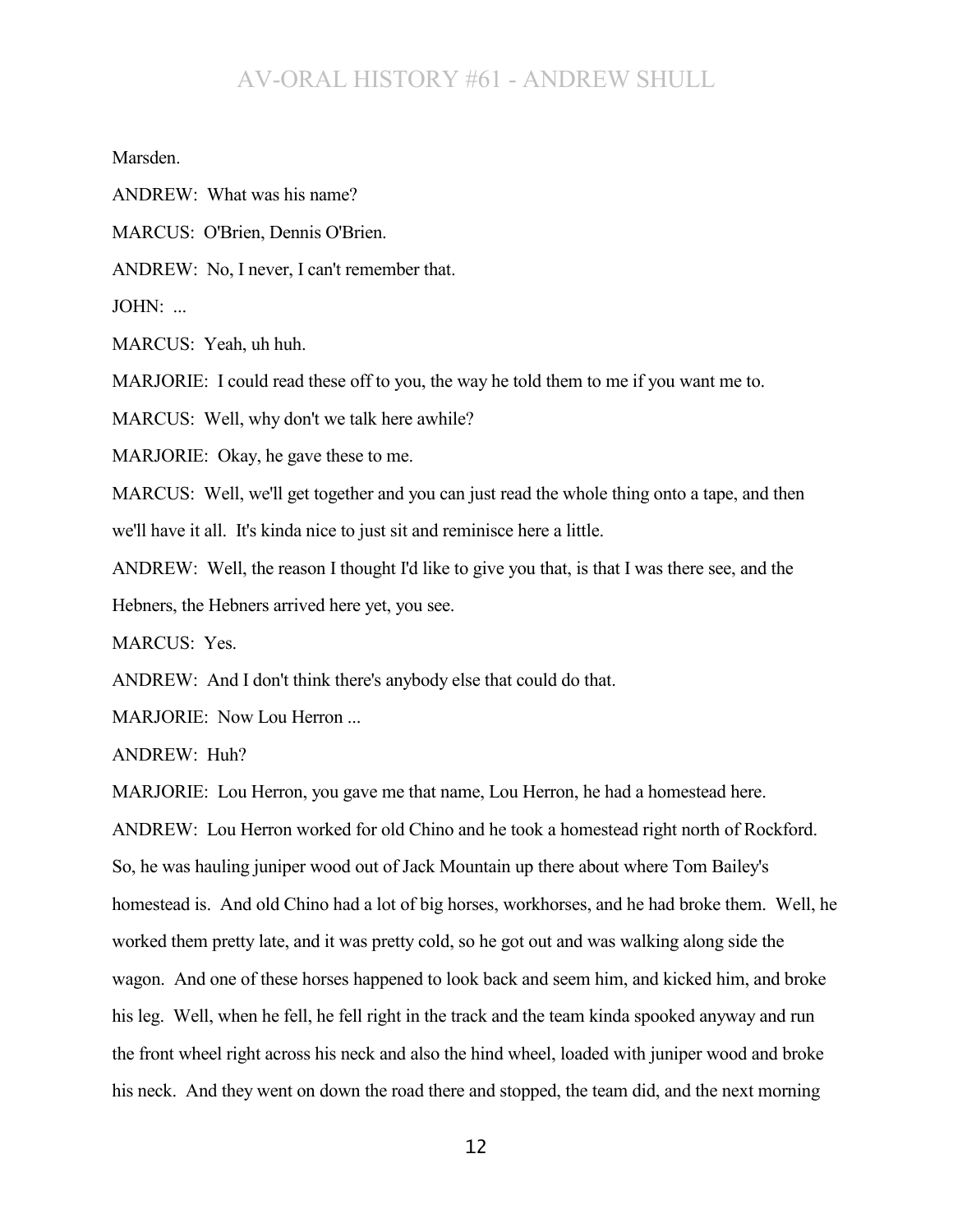Marsden.

ANDREW: What was his name?

MARCUS: O'Brien, Dennis O'Brien.

ANDREW: No, I never, I can't remember that.

JOHN: ...

MARCUS: Yeah, uh huh.

MARJORIE: I could read these off to you, the way he told them to me if you want me to.

MARCUS: Well, why don't we talk here awhile?

MARJORIE: Okay, he gave these to me.

MARCUS: Well, we'll get together and you can just read the whole thing onto a tape, and then we'll have it all. It's kinda nice to just sit and reminisce here a little.

ANDREW: Well, the reason I thought I'd like to give you that, is that I was there see, and the Hebners, the Hebners arrived here yet, you see.

MARCUS: Yes.

ANDREW: And I don't think there's anybody else that could do that.

MARJORIE: Now Lou Herron ...

ANDREW: Huh?

MARJORIE: Lou Herron, you gave me that name, Lou Herron, he had a homestead here.

ANDREW: Lou Herron worked for old Chino and he took a homestead right north of Rockford. So, he was hauling juniper wood out of Jack Mountain up there about where Tom Bailey's homestead is. And old Chino had a lot of big horses, workhorses, and he had broke them. Well, he worked them pretty late, and it was pretty cold, so he got out and was walking along side the wagon. And one of these horses happened to look back and seem him, and kicked him, and broke his leg. Well, when he fell, he fell right in the track and the team kinda spooked anyway and run the front wheel right across his neck and also the hind wheel, loaded with juniper wood and broke his neck. And they went on down the road there and stopped, the team did, and the next morning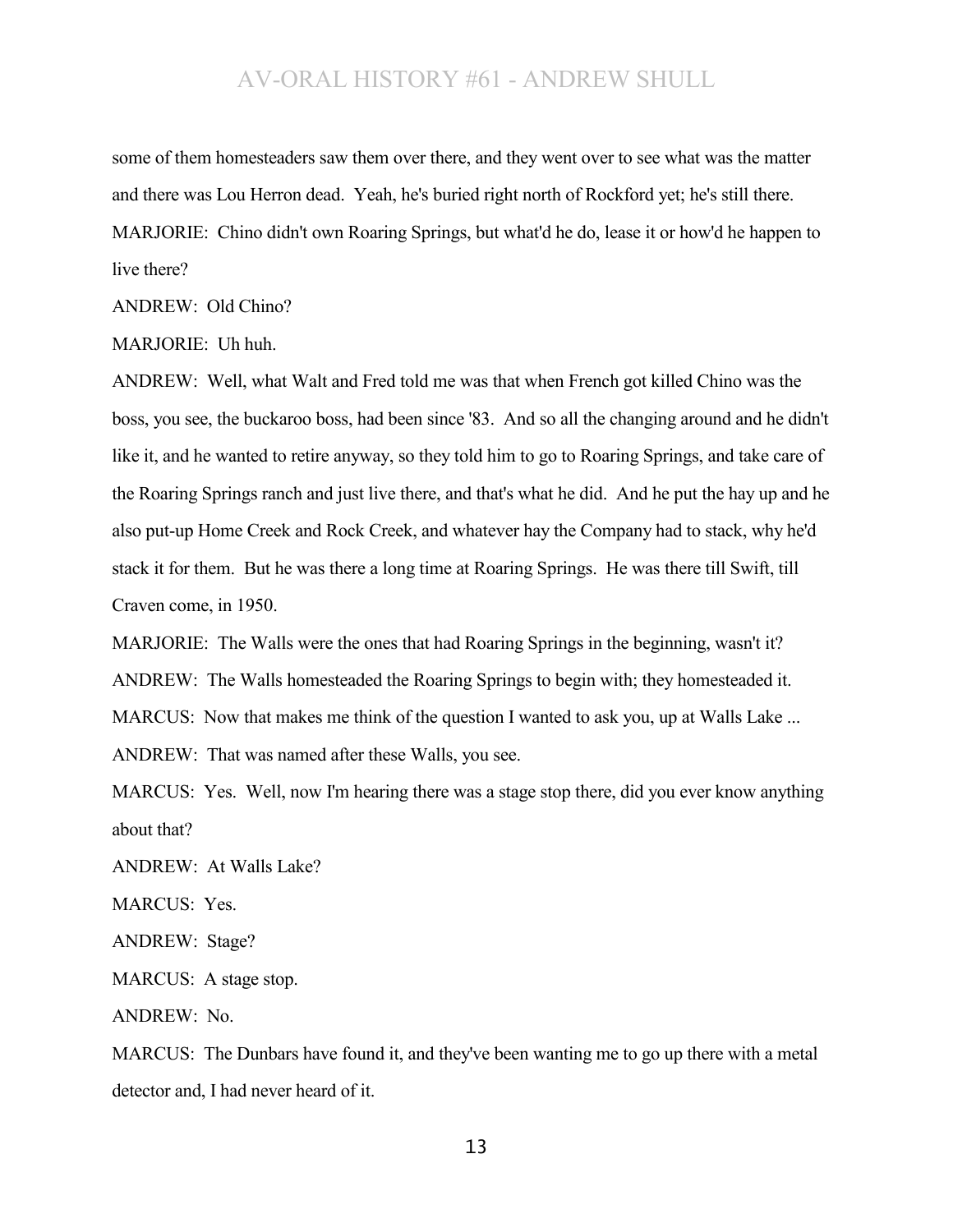some of them homesteaders saw them over there, and they went over to see what was the matter and there was Lou Herron dead. Yeah, he's buried right north of Rockford yet; he's still there. MARJORIE: Chino didn't own Roaring Springs, but what'd he do, lease it or how'd he happen to live there?

ANDREW: Old Chino?

MARJORIE: Uh huh.

ANDREW: Well, what Walt and Fred told me was that when French got killed Chino was the boss, you see, the buckaroo boss, had been since '83. And so all the changing around and he didn't like it, and he wanted to retire anyway, so they told him to go to Roaring Springs, and take care of the Roaring Springs ranch and just live there, and that's what he did. And he put the hay up and he also put-up Home Creek and Rock Creek, and whatever hay the Company had to stack, why he'd stack it for them. But he was there a long time at Roaring Springs. He was there till Swift, till Craven come, in 1950.

MARJORIE: The Walls were the ones that had Roaring Springs in the beginning, wasn't it?

ANDREW: The Walls homesteaded the Roaring Springs to begin with; they homesteaded it.

MARCUS: Now that makes me think of the question I wanted to ask you, up at Walls Lake ...

ANDREW: That was named after these Walls, you see.

MARCUS: Yes. Well, now I'm hearing there was a stage stop there, did you ever know anything about that?

ANDREW: At Walls Lake?

MARCUS: Yes.

ANDREW: Stage?

MARCUS: A stage stop.

ANDREW: No.

MARCUS: The Dunbars have found it, and they've been wanting me to go up there with a metal detector and, I had never heard of it.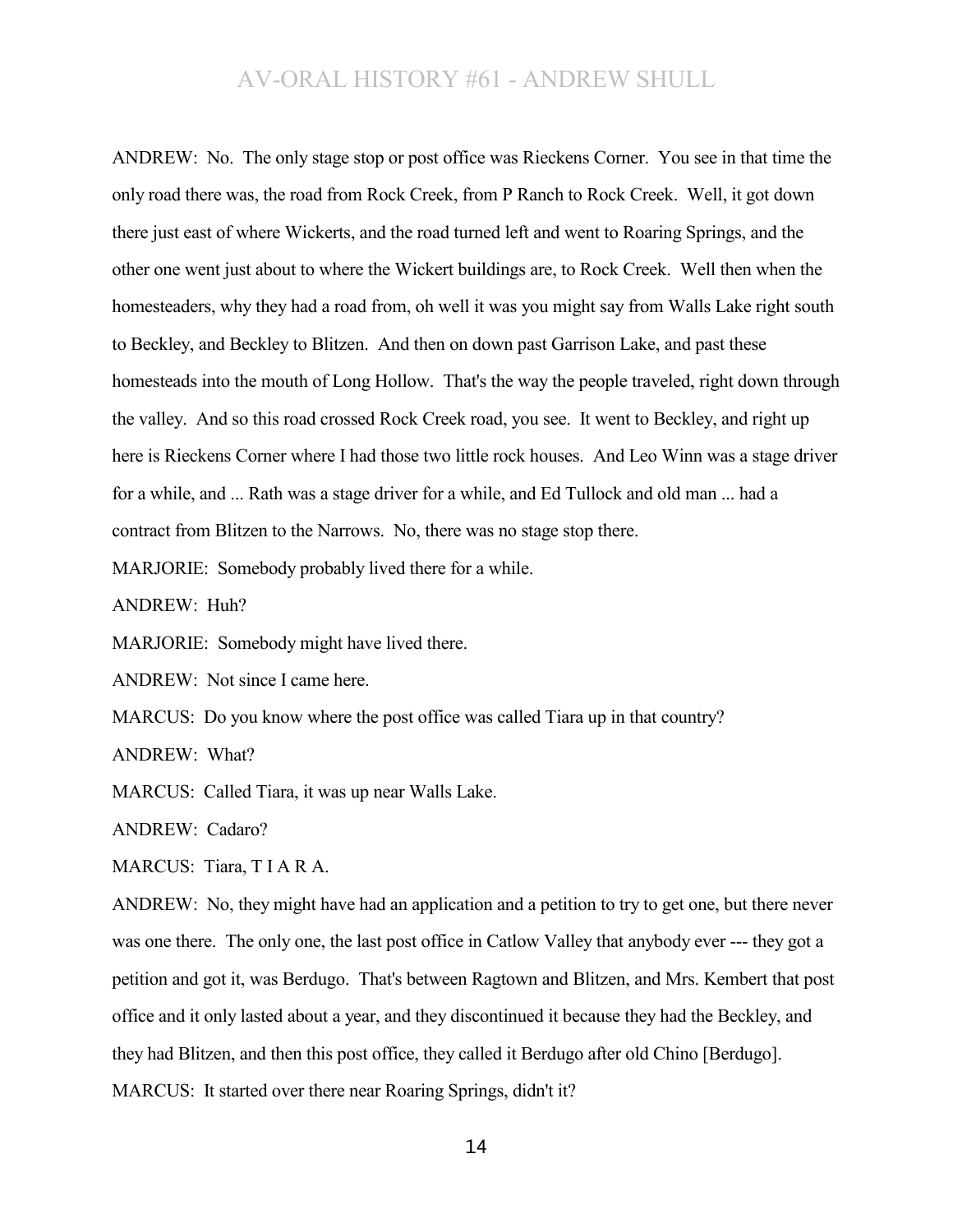ANDREW: No. The only stage stop or post office was Rieckens Corner. You see in that time the only road there was, the road from Rock Creek, from P Ranch to Rock Creek. Well, it got down there just east of where Wickerts, and the road turned left and went to Roaring Springs, and the other one went just about to where the Wickert buildings are, to Rock Creek. Well then when the homesteaders, why they had a road from, oh well it was you might say from Walls Lake right south to Beckley, and Beckley to Blitzen. And then on down past Garrison Lake, and past these homesteads into the mouth of Long Hollow. That's the way the people traveled, right down through the valley. And so this road crossed Rock Creek road, you see. It went to Beckley, and right up here is Rieckens Corner where I had those two little rock houses. And Leo Winn was a stage driver for a while, and ... Rath was a stage driver for a while, and Ed Tullock and old man ... had a contract from Blitzen to the Narrows. No, there was no stage stop there.

MARJORIE: Somebody probably lived there for a while.

ANDREW: Huh?

MARJORIE: Somebody might have lived there.

ANDREW: Not since I came here.

MARCUS: Do you know where the post office was called Tiara up in that country?

ANDREW: What?

MARCUS: Called Tiara, it was up near Walls Lake.

ANDREW: Cadaro?

MARCUS: Tiara, TIARA.

ANDREW: No, they might have had an application and a petition to try to get one, but there never was one there. The only one, the last post office in Catlow Valley that anybody ever --- they got a petition and got it, was Berdugo. That's between Ragtown and Blitzen, and Mrs. Kembert that post office and it only lasted about a year, and they discontinued it because they had the Beckley, and they had Blitzen, and then this post office, they called it Berdugo after old Chino [Berdugo]. MARCUS: It started over there near Roaring Springs, didn't it?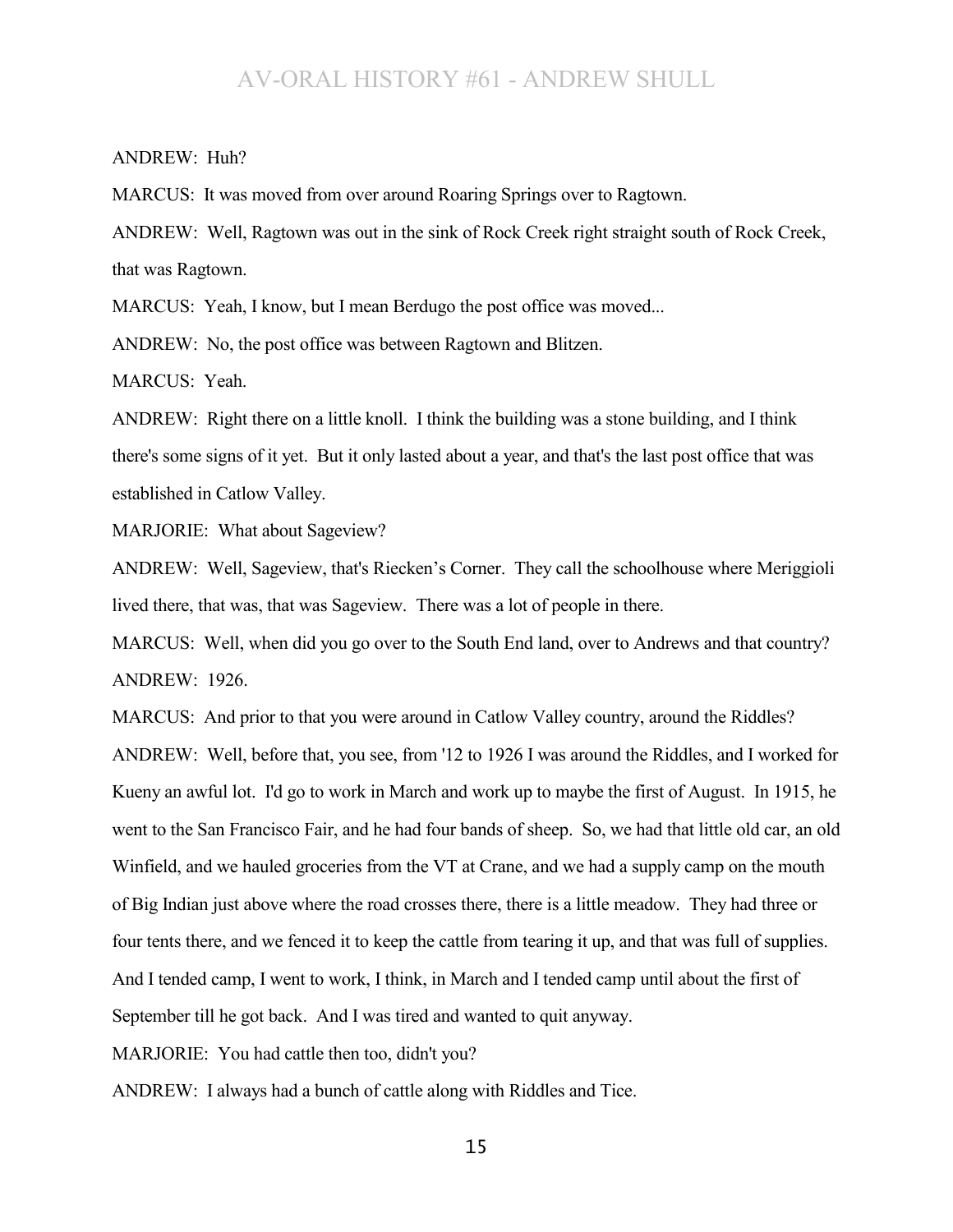#### ANDREW: Huh?

MARCUS: It was moved from over around Roaring Springs over to Ragtown.

ANDREW: Well, Ragtown was out in the sink of Rock Creek right straight south of Rock Creek, that was Ragtown.

MARCUS: Yeah, I know, but I mean Berdugo the post office was moved...

ANDREW: No, the post office was between Ragtown and Blitzen.

MARCUS: Yeah.

ANDREW: Right there on a little knoll. I think the building was a stone building, and I think there's some signs of it yet. But it only lasted about a year, and that's the last post office that was established in Catlow Valley.

MARJORIE: What about Sageview?

ANDREW: Well, Sageview, that's Riecken's Corner. They call the schoolhouse where Meriggioli lived there, that was, that was Sageview. There was a lot of people in there.

MARCUS: Well, when did you go over to the South End land, over to Andrews and that country? ANDREW: 1926.

MARCUS: And prior to that you were around in Catlow Valley country, around the Riddles?

ANDREW: Well, before that, you see, from '12 to 1926 I was around the Riddles, and I worked for Kueny an awful lot. I'd go to work in March and work up to maybe the first of August. In 1915, he went to the San Francisco Fair, and he had four bands of sheep. So, we had that little old car, an old Winfield, and we hauled groceries from the VT at Crane, and we had a supply camp on the mouth of Big Indian just above where the road crosses there, there is a little meadow. They had three or four tents there, and we fenced it to keep the cattle from tearing it up, and that was full of supplies. And I tended camp, I went to work, I think, in March and I tended camp until about the first of September till he got back. And I was tired and wanted to quit anyway.

MARJORIE: You had cattle then too, didn't you?

ANDREW: I always had a bunch of cattle along with Riddles and Tice.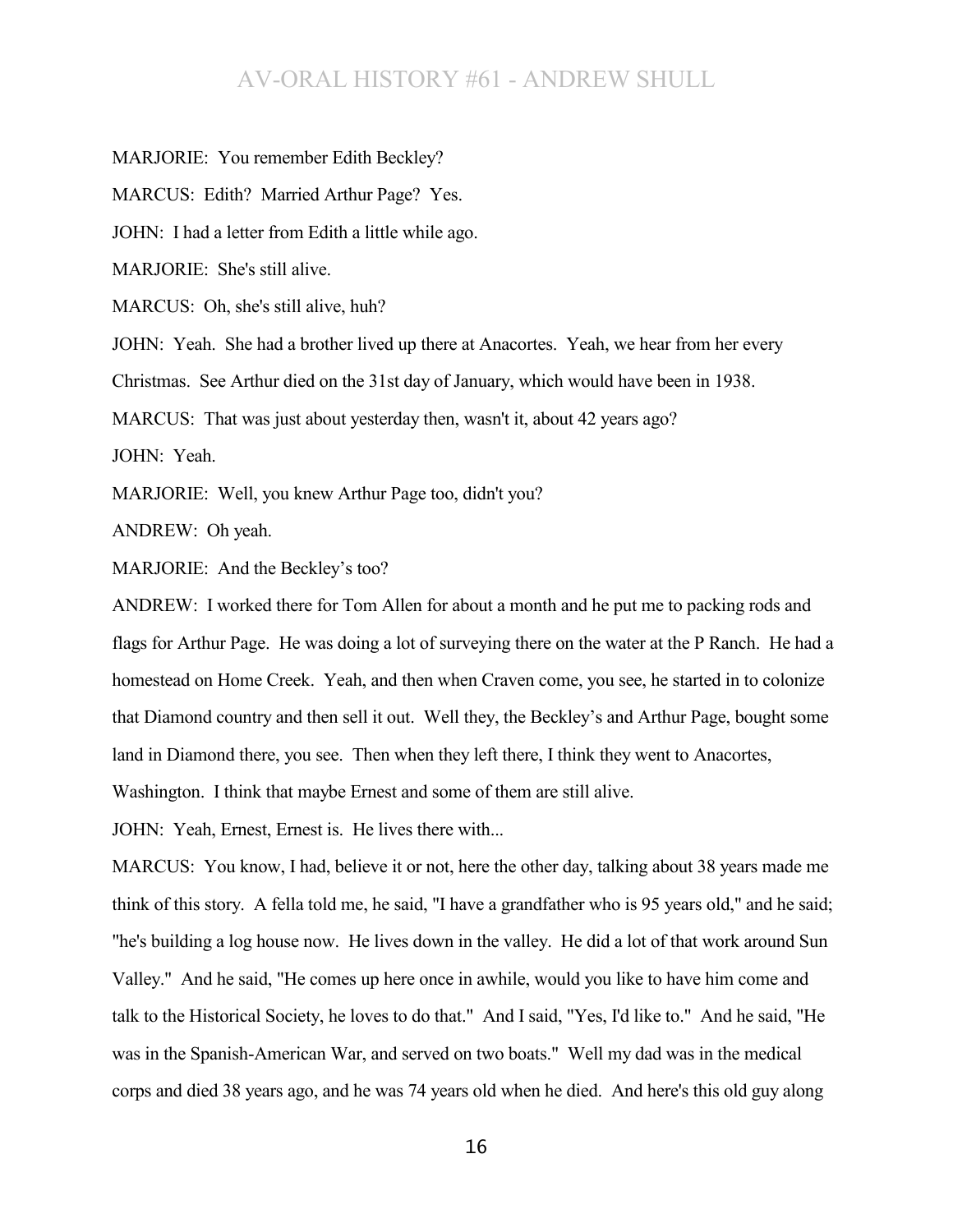MARJORIE: You remember Edith Beckley? MARCUS: Edith? Married Arthur Page? Yes. JOHN: I had a letter from Edith a little while ago. MARJORIE: She's still alive. MARCUS: Oh, she's still alive, huh? JOHN: Yeah. She had a brother lived up there at Anacortes. Yeah, we hear from her every Christmas. See Arthur died on the 31st day of January, which would have been in 1938. MARCUS: That was just about yesterday then, wasn't it, about 42 years ago? JOHN: Yeah. MARJORIE: Well, you knew Arthur Page too, didn't you? ANDREW: Oh yeah. MARJORIE: And the Beckley's too?

ANDREW: I worked there for Tom Allen for about a month and he put me to packing rods and flags for Arthur Page. He was doing a lot of surveying there on the water at the P Ranch. He had a homestead on Home Creek. Yeah, and then when Craven come, you see, he started in to colonize that Diamond country and then sell it out. Well they, the Beckley's and Arthur Page, bought some land in Diamond there, you see. Then when they left there, I think they went to Anacortes, Washington. I think that maybe Ernest and some of them are still alive.

JOHN: Yeah, Ernest, Ernest is. He lives there with...

MARCUS: You know, I had, believe it or not, here the other day, talking about 38 years made me think of this story. A fella told me, he said, "I have a grandfather who is 95 years old," and he said; "he's building a log house now. He lives down in the valley. He did a lot of that work around Sun Valley." And he said, "He comes up here once in awhile, would you like to have him come and talk to the Historical Society, he loves to do that." And I said, "Yes, I'd like to." And he said, "He was in the Spanish-American War, and served on two boats." Well my dad was in the medical corps and died 38 years ago, and he was 74 years old when he died. And here's this old guy along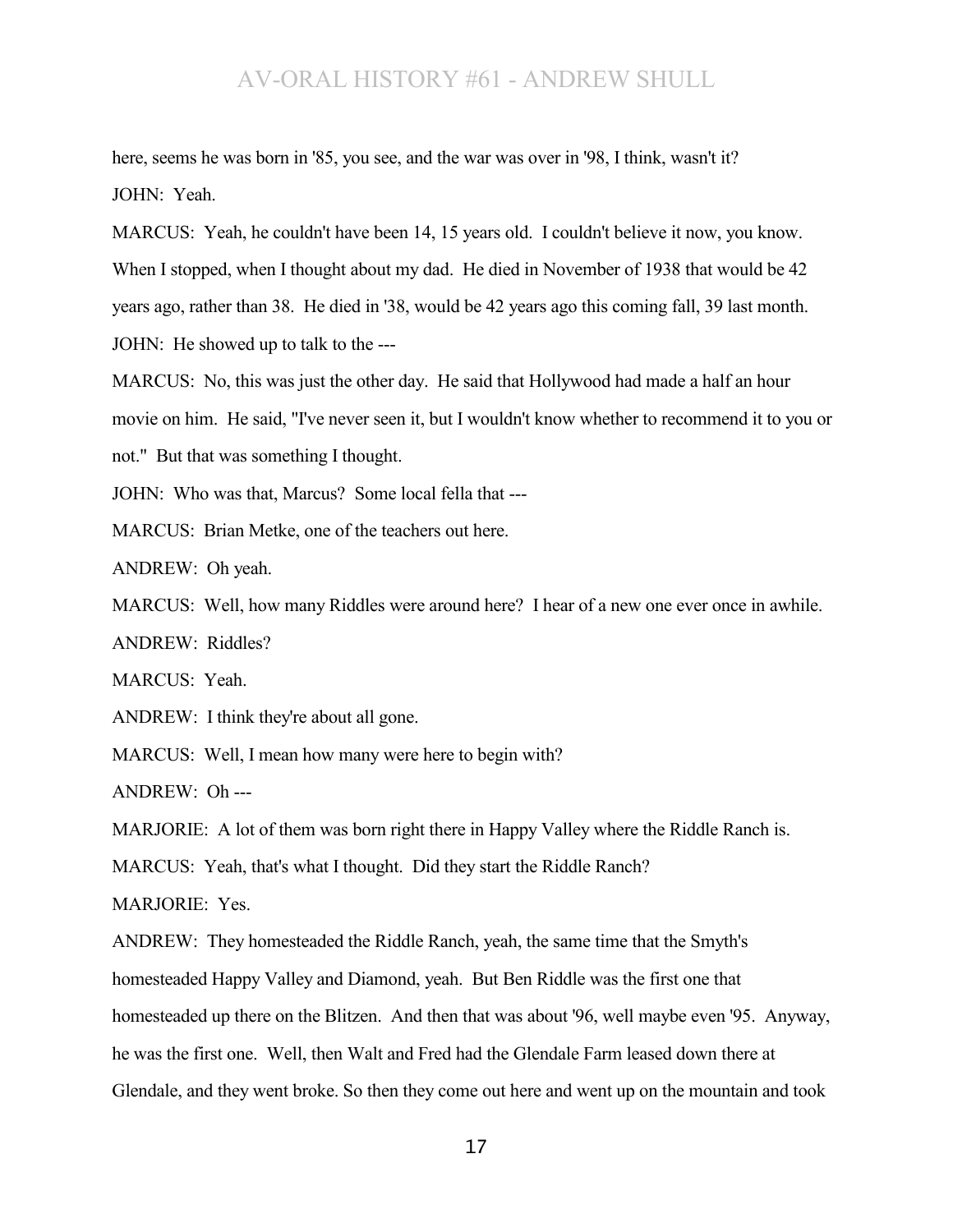here, seems he was born in '85, you see, and the war was over in '98, I think, wasn't it? JOHN: Yeah.

MARCUS: Yeah, he couldn't have been 14, 15 years old. I couldn't believe it now, you know. When I stopped, when I thought about my dad. He died in November of 1938 that would be 42 years ago, rather than 38. He died in '38, would be 42 years ago this coming fall, 39 last month. JOHN: He showed up to talk to the ---

MARCUS: No, this was just the other day. He said that Hollywood had made a half an hour movie on him. He said, "I've never seen it, but I wouldn't know whether to recommend it to you or not." But that was something I thought.

JOHN: Who was that, Marcus? Some local fella that ---

MARCUS: Brian Metke, one of the teachers out here.

ANDREW: Oh yeah.

MARCUS: Well, how many Riddles were around here? I hear of a new one ever once in awhile.

ANDREW: Riddles?

MARCUS: Yeah.

ANDREW: I think they're about all gone.

MARCUS: Well, I mean how many were here to begin with?

ANDREW: Oh ---

MARJORIE: A lot of them was born right there in Happy Valley where the Riddle Ranch is.

MARCUS: Yeah, that's what I thought. Did they start the Riddle Ranch?

MARJORIE: Yes.

ANDREW: They homesteaded the Riddle Ranch, yeah, the same time that the Smyth's homesteaded Happy Valley and Diamond, yeah. But Ben Riddle was the first one that homesteaded up there on the Blitzen. And then that was about '96, well maybe even '95. Anyway, he was the first one. Well, then Walt and Fred had the Glendale Farm leased down there at Glendale, and they went broke. So then they come out here and went up on the mountain and took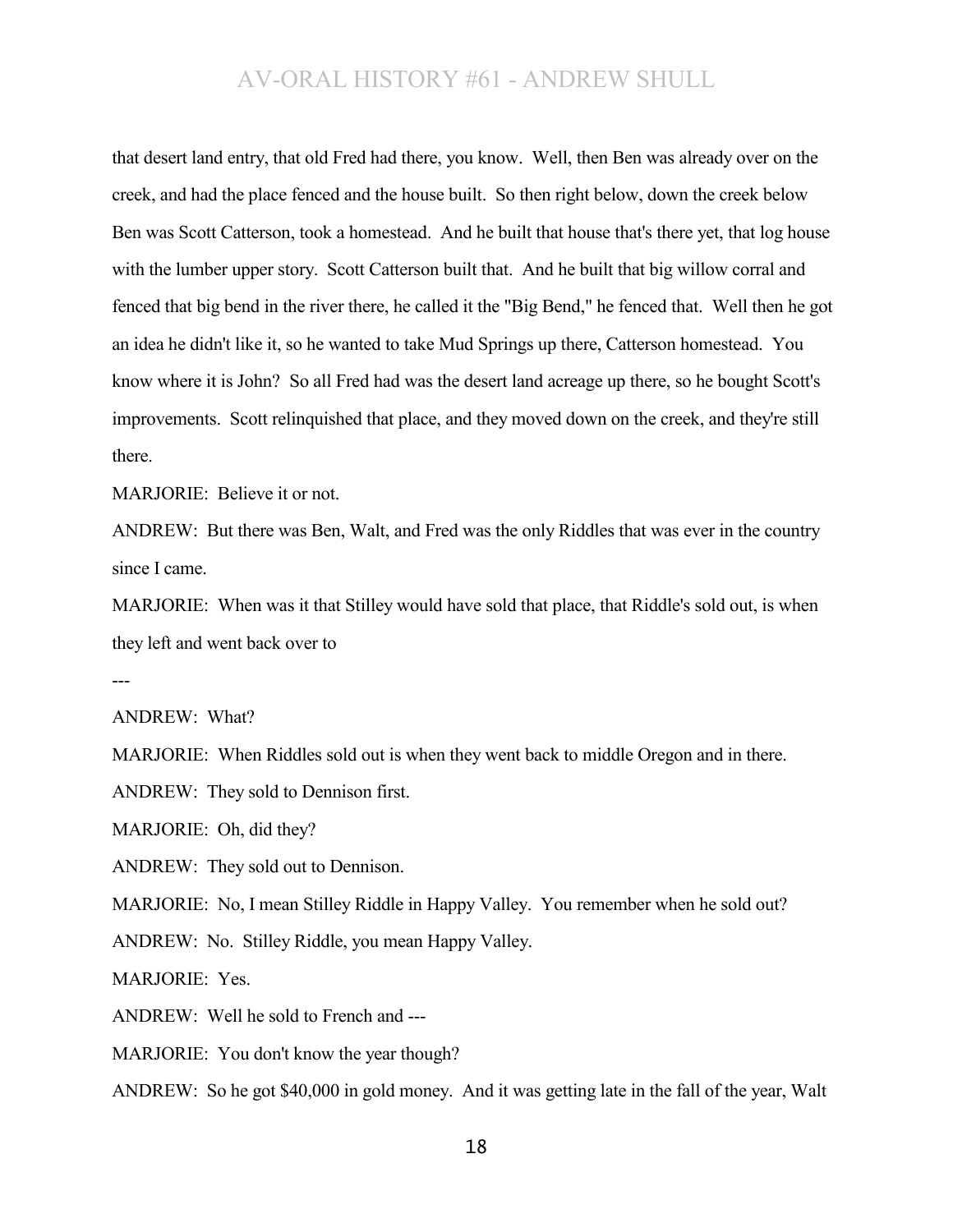that desert land entry, that old Fred had there, you know. Well, then Ben was already over on the creek, and had the place fenced and the house built. So then right below, down the creek below Ben was Scott Catterson, took a homestead. And he built that house that's there yet, that log house with the lumber upper story. Scott Catterson built that. And he built that big willow corral and fenced that big bend in the river there, he called it the "Big Bend," he fenced that. Well then he got an idea he didn't like it, so he wanted to take Mud Springs up there, Catterson homestead. You know where it is John? So all Fred had was the desert land acreage up there, so he bought Scott's improvements. Scott relinquished that place, and they moved down on the creek, and they're still there.

MARJORIE: Believe it or not.

ANDREW: But there was Ben, Walt, and Fred was the only Riddles that was ever in the country since I came.

MARJORIE: When was it that Stilley would have sold that place, that Riddle's sold out, is when they left and went back over to

---

ANDREW: What?

MARJORIE: When Riddles sold out is when they went back to middle Oregon and in there.

ANDREW: They sold to Dennison first.

MARJORIE: Oh, did they?

ANDREW: They sold out to Dennison.

MARJORIE: No, I mean Stilley Riddle in Happy Valley. You remember when he sold out?

ANDREW: No. Stilley Riddle, you mean Happy Valley.

MARJORIE: Yes.

ANDREW: Well he sold to French and ---

MARJORIE: You don't know the year though?

ANDREW: So he got \$40,000 in gold money. And it was getting late in the fall of the year, Walt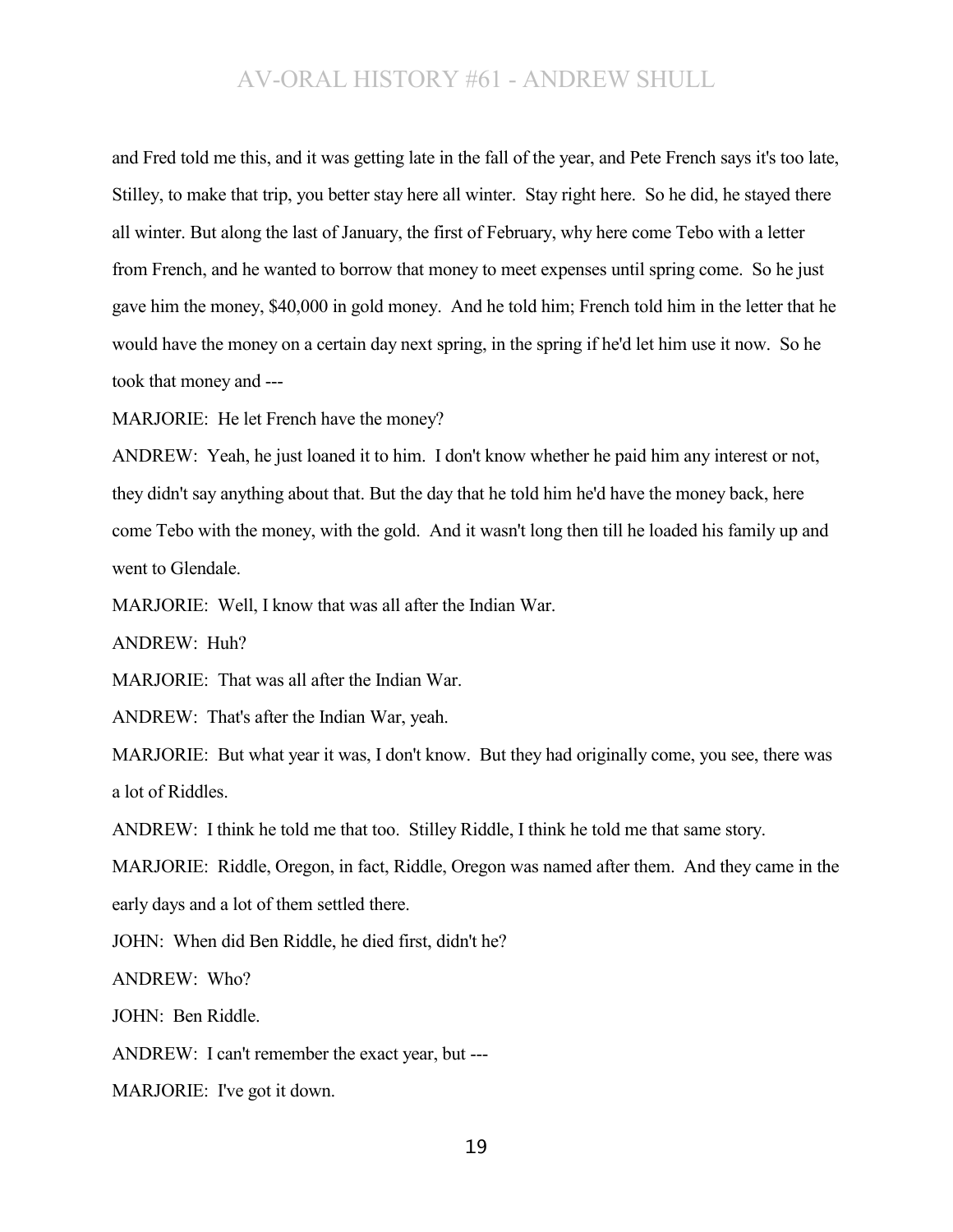and Fred told me this, and it was getting late in the fall of the year, and Pete French says it's too late, Stilley, to make that trip, you better stay here all winter. Stay right here. So he did, he stayed there all winter. But along the last of January, the first of February, why here come Tebo with a letter from French, and he wanted to borrow that money to meet expenses until spring come. So he just gave him the money, \$40,000 in gold money. And he told him; French told him in the letter that he would have the money on a certain day next spring, in the spring if he'd let him use it now. So he took that money and ---

MARJORIE: He let French have the money?

ANDREW: Yeah, he just loaned it to him. I don't know whether he paid him any interest or not, they didn't say anything about that. But the day that he told him he'd have the money back, here come Tebo with the money, with the gold. And it wasn't long then till he loaded his family up and went to Glendale

MARJORIE: Well, I know that was all after the Indian War.

ANDREW: Huh?

MARJORIE: That was all after the Indian War.

ANDREW: That's after the Indian War, yeah.

MARJORIE: But what year it was, I don't know. But they had originally come, you see, there was a lot of Riddles.

ANDREW: I think he told me that too. Stilley Riddle, I think he told me that same story.

MARJORIE: Riddle, Oregon, in fact, Riddle, Oregon was named after them. And they came in the early days and a lot of them settled there.

JOHN: When did Ben Riddle, he died first, didn't he?

ANDREW: Who?

JOHN: Ben Riddle.

ANDREW: I can't remember the exact year, but ---

MARJORIE: I've got it down.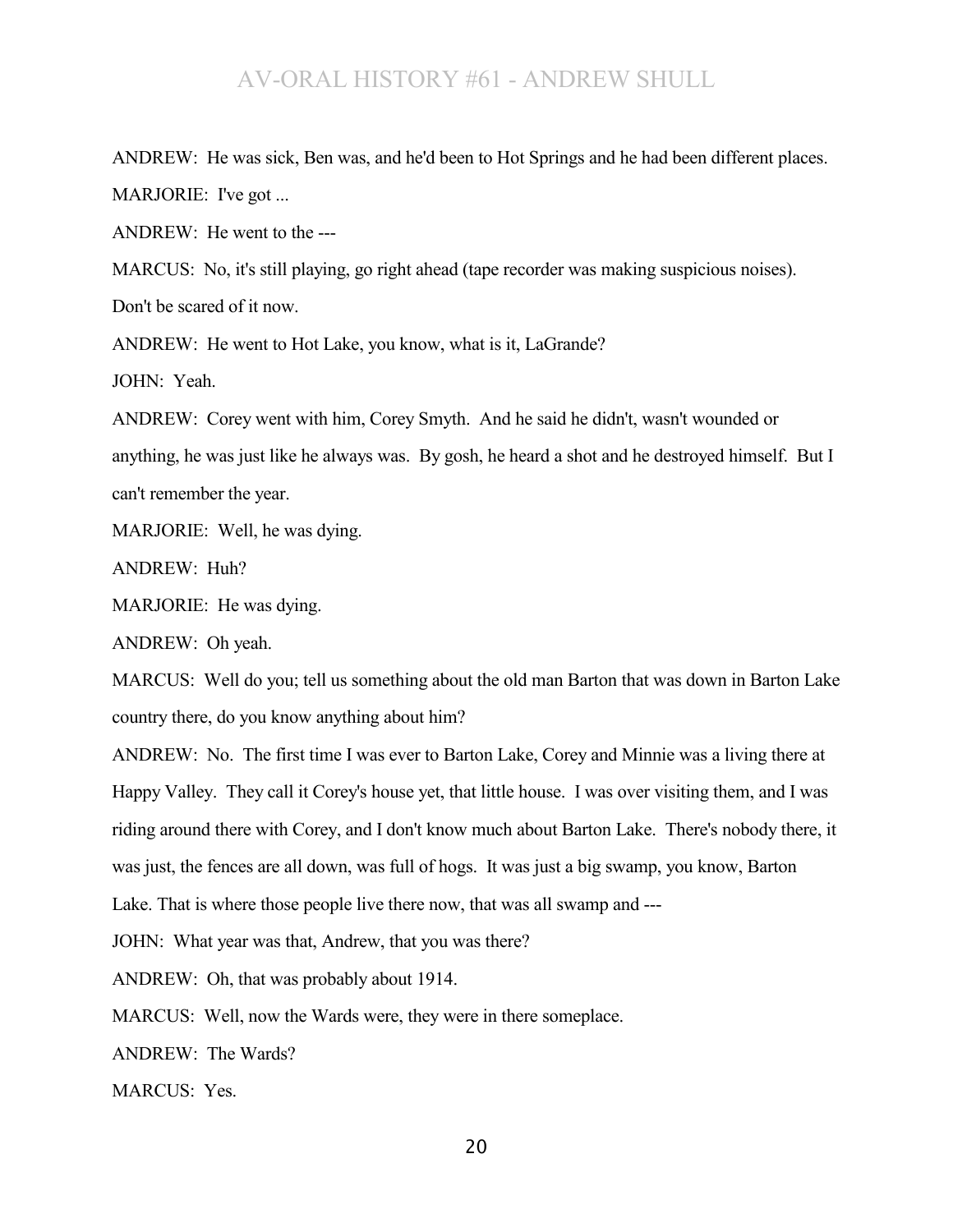ANDREW: He was sick, Ben was, and he'd been to Hot Springs and he had been different places. MARJORIE: I've got ...

ANDREW: He went to the ---

MARCUS: No, it's still playing, go right ahead (tape recorder was making suspicious noises). Don't be scared of it now.

ANDREW: He went to Hot Lake, you know, what is it, LaGrande?

JOHN: Yeah.

ANDREW: Corey went with him, Corey Smyth. And he said he didn't, wasn't wounded or anything, he was just like he always was. By gosh, he heard a shot and he destroyed himself. But I can't remember the year.

MARJORIE: Well, he was dying.

ANDREW: Huh?

MARJORIE: He was dying.

ANDREW: Oh yeah.

MARCUS: Well do you; tell us something about the old man Barton that was down in Barton Lake country there, do you know anything about him?

ANDREW: No. The first time I was ever to Barton Lake, Corey and Minnie was a living there at Happy Valley. They call it Corey's house yet, that little house. I was over visiting them, and I was riding around there with Corey, and I don't know much about Barton Lake. There's nobody there, it was just, the fences are all down, was full of hogs. It was just a big swamp, you know, Barton Lake. That is where those people live there now, that was all swamp and ---

JOHN: What year was that, Andrew, that you was there?

ANDREW: Oh, that was probably about 1914.

MARCUS: Well, now the Wards were, they were in there someplace.

ANDREW: The Wards?

MARCUS: Yes.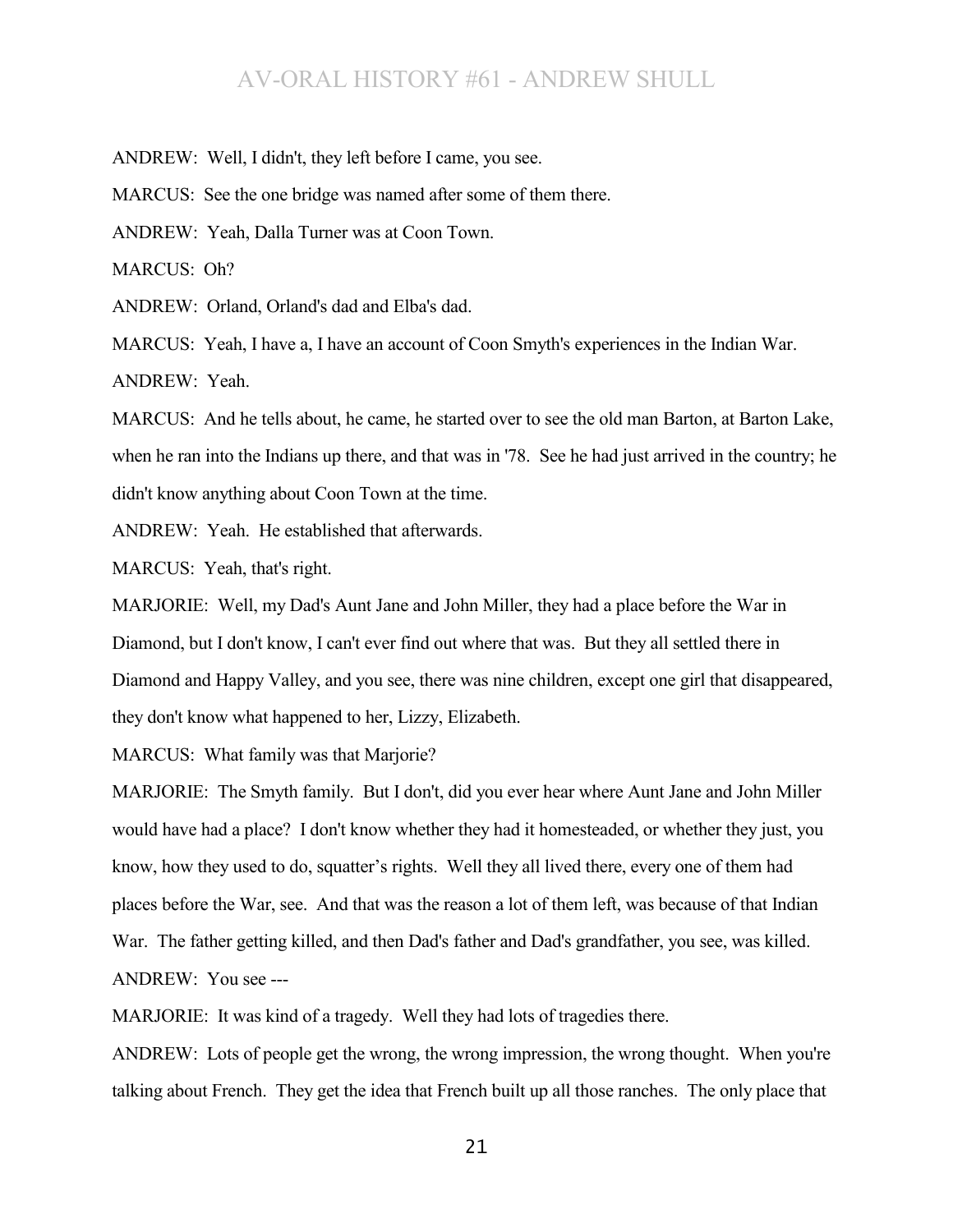ANDREW: Well, I didn't, they left before I came, you see.

MARCUS: See the one bridge was named after some of them there.

ANDREW: Yeah, Dalla Turner was at Coon Town.

MARCUS: Oh?

ANDREW: Orland, Orland's dad and Elba's dad.

MARCUS: Yeah, I have a, I have an account of Coon Smyth's experiences in the Indian War. ANDREW: Yeah.

MARCUS: And he tells about, he came, he started over to see the old man Barton, at Barton Lake, when he ran into the Indians up there, and that was in '78. See he had just arrived in the country; he didn't know anything about Coon Town at the time.

ANDREW: Yeah. He established that afterwards.

MARCUS: Yeah, that's right.

MARJORIE: Well, my Dad's Aunt Jane and John Miller, they had a place before the War in Diamond, but I don't know, I can't ever find out where that was. But they all settled there in Diamond and Happy Valley, and you see, there was nine children, except one girl that disappeared, they don't know what happened to her, Lizzy, Elizabeth.

MARCUS: What family was that Marjorie?

MARJORIE: The Smyth family. But I don't, did you ever hear where Aunt Jane and John Miller would have had a place? I don't know whether they had it homesteaded, or whether they just, you know, how they used to do, squatter's rights. Well they all lived there, every one of them had places before the War, see. And that was the reason a lot of them left, was because of that Indian War. The father getting killed, and then Dad's father and Dad's grandfather, you see, was killed. ANDREW: You see ---

MARJORIE: It was kind of a tragedy. Well they had lots of tragedies there.

ANDREW: Lots of people get the wrong, the wrong impression, the wrong thought. When you're talking about French. They get the idea that French built up all those ranches. The only place that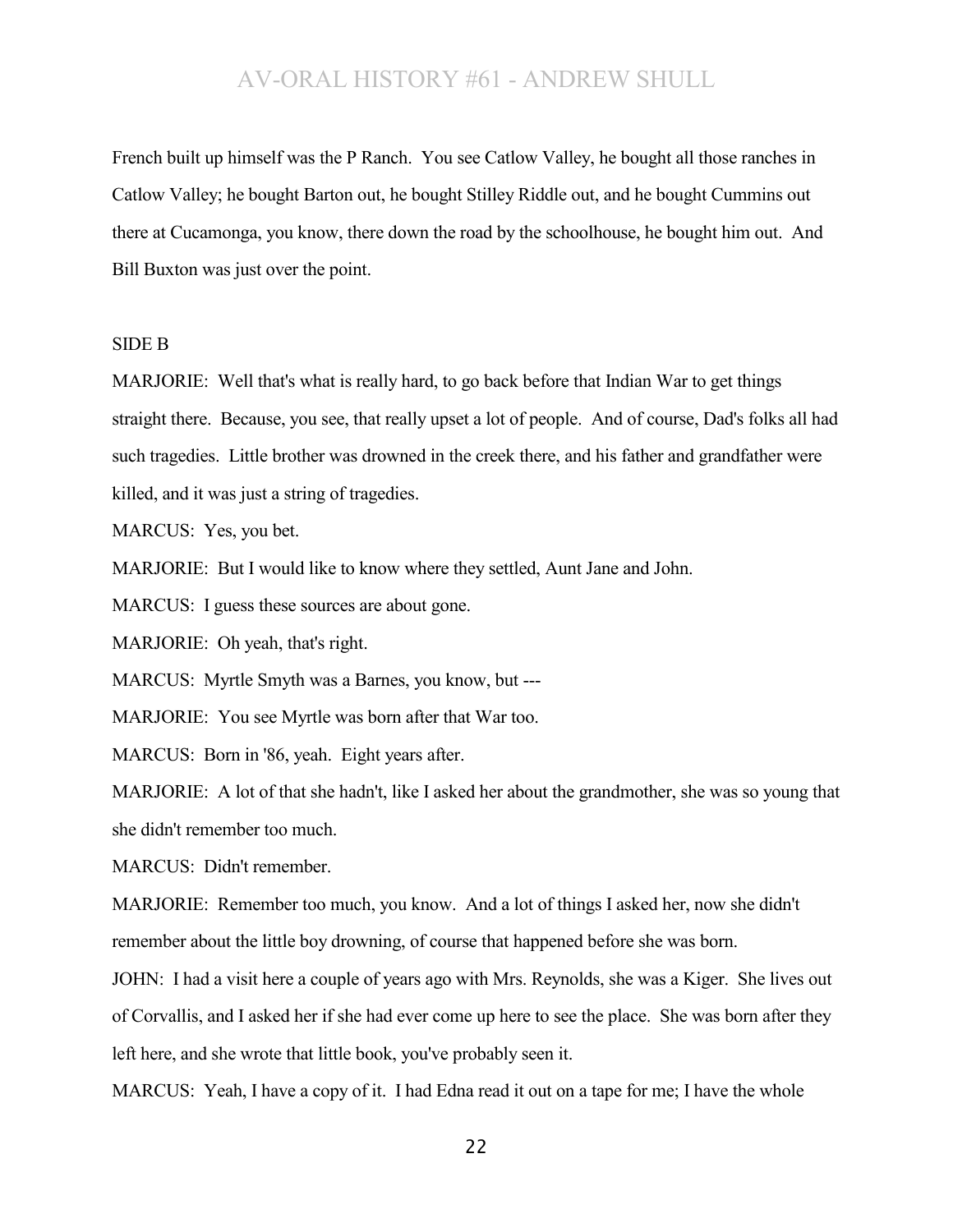French built up himself was the P Ranch. You see Catlow Valley, he bought all those ranches in Catlow Valley; he bought Barton out, he bought Stilley Riddle out, and he bought Cummins out there at Cucamonga, you know, there down the road by the schoolhouse, he bought him out. And Bill Buxton was just over the point.

### SIDE B

MARJORIE: Well that's what is really hard, to go back before that Indian War to get things straight there. Because, you see, that really upset a lot of people. And of course, Dad's folks all had such tragedies. Little brother was drowned in the creek there, and his father and grandfather were killed, and it was just a string of tragedies.

MARCUS: Yes, you bet.

MARJORIE: But I would like to know where they settled, Aunt Jane and John.

MARCUS: I guess these sources are about gone.

MARJORIE: Oh yeah, that's right.

MARCUS: Myrtle Smyth was a Barnes, you know, but ---

MARJORIE: You see Myrtle was born after that War too.

MARCUS: Born in '86, yeah. Eight years after.

MARJORIE: A lot of that she hadn't, like I asked her about the grandmother, she was so young that she didn't remember too much.

MARCUS: Didn't remember.

MARJORIE: Remember too much, you know. And a lot of things I asked her, now she didn't remember about the little boy drowning, of course that happened before she was born.

JOHN: I had a visit here a couple of years ago with Mrs. Reynolds, she was a Kiger. She lives out of Corvallis, and I asked her if she had ever come up here to see the place. She was born after they left here, and she wrote that little book, you've probably seen it.

MARCUS: Yeah, I have a copy of it. I had Edna read it out on a tape for me; I have the whole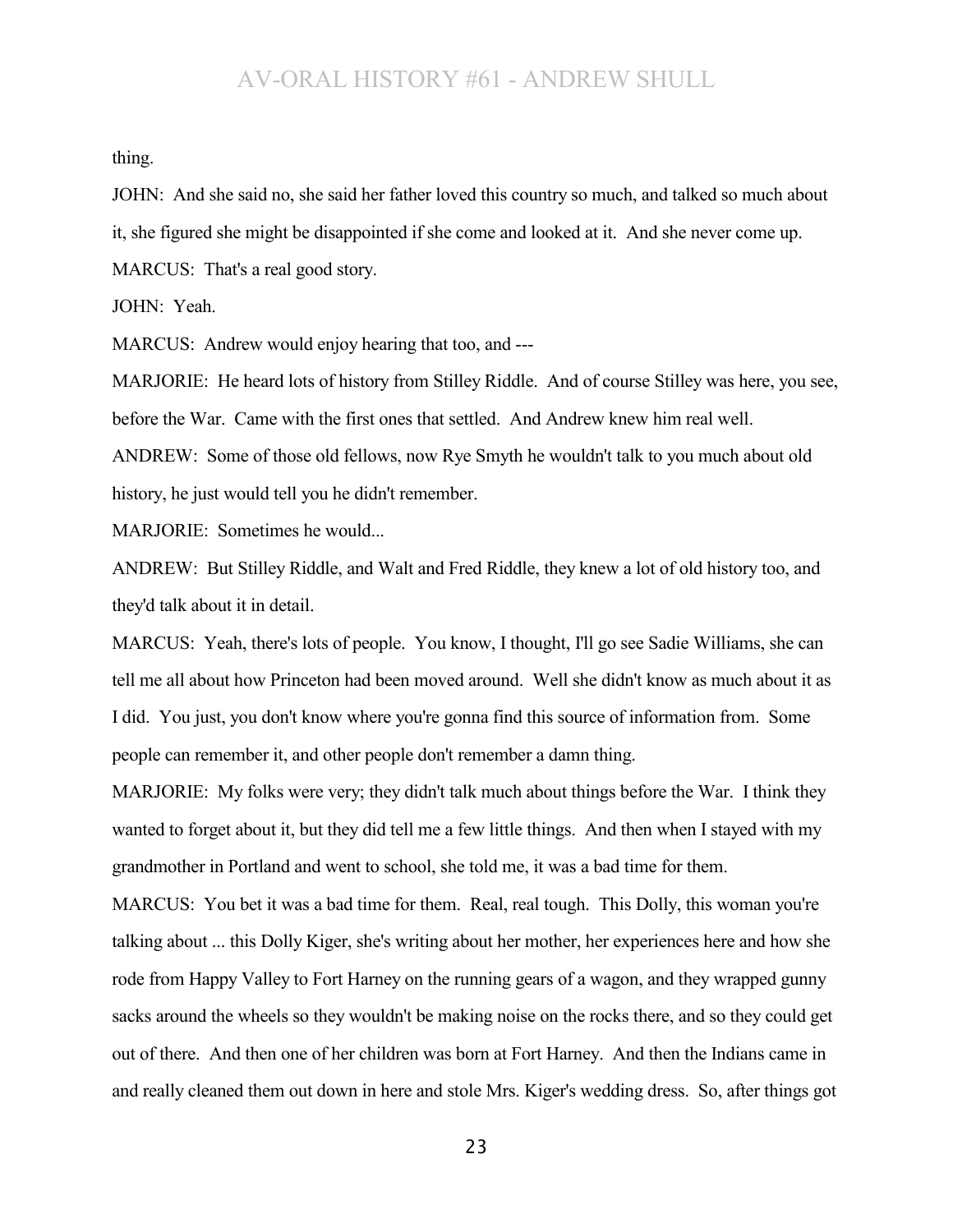thing.

JOHN: And she said no, she said her father loved this country so much, and talked so much about it, she figured she might be disappointed if she come and looked at it. And she never come up.

MARCUS: That's a real good story.

JOHN: Yeah.

MARCUS: Andrew would enjoy hearing that too, and ---

MARJORIE: He heard lots of history from Stilley Riddle. And of course Stilley was here, you see, before the War. Came with the first ones that settled. And Andrew knew him real well.

ANDREW: Some of those old fellows, now Rye Smyth he wouldn't talk to you much about old history, he just would tell you he didn't remember.

MARJORIE: Sometimes he would...

ANDREW: But Stilley Riddle, and Walt and Fred Riddle, they knew a lot of old history too, and they'd talk about it in detail.

MARCUS: Yeah, there's lots of people. You know, I thought, I'll go see Sadie Williams, she can tell me all about how Princeton had been moved around. Well she didn't know as much about it as I did. You just, you don't know where you're gonna find this source of information from. Some people can remember it, and other people don't remember a damn thing.

MARJORIE: My folks were very; they didn't talk much about things before the War. I think they wanted to forget about it, but they did tell me a few little things. And then when I stayed with my grandmother in Portland and went to school, she told me, it was a bad time for them.

MARCUS: You bet it was a bad time for them. Real, real tough. This Dolly, this woman you're talking about ... this Dolly Kiger, she's writing about her mother, her experiences here and how she rode from Happy Valley to Fort Harney on the running gears of a wagon, and they wrapped gunny sacks around the wheels so they wouldn't be making noise on the rocks there, and so they could get out of there. And then one of her children was born at Fort Harney. And then the Indians came in and really cleaned them out down in here and stole Mrs. Kiger's wedding dress. So, after things got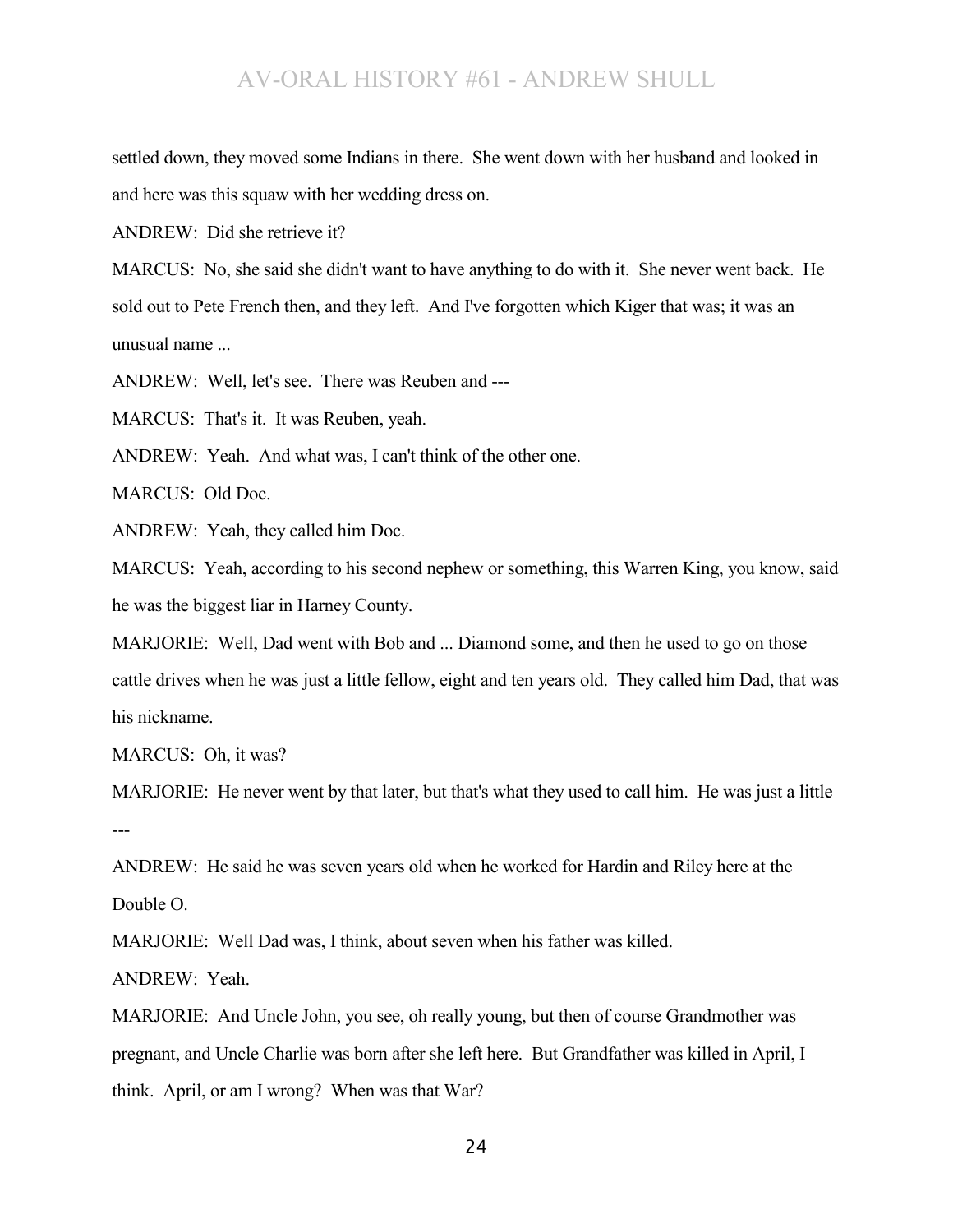settled down, they moved some Indians in there. She went down with her husband and looked in and here was this squaw with her wedding dress on.

ANDREW: Did she retrieve it?

MARCUS: No, she said she didn't want to have anything to do with it. She never went back. He sold out to Pete French then, and they left. And I've forgotten which Kiger that was; it was an unusual name ...

ANDREW: Well, let's see. There was Reuben and ---

MARCUS: That's it. It was Reuben, yeah.

ANDREW: Yeah. And what was, I can't think of the other one.

MARCUS: Old Doc.

ANDREW: Yeah, they called him Doc.

MARCUS: Yeah, according to his second nephew or something, this Warren King, you know, said he was the biggest liar in Harney County.

MARJORIE: Well, Dad went with Bob and ... Diamond some, and then he used to go on those cattle drives when he was just a little fellow, eight and ten years old. They called him Dad, that was his nickname.

MARCUS: Oh, it was?

MARJORIE: He never went by that later, but that's what they used to call him. He was just a little ---

ANDREW: He said he was seven years old when he worked for Hardin and Riley here at the Double O.

MARJORIE: Well Dad was, I think, about seven when his father was killed.

ANDREW: Yeah.

MARJORIE: And Uncle John, you see, oh really young, but then of course Grandmother was pregnant, and Uncle Charlie was born after she left here. But Grandfather was killed in April, I think. April, or am I wrong? When was that War?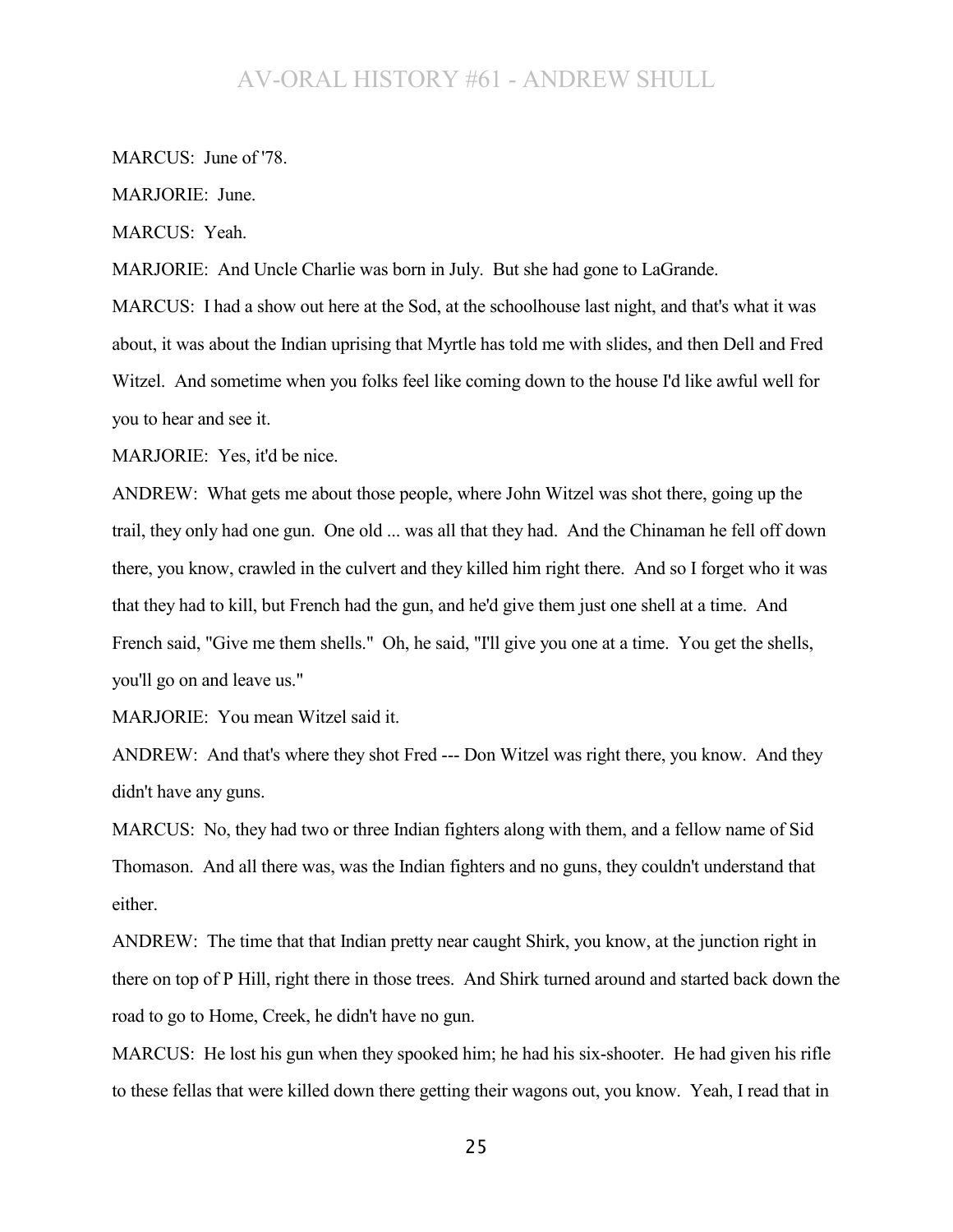MARCUS: June of '78.

MARJORIE: June.

MARCUS: Yeah.

MARJORIE: And Uncle Charlie was born in July. But she had gone to LaGrande.

MARCUS: I had a show out here at the Sod, at the schoolhouse last night, and that's what it was about, it was about the Indian uprising that Myrtle has told me with slides, and then Dell and Fred Witzel. And sometime when you folks feel like coming down to the house I'd like awful well for you to hear and see it.

MARJORIE: Yes, it'd be nice.

ANDREW: What gets me about those people, where John Witzel was shot there, going up the trail, they only had one gun. One old ... was all that they had. And the Chinaman he fell off down there, you know, crawled in the culvert and they killed him right there. And so I forget who it was that they had to kill, but French had the gun, and he'd give them just one shell at a time. And French said, "Give me them shells." Oh, he said, "I'll give you one at a time. You get the shells, you'll go on and leave us."

MARJORIE: You mean Witzel said it.

ANDREW: And that's where they shot Fred --- Don Witzel was right there, you know. And they didn't have any guns.

MARCUS: No, they had two or three Indian fighters along with them, and a fellow name of Sid Thomason. And all there was, was the Indian fighters and no guns, they couldn't understand that either.

ANDREW: The time that that Indian pretty near caught Shirk, you know, at the junction right in there on top of P Hill, right there in those trees. And Shirk turned around and started back down the road to go to Home, Creek, he didn't have no gun.

MARCUS: He lost his gun when they spooked him; he had his six-shooter. He had given his rifle to these fellas that were killed down there getting their wagons out, you know. Yeah, I read that in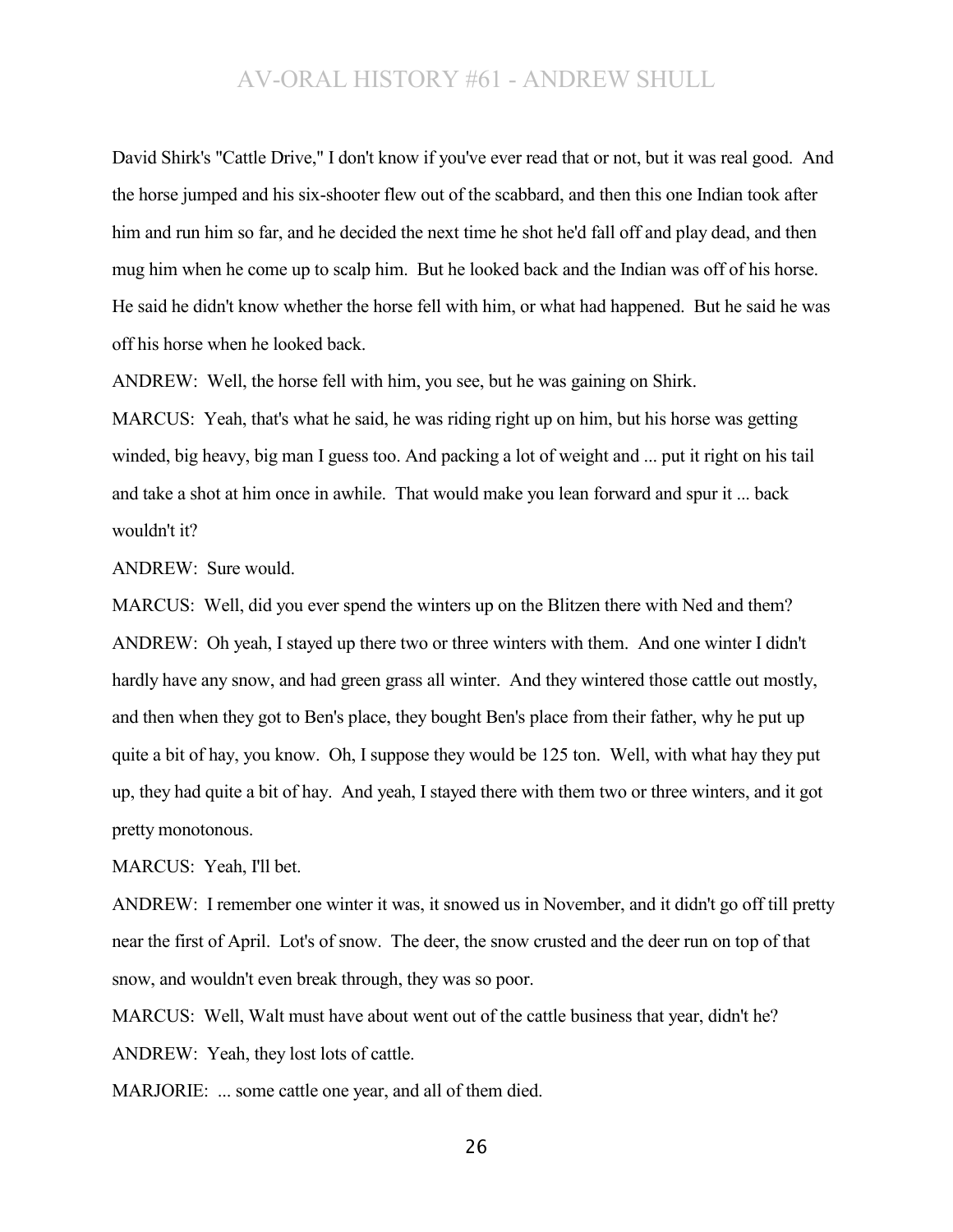David Shirk's "Cattle Drive," I don't know if you've ever read that or not, but it was real good. And the horse jumped and his six-shooter flew out of the scabbard, and then this one Indian took after him and run him so far, and he decided the next time he shot he'd fall off and play dead, and then mug him when he come up to scalp him. But he looked back and the Indian was off of his horse. He said he didn't know whether the horse fell with him, or what had happened. But he said he was off his horse when he looked back.

ANDREW: Well, the horse fell with him, you see, but he was gaining on Shirk.

MARCUS: Yeah, that's what he said, he was riding right up on him, but his horse was getting winded, big heavy, big man I guess too. And packing a lot of weight and ... put it right on his tail and take a shot at him once in awhile. That would make you lean forward and spur it ... back wouldn't it?

ANDREW: Sure would.

MARCUS: Well, did you ever spend the winters up on the Blitzen there with Ned and them? ANDREW: Oh yeah, I stayed up there two or three winters with them. And one winter I didn't hardly have any snow, and had green grass all winter. And they wintered those cattle out mostly, and then when they got to Ben's place, they bought Ben's place from their father, why he put up quite a bit of hay, you know. Oh, I suppose they would be 125 ton. Well, with what hay they put up, they had quite a bit of hay. And yeah, I stayed there with them two or three winters, and it got pretty monotonous.

MARCUS: Yeah, I'll bet.

ANDREW: I remember one winter it was, it snowed us in November, and it didn't go off till pretty near the first of April. Lot's of snow. The deer, the snow crusted and the deer run on top of that snow, and wouldn't even break through, they was so poor.

MARCUS: Well, Walt must have about went out of the cattle business that year, didn't he? ANDREW: Yeah, they lost lots of cattle.

MARJORIE: ... some cattle one year, and all of them died.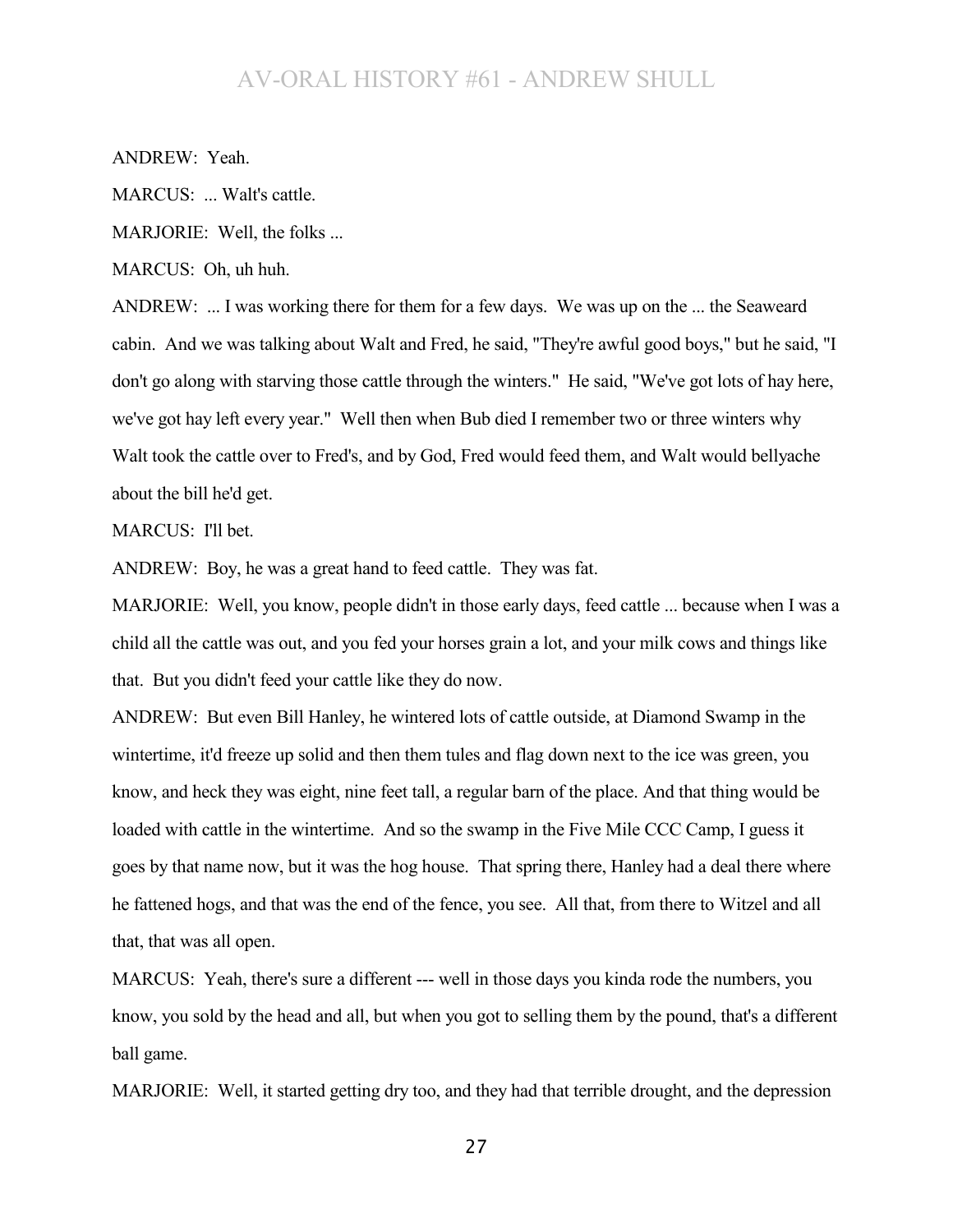ANDREW: Yeah.

MARCUS: ... Walt's cattle.

MARJORIE: Well, the folks ...

MARCUS: Oh, uh huh.

ANDREW: ... I was working there for them for a few days. We was up on the ... the Seaweard cabin. And we was talking about Walt and Fred, he said, "They're awful good boys," but he said, "I don't go along with starving those cattle through the winters." He said, "We've got lots of hay here, we've got hay left every year." Well then when Bub died I remember two or three winters why Walt took the cattle over to Fred's, and by God, Fred would feed them, and Walt would bellyache about the bill he'd get.

### MARCUS: I'll bet.

ANDREW: Boy, he was a great hand to feed cattle. They was fat.

MARJORIE: Well, you know, people didn't in those early days, feed cattle ... because when I was a child all the cattle was out, and you fed your horses grain a lot, and your milk cows and things like that. But you didn't feed your cattle like they do now.

ANDREW: But even Bill Hanley, he wintered lots of cattle outside, at Diamond Swamp in the wintertime, it'd freeze up solid and then them tules and flag down next to the ice was green, you know, and heck they was eight, nine feet tall, a regular barn of the place. And that thing would be loaded with cattle in the wintertime. And so the swamp in the Five Mile CCC Camp, I guess it goes by that name now, but it was the hog house. That spring there, Hanley had a deal there where he fattened hogs, and that was the end of the fence, you see. All that, from there to Witzel and all that, that was all open.

MARCUS: Yeah, there's sure a different --- well in those days you kinda rode the numbers, you know, you sold by the head and all, but when you got to selling them by the pound, that's a different ball game.

MARJORIE: Well, it started getting dry too, and they had that terrible drought, and the depression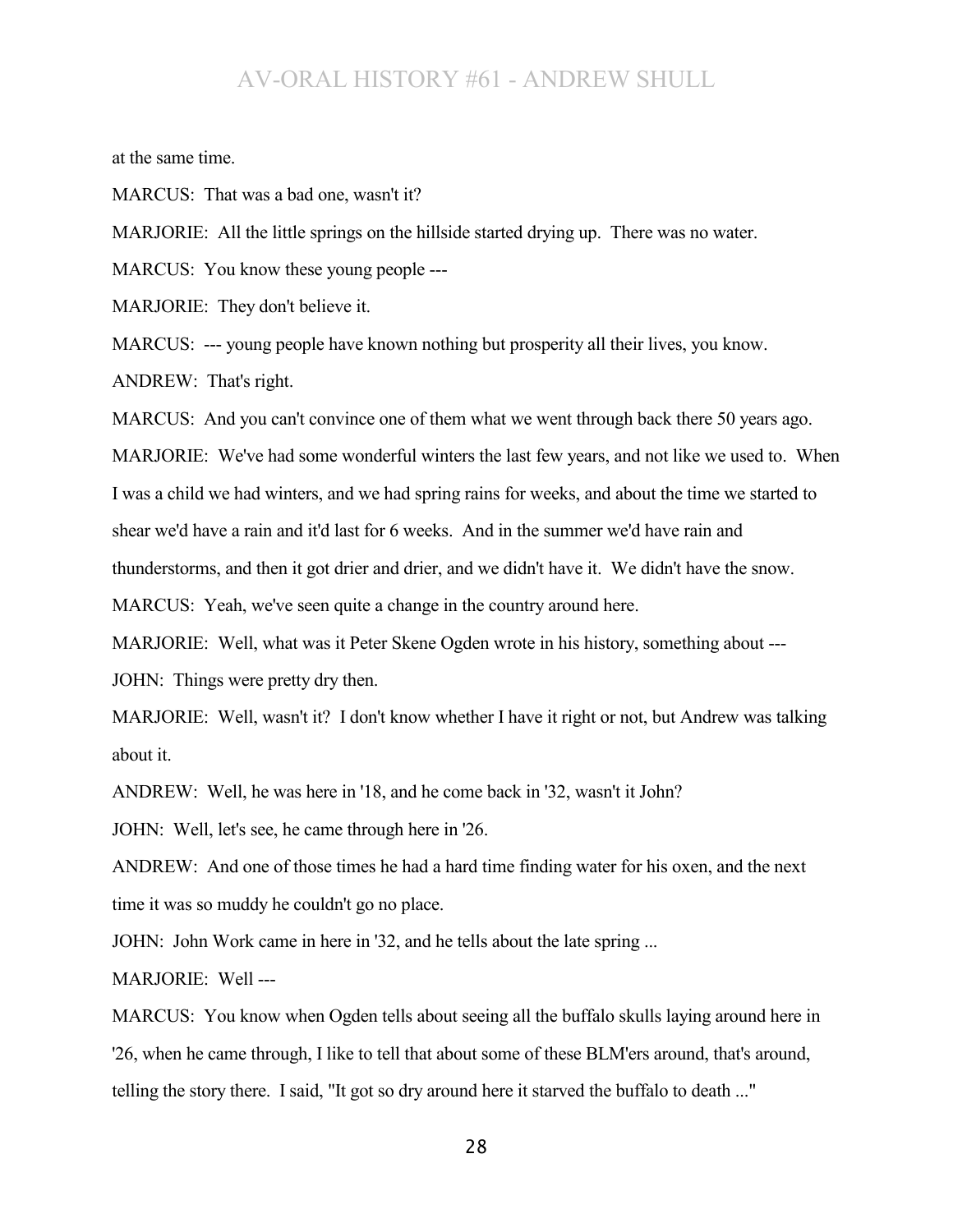at the same time.

MARCUS: That was a bad one, wasn't it?

MARJORIE: All the little springs on the hillside started drying up. There was no water.

MARCUS: You know these young people ---

MARJORIE: They don't believe it.

MARCUS: --- young people have known nothing but prosperity all their lives, you know. ANDREW: That's right.

MARCUS: And you can't convince one of them what we went through back there 50 years ago.

MARJORIE: We've had some wonderful winters the last few years, and not like we used to. When

I was a child we had winters, and we had spring rains for weeks, and about the time we started to

shear we'd have a rain and it'd last for 6 weeks. And in the summer we'd have rain and

thunderstorms, and then it got drier and drier, and we didn't have it. We didn't have the snow.

MARCUS: Yeah, we've seen quite a change in the country around here.

MARJORIE: Well, what was it Peter Skene Ogden wrote in his history, something about ---

JOHN: Things were pretty dry then.

MARJORIE: Well, wasn't it? I don't know whether I have it right or not, but Andrew was talking about it.

ANDREW: Well, he was here in '18, and he come back in '32, wasn't it John?

JOHN: Well, let's see, he came through here in '26.

ANDREW: And one of those times he had a hard time finding water for his oxen, and the next time it was so muddy he couldn't go no place.

JOHN: John Work came in here in '32, and he tells about the late spring ...

MARJORIE: Well ---

MARCUS: You know when Ogden tells about seeing all the buffalo skulls laying around here in '26, when he came through, I like to tell that about some of these BLM'ers around, that's around, telling the story there. I said, "It got so dry around here it starved the buffalo to death ..."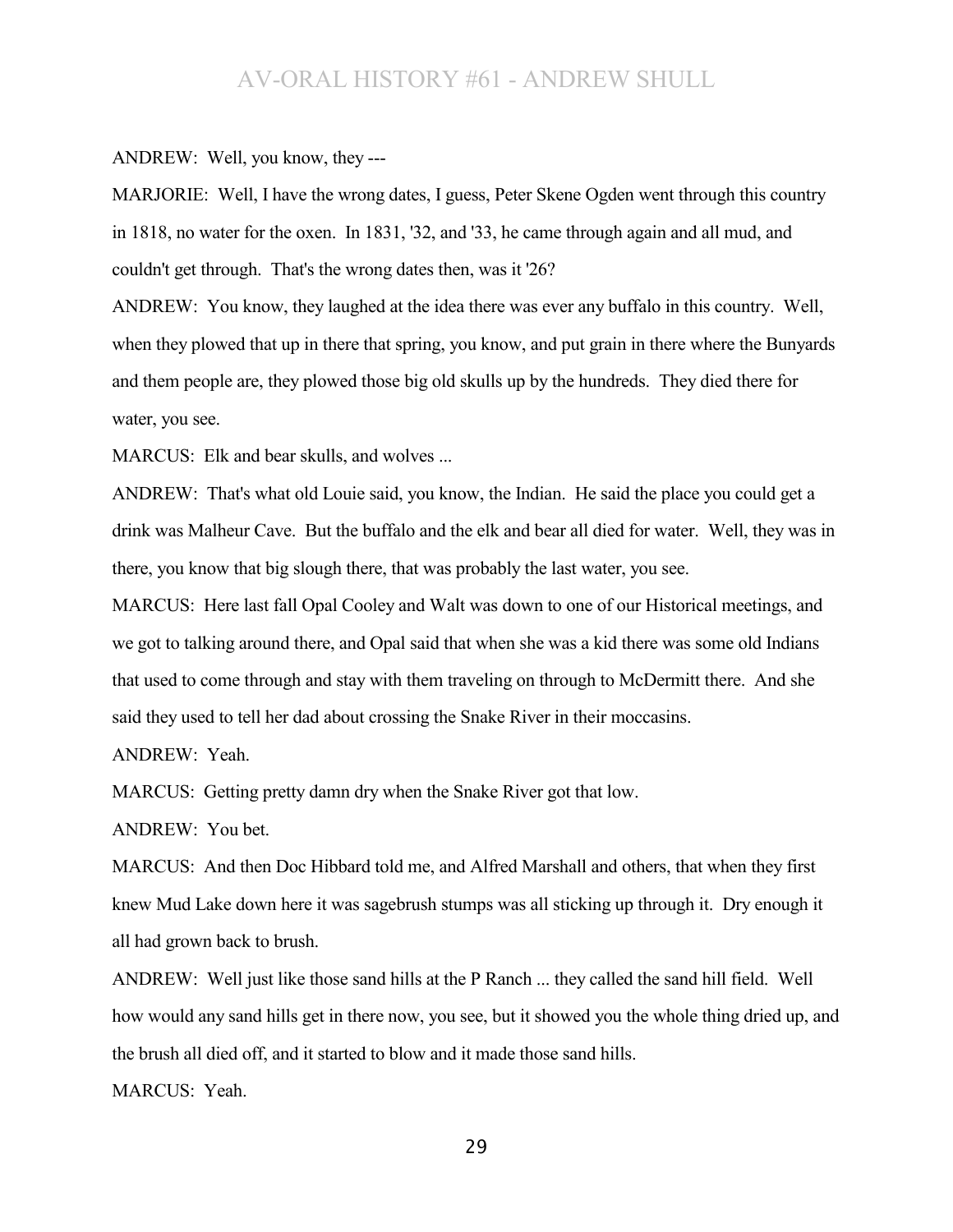#### ANDREW: Well, you know, they ---

MARJORIE: Well, I have the wrong dates, I guess, Peter Skene Ogden went through this country in 1818, no water for the oxen. In 1831, '32, and '33, he came through again and all mud, and couldn't get through. That's the wrong dates then, was it '26?

ANDREW: You know, they laughed at the idea there was ever any buffalo in this country. Well, when they plowed that up in there that spring, you know, and put grain in there where the Bunyards and them people are, they plowed those big old skulls up by the hundreds. They died there for water, you see.

MARCUS: Elk and bear skulls, and wolves ...

ANDREW: That's what old Louie said, you know, the Indian. He said the place you could get a drink was Malheur Cave. But the buffalo and the elk and bear all died for water. Well, they was in there, you know that big slough there, that was probably the last water, you see.

MARCUS: Here last fall Opal Cooley and Walt was down to one of our Historical meetings, and we got to talking around there, and Opal said that when she was a kid there was some old Indians that used to come through and stay with them traveling on through to McDermitt there. And she said they used to tell her dad about crossing the Snake River in their moccasins.

ANDREW: Yeah.

MARCUS: Getting pretty damn dry when the Snake River got that low.

ANDREW: You bet.

MARCUS: And then Doc Hibbard told me, and Alfred Marshall and others, that when they first knew Mud Lake down here it was sagebrush stumps was all sticking up through it. Dry enough it all had grown back to brush.

ANDREW: Well just like those sand hills at the P Ranch ... they called the sand hill field. Well how would any sand hills get in there now, you see, but it showed you the whole thing dried up, and the brush all died off, and it started to blow and it made those sand hills.

MARCUS: Yeah.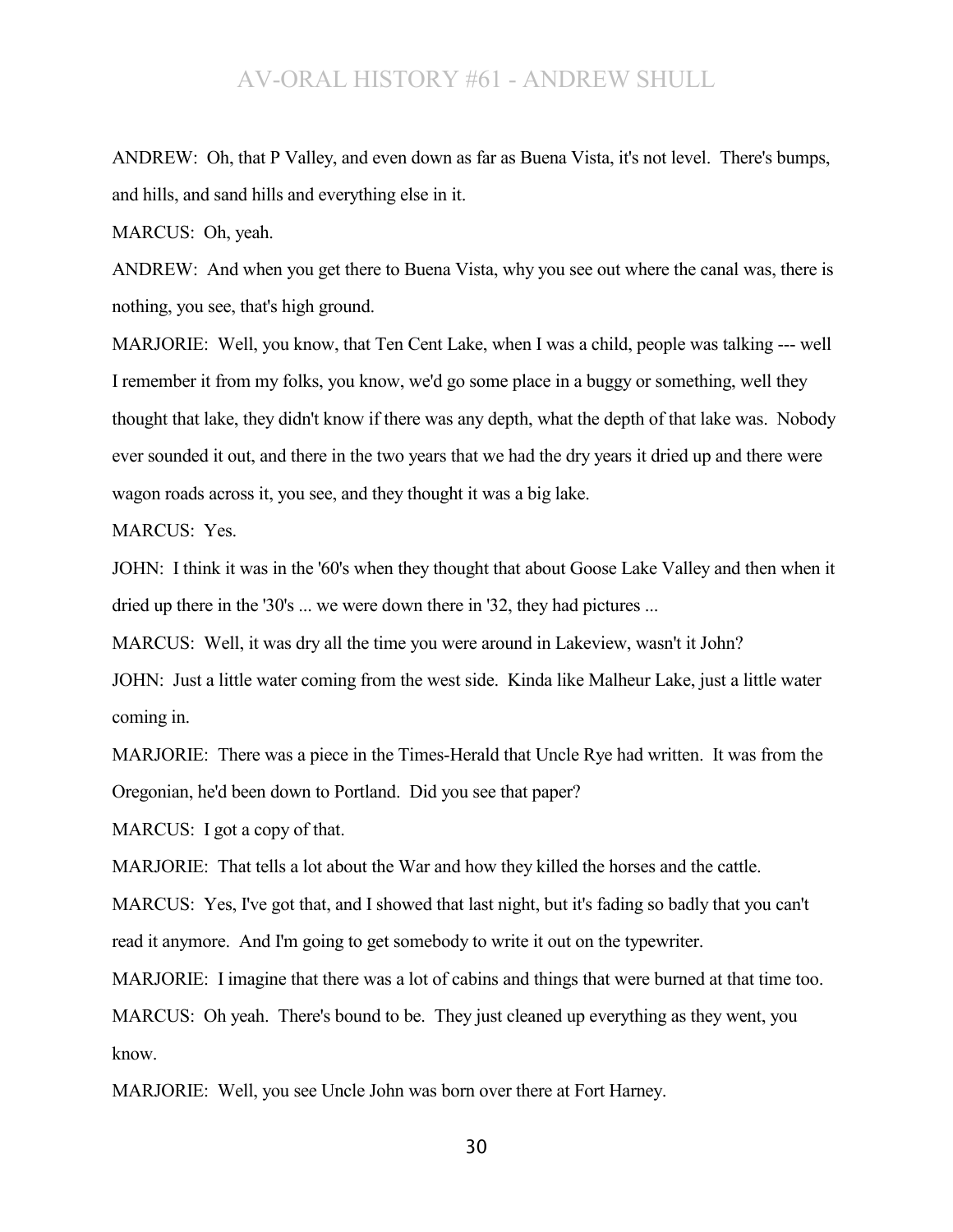ANDREW: Oh, that P Valley, and even down as far as Buena Vista, it's not level. There's bumps, and hills, and sand hills and everything else in it.

MARCUS: Oh, yeah.

ANDREW: And when you get there to Buena Vista, why you see out where the canal was, there is nothing, you see, that's high ground.

MARJORIE: Well, you know, that Ten Cent Lake, when I was a child, people was talking --- well I remember it from my folks, you know, we'd go some place in a buggy or something, well they thought that lake, they didn't know if there was any depth, what the depth of that lake was. Nobody ever sounded it out, and there in the two years that we had the dry years it dried up and there were wagon roads across it, you see, and they thought it was a big lake.

MARCUS: Yes.

JOHN: I think it was in the '60's when they thought that about Goose Lake Valley and then when it dried up there in the '30's ... we were down there in '32, they had pictures ...

MARCUS: Well, it was dry all the time you were around in Lakeview, wasn't it John?

JOHN: Just a little water coming from the west side. Kinda like Malheur Lake, just a little water coming in.

MARJORIE: There was a piece in the Times-Herald that Uncle Rye had written. It was from the Oregonian, he'd been down to Portland. Did you see that paper?

MARCUS: I got a copy of that.

MARJORIE: That tells a lot about the War and how they killed the horses and the cattle.

MARCUS: Yes, I've got that, and I showed that last night, but it's fading so badly that you can't read it anymore. And I'm going to get somebody to write it out on the typewriter.

MARJORIE: I imagine that there was a lot of cabins and things that were burned at that time too.

MARCUS: Oh yeah. There's bound to be. They just cleaned up everything as they went, you know.

MARJORIE: Well, you see Uncle John was born over there at Fort Harney.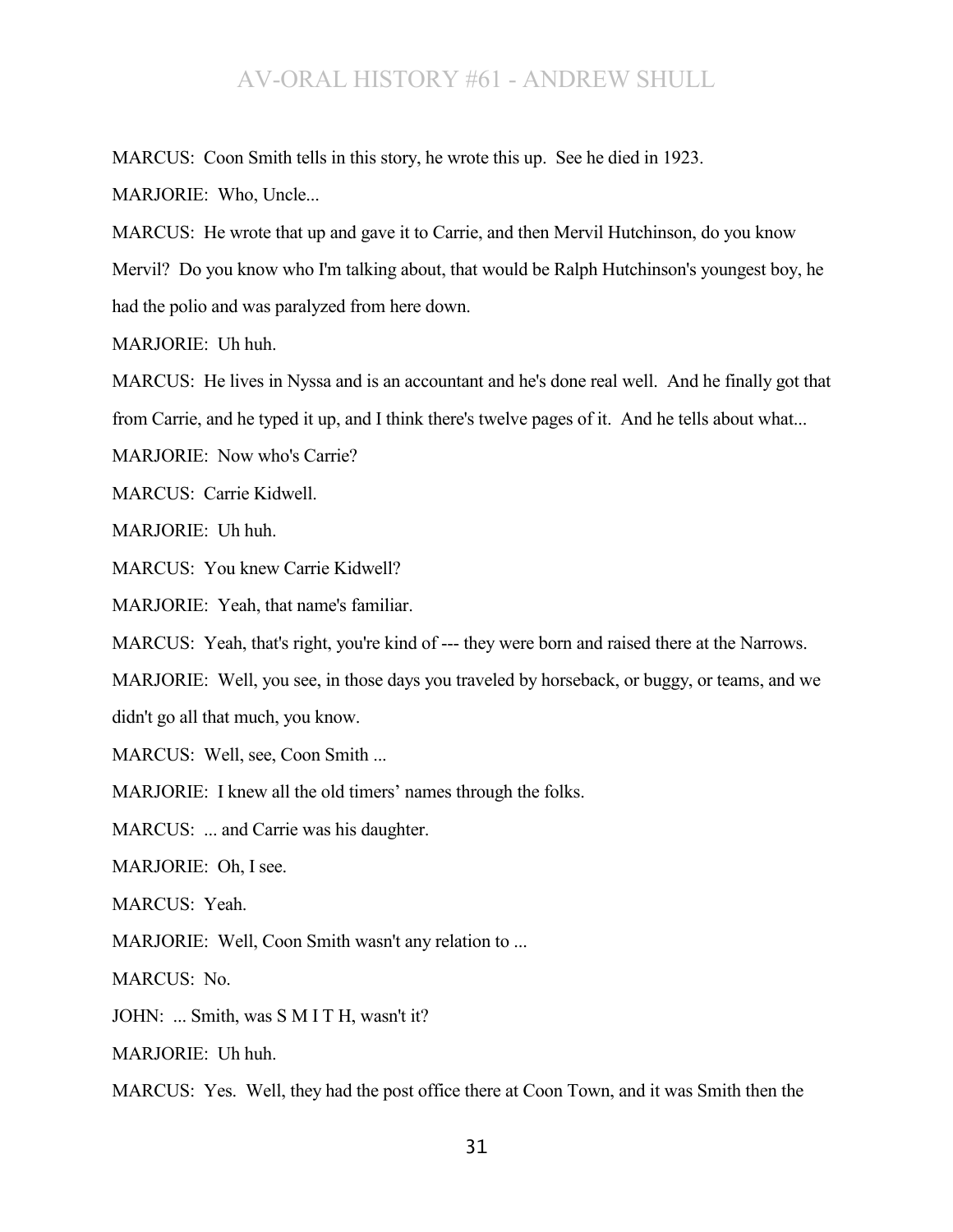MARCUS: Coon Smith tells in this story, he wrote this up. See he died in 1923.

MARJORIE: Who, Uncle...

MARCUS: He wrote that up and gave it to Carrie, and then Mervil Hutchinson, do you know Mervil? Do you know who I'm talking about, that would be Ralph Hutchinson's youngest boy, he had the polio and was paralyzed from here down.

MARJORIE: Uh huh.

MARCUS: He lives in Nyssa and is an accountant and he's done real well. And he finally got that

from Carrie, and he typed it up, and I think there's twelve pages of it. And he tells about what...

MARJORIE: Now who's Carrie?

MARCUS: Carrie Kidwell.

MARJORIE: Uh huh.

MARCUS: You knew Carrie Kidwell?

MARJORIE: Yeah, that name's familiar.

MARCUS: Yeah, that's right, you're kind of --- they were born and raised there at the Narrows.

MARJORIE: Well, you see, in those days you traveled by horseback, or buggy, or teams, and we didn't go all that much, you know.

MARCUS: Well, see, Coon Smith ...

MARJORIE: I knew all the old timers' names through the folks.

MARCUS: ... and Carrie was his daughter.

MARJORIE: Oh, I see.

MARCUS: Yeah.

MARJORIE: Well, Coon Smith wasn't any relation to ...

MARCUS: No.

JOHN: ... Smith, was S M I T H, wasn't it?

MARJORIE: Uh huh.

MARCUS: Yes. Well, they had the post office there at Coon Town, and it was Smith then the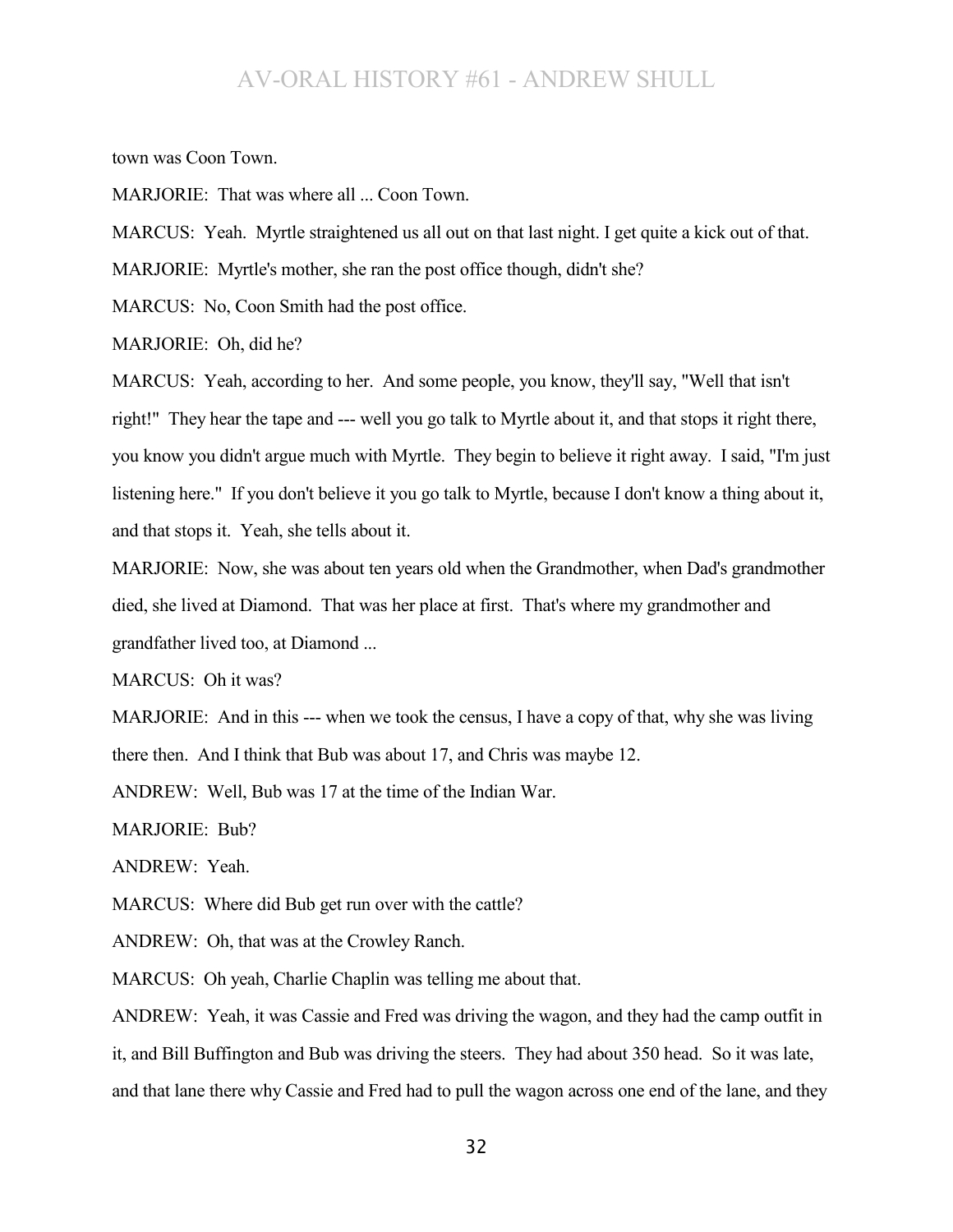town was Coon Town.

MARJORIE: That was where all ... Coon Town.

MARCUS: Yeah. Myrtle straightened us all out on that last night. I get quite a kick out of that.

MARJORIE: Myrtle's mother, she ran the post office though, didn't she?

MARCUS: No, Coon Smith had the post office.

MARJORIE: Oh, did he?

MARCUS: Yeah, according to her. And some people, you know, they'll say, "Well that isn't right!" They hear the tape and --- well you go talk to Myrtle about it, and that stops it right there, you know you didn't argue much with Myrtle. They begin to believe it right away. I said, "I'm just listening here." If you don't believe it you go talk to Myrtle, because I don't know a thing about it, and that stops it. Yeah, she tells about it.

MARJORIE: Now, she was about ten years old when the Grandmother, when Dad's grandmother died, she lived at Diamond. That was her place at first. That's where my grandmother and grandfather lived too, at Diamond ...

MARCUS: Oh it was?

MARJORIE: And in this --- when we took the census, I have a copy of that, why she was living there then. And I think that Bub was about 17, and Chris was maybe 12.

ANDREW: Well, Bub was 17 at the time of the Indian War.

MARJORIE: Bub?

ANDREW: Yeah.

MARCUS: Where did Bub get run over with the cattle?

ANDREW: Oh, that was at the Crowley Ranch.

MARCUS: Oh yeah, Charlie Chaplin was telling me about that.

ANDREW: Yeah, it was Cassie and Fred was driving the wagon, and they had the camp outfit in it, and Bill Buffington and Bub was driving the steers. They had about 350 head. So it was late, and that lane there why Cassie and Fred had to pull the wagon across one end of the lane, and they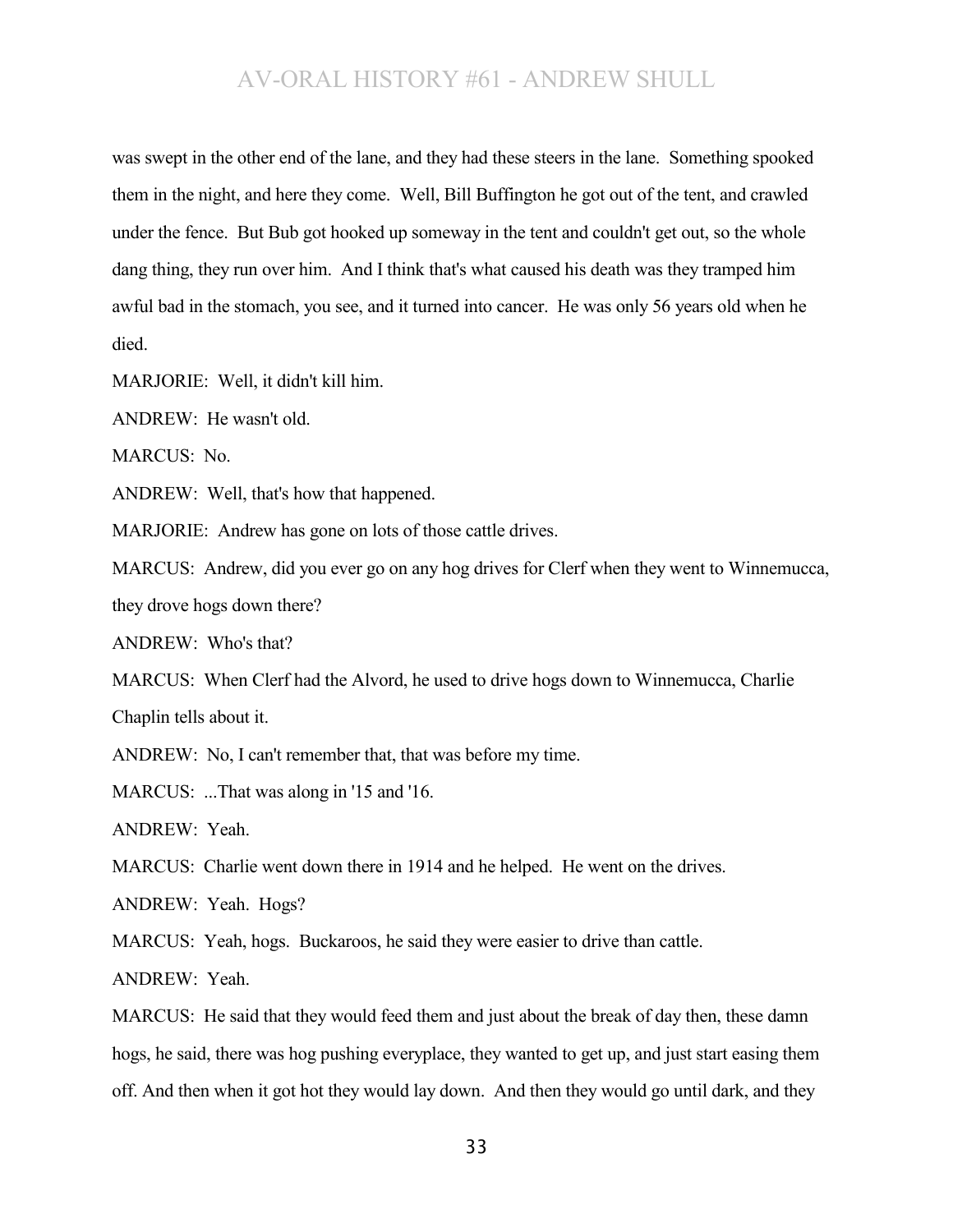was swept in the other end of the lane, and they had these steers in the lane. Something spooked them in the night, and here they come. Well, Bill Buffington he got out of the tent, and crawled under the fence. But Bub got hooked up someway in the tent and couldn't get out, so the whole dang thing, they run over him. And I think that's what caused his death was they tramped him awful bad in the stomach, you see, and it turned into cancer. He was only 56 years old when he died.

MARJORIE: Well, it didn't kill him.

ANDREW: He wasn't old.

MARCUS: No.

ANDREW: Well, that's how that happened.

MARJORIE: Andrew has gone on lots of those cattle drives.

MARCUS: Andrew, did you ever go on any hog drives for Clerf when they went to Winnemucca, they drove hogs down there?

ANDREW: Who's that?

MARCUS: When Clerf had the Alvord, he used to drive hogs down to Winnemucca, Charlie Chaplin tells about it.

ANDREW: No, I can't remember that, that was before my time.

MARCUS: ...That was along in '15 and '16.

ANDREW: Yeah.

MARCUS: Charlie went down there in 1914 and he helped. He went on the drives.

ANDREW: Yeah. Hogs?

MARCUS: Yeah, hogs. Buckaroos, he said they were easier to drive than cattle.

ANDREW: Yeah.

MARCUS: He said that they would feed them and just about the break of day then, these damn hogs, he said, there was hog pushing everyplace, they wanted to get up, and just start easing them off. And then when it got hot they would lay down. And then they would go until dark, and they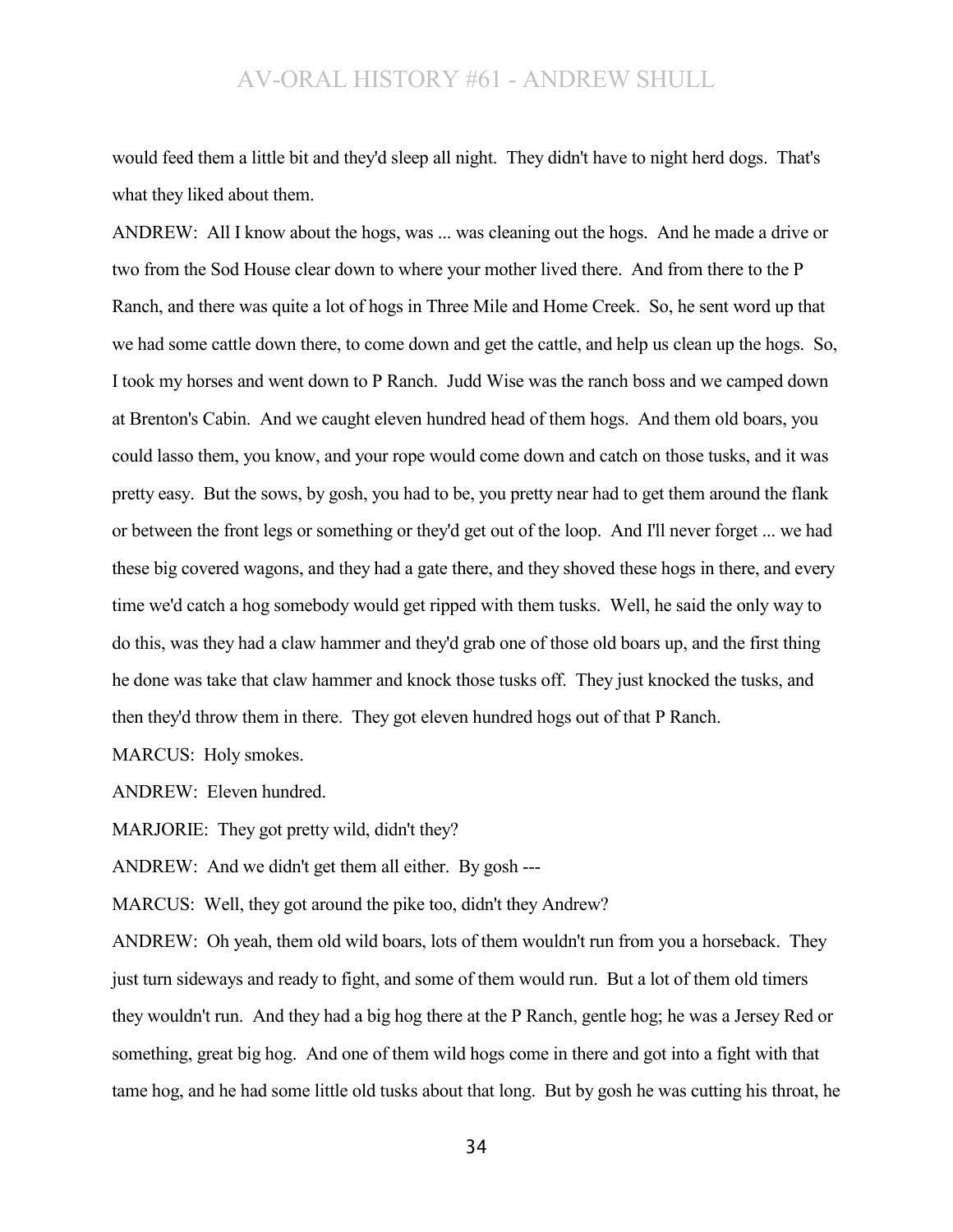would feed them a little bit and they'd sleep all night. They didn't have to night herd dogs. That's what they liked about them.

ANDREW: All I know about the hogs, was ... was cleaning out the hogs. And he made a drive or two from the Sod House clear down to where your mother lived there. And from there to the P Ranch, and there was quite a lot of hogs in Three Mile and Home Creek. So, he sent word up that we had some cattle down there, to come down and get the cattle, and help us clean up the hogs. So, I took my horses and went down to P Ranch. Judd Wise was the ranch boss and we camped down at Brenton's Cabin. And we caught eleven hundred head of them hogs. And them old boars, you could lasso them, you know, and your rope would come down and catch on those tusks, and it was pretty easy. But the sows, by gosh, you had to be, you pretty near had to get them around the flank or between the front legs or something or they'd get out of the loop. And I'll never forget ... we had these big covered wagons, and they had a gate there, and they shoved these hogs in there, and every time we'd catch a hog somebody would get ripped with them tusks. Well, he said the only way to do this, was they had a claw hammer and they'd grab one of those old boars up, and the first thing he done was take that claw hammer and knock those tusks off. They just knocked the tusks, and then they'd throw them in there. They got eleven hundred hogs out of that P Ranch.

MARCUS: Holy smokes.

ANDREW: Eleven hundred.

MARJORIE: They got pretty wild, didn't they?

ANDREW: And we didn't get them all either. By gosh ---

MARCUS: Well, they got around the pike too, didn't they Andrew?

ANDREW: Oh yeah, them old wild boars, lots of them wouldn't run from you a horseback. They just turn sideways and ready to fight, and some of them would run. But a lot of them old timers they wouldn't run. And they had a big hog there at the P Ranch, gentle hog; he was a Jersey Red or something, great big hog. And one of them wild hogs come in there and got into a fight with that tame hog, and he had some little old tusks about that long. But by gosh he was cutting his throat, he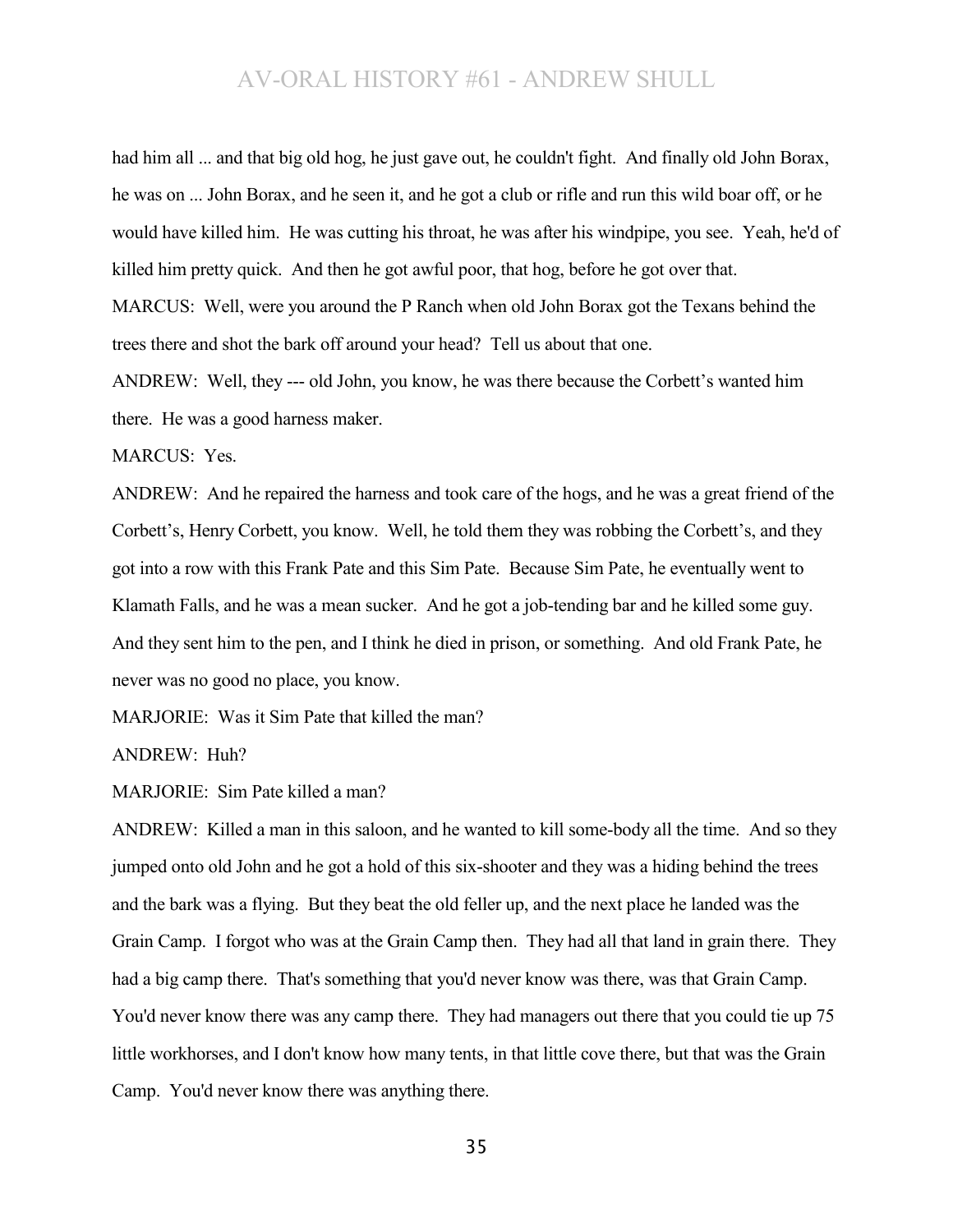had him all ... and that big old hog, he just gave out, he couldn't fight. And finally old John Borax, he was on ... John Borax, and he seen it, and he got a club or rifle and run this wild boar off, or he would have killed him. He was cutting his throat, he was after his windpipe, you see. Yeah, he'd of killed him pretty quick. And then he got awful poor, that hog, before he got over that. MARCUS: Well, were you around the P Ranch when old John Borax got the Texans behind the trees there and shot the bark off around your head? Tell us about that one.

ANDREW: Well, they --- old John, you know, he was there because the Corbett's wanted him there. He was a good harness maker.

MARCUS: Yes.

ANDREW: And he repaired the harness and took care of the hogs, and he was a great friend of the Corbett's, Henry Corbett, you know. Well, he told them they was robbing the Corbett's, and they got into a row with this Frank Pate and this Sim Pate. Because Sim Pate, he eventually went to Klamath Falls, and he was a mean sucker. And he got a job-tending bar and he killed some guy. And they sent him to the pen, and I think he died in prison, or something. And old Frank Pate, he never was no good no place, you know.

MARJORIE: Was it Sim Pate that killed the man?

ANDREW: Huh?

MARJORIE: Sim Pate killed a man?

ANDREW: Killed a man in this saloon, and he wanted to kill some-body all the time. And so they jumped onto old John and he got a hold of this six-shooter and they was a hiding behind the trees and the bark was a flying. But they beat the old feller up, and the next place he landed was the Grain Camp. I forgot who was at the Grain Camp then. They had all that land in grain there. They had a big camp there. That's something that you'd never know was there, was that Grain Camp. You'd never know there was any camp there. They had managers out there that you could tie up 75 little workhorses, and I don't know how many tents, in that little cove there, but that was the Grain Camp. You'd never know there was anything there.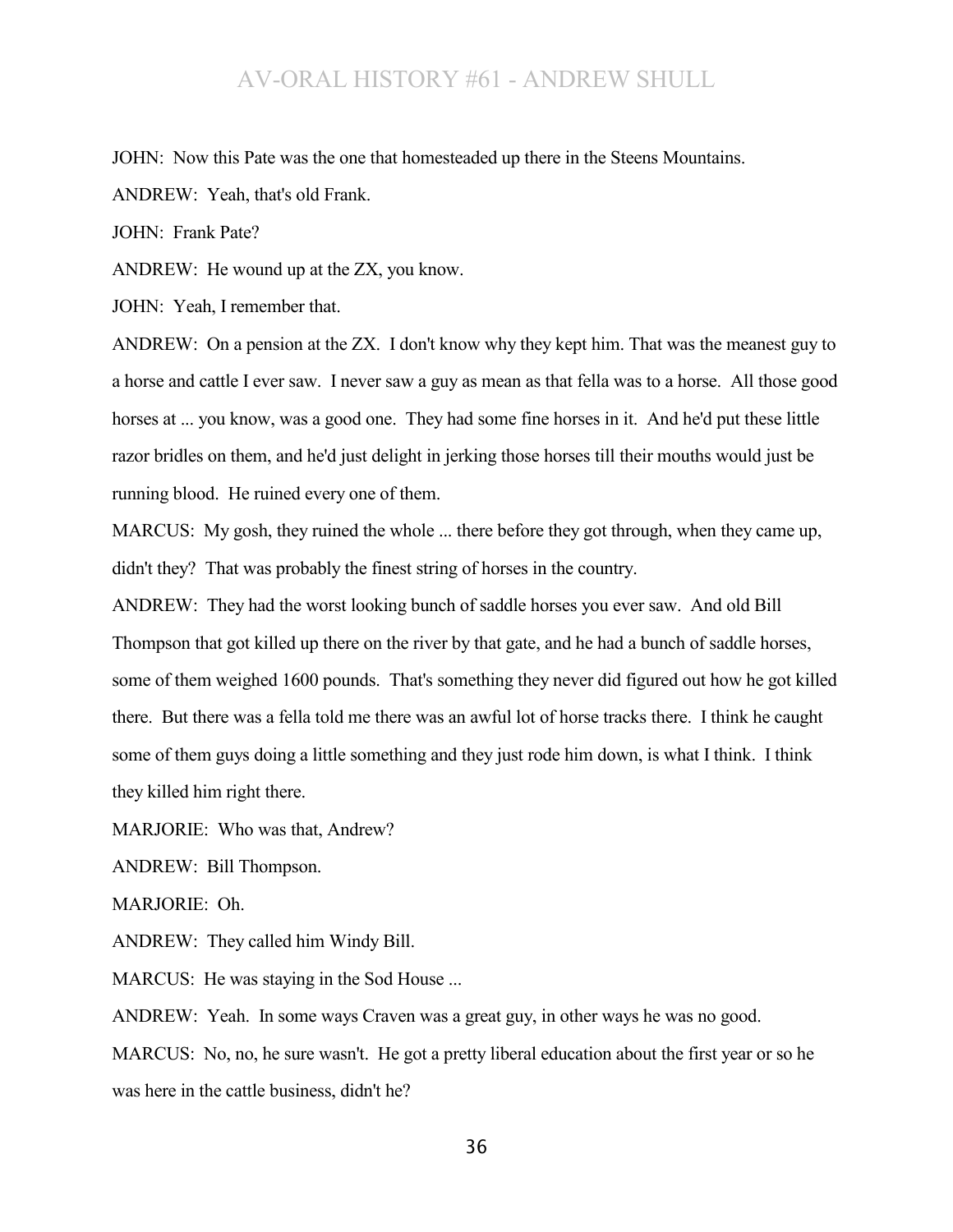JOHN: Now this Pate was the one that homesteaded up there in the Steens Mountains.

ANDREW: Yeah, that's old Frank.

JOHN: Frank Pate?

ANDREW: He wound up at the ZX, you know.

JOHN: Yeah, I remember that.

ANDREW: On a pension at the ZX. I don't know why they kept him. That was the meanest guy to a horse and cattle I ever saw. I never saw a guy as mean as that fella was to a horse. All those good horses at ... you know, was a good one. They had some fine horses in it. And he'd put these little razor bridles on them, and he'd just delight in jerking those horses till their mouths would just be running blood. He ruined every one of them.

MARCUS: My gosh, they ruined the whole ... there before they got through, when they came up, didn't they? That was probably the finest string of horses in the country.

ANDREW: They had the worst looking bunch of saddle horses you ever saw. And old Bill Thompson that got killed up there on the river by that gate, and he had a bunch of saddle horses, some of them weighed 1600 pounds. That's something they never did figured out how he got killed there. But there was a fella told me there was an awful lot of horse tracks there. I think he caught some of them guys doing a little something and they just rode him down, is what I think. I think they killed him right there.

MARJORIE: Who was that, Andrew?

ANDREW: Bill Thompson.

MARJORIE: Oh.

ANDREW: They called him Windy Bill.

MARCUS: He was staying in the Sod House ...

ANDREW: Yeah. In some ways Craven was a great guy, in other ways he was no good.

MARCUS: No, no, he sure wasn't. He got a pretty liberal education about the first year or so he was here in the cattle business, didn't he?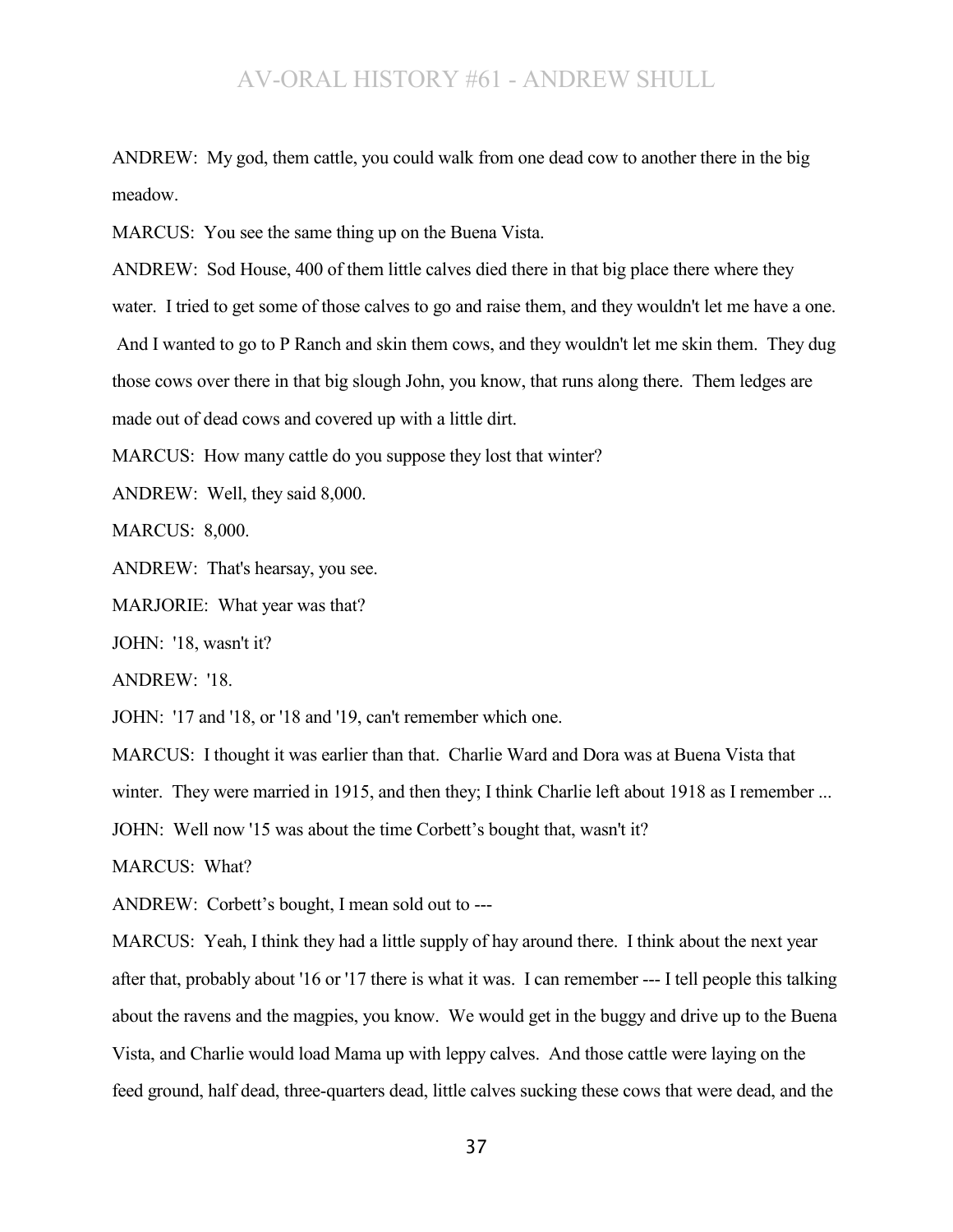ANDREW: My god, them cattle, you could walk from one dead cow to another there in the big meadow.

MARCUS: You see the same thing up on the Buena Vista.

ANDREW: Sod House, 400 of them little calves died there in that big place there where they water. I tried to get some of those calves to go and raise them, and they wouldn't let me have a one. And I wanted to go to P Ranch and skin them cows, and they wouldn't let me skin them. They dug those cows over there in that big slough John, you know, that runs along there. Them ledges are made out of dead cows and covered up with a little dirt.

MARCUS: How many cattle do you suppose they lost that winter?

ANDREW: Well, they said 8,000.

MARCUS: 8,000.

ANDREW: That's hearsay, you see.

MARJORIE: What year was that?

JOHN: '18, wasn't it?

ANDREW: '18.

JOHN: '17 and '18, or '18 and '19, can't remember which one.

MARCUS: I thought it was earlier than that. Charlie Ward and Dora was at Buena Vista that

winter. They were married in 1915, and then they; I think Charlie left about 1918 as I remember ...

JOHN: Well now '15 was about the time Corbett's bought that, wasn't it?

MARCUS: What?

ANDREW: Corbett's bought, I mean sold out to ---

MARCUS: Yeah, I think they had a little supply of hay around there. I think about the next year after that, probably about '16 or '17 there is what it was. I can remember --- I tell people this talking about the ravens and the magpies, you know. We would get in the buggy and drive up to the Buena Vista, and Charlie would load Mama up with leppy calves. And those cattle were laying on the feed ground, half dead, three-quarters dead, little calves sucking these cows that were dead, and the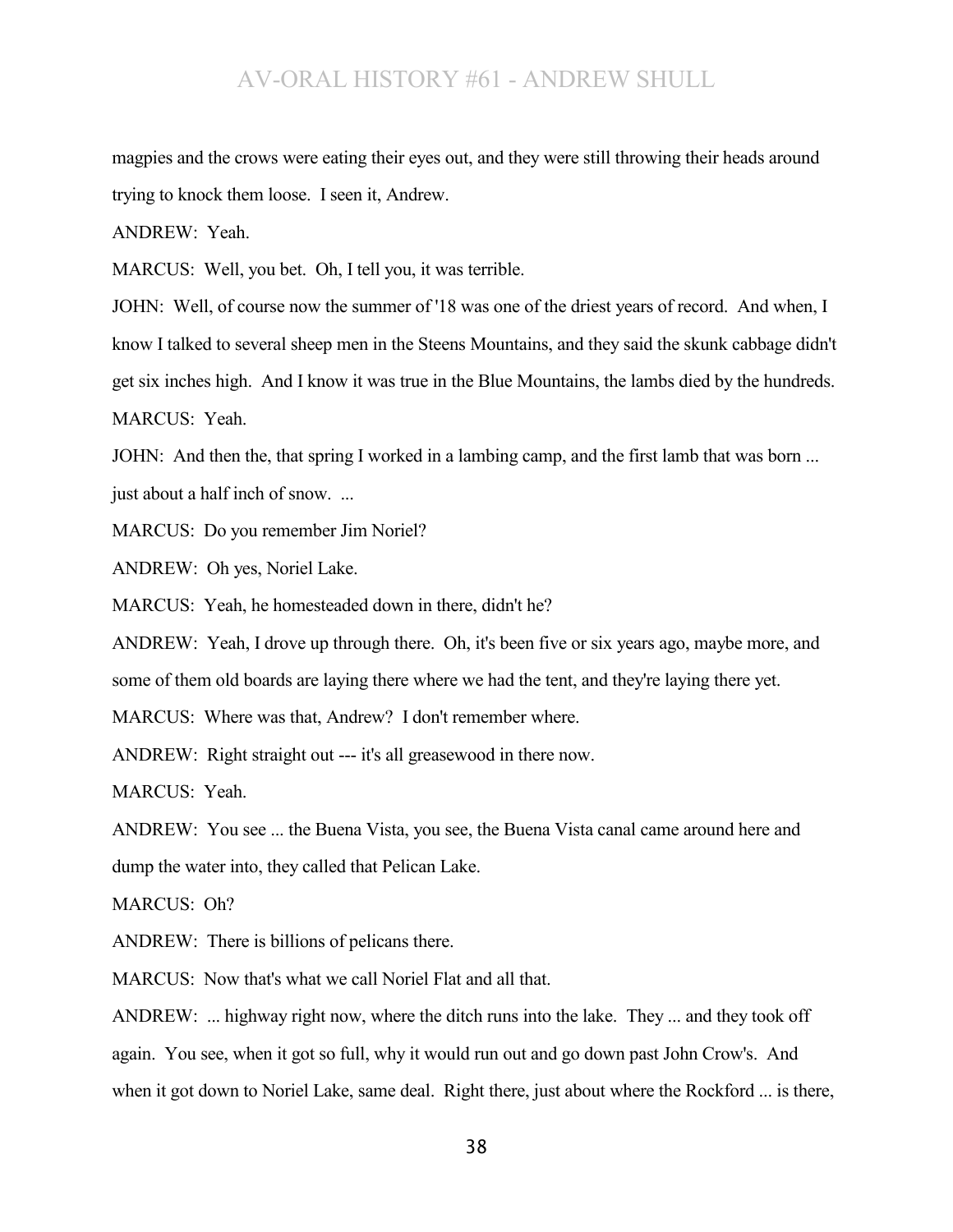magpies and the crows were eating their eyes out, and they were still throwing their heads around trying to knock them loose. I seen it, Andrew.

ANDREW: Yeah.

MARCUS: Well, you bet. Oh, I tell you, it was terrible.

JOHN: Well, of course now the summer of '18 was one of the driest years of record. And when, I know I talked to several sheep men in the Steens Mountains, and they said the skunk cabbage didn't get six inches high. And I know it was true in the Blue Mountains, the lambs died by the hundreds. MARCUS: Yeah.

JOHN: And then the, that spring I worked in a lambing camp, and the first lamb that was born ... just about a half inch of snow. ...

MARCUS: Do you remember Jim Noriel?

ANDREW: Oh yes, Noriel Lake.

MARCUS: Yeah, he homesteaded down in there, didn't he?

ANDREW: Yeah, I drove up through there. Oh, it's been five or six years ago, maybe more, and some of them old boards are laying there where we had the tent, and they're laying there yet.

MARCUS: Where was that, Andrew? I don't remember where.

ANDREW: Right straight out --- it's all greasewood in there now.

MARCUS: Yeah.

ANDREW: You see ... the Buena Vista, you see, the Buena Vista canal came around here and dump the water into, they called that Pelican Lake.

MARCUS: Oh?

ANDREW: There is billions of pelicans there.

MARCUS: Now that's what we call Noriel Flat and all that.

ANDREW: ... highway right now, where the ditch runs into the lake. They ... and they took off again. You see, when it got so full, why it would run out and go down past John Crow's. And when it got down to Noriel Lake, same deal. Right there, just about where the Rockford ... is there,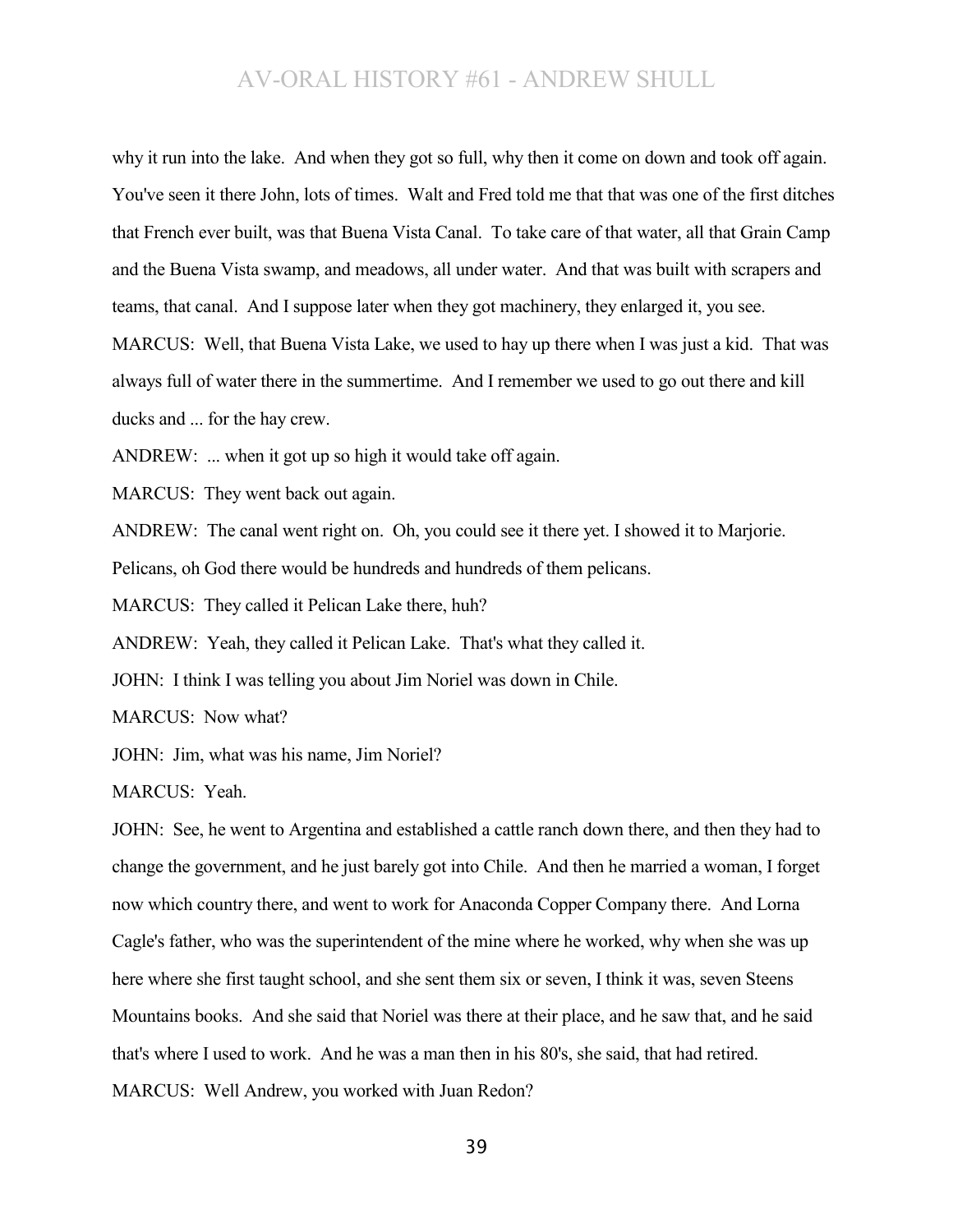why it run into the lake. And when they got so full, why then it come on down and took off again. You've seen it there John, lots of times. Walt and Fred told me that that was one of the first ditches that French ever built, was that Buena Vista Canal. To take care of that water, all that Grain Camp and the Buena Vista swamp, and meadows, all under water. And that was built with scrapers and teams, that canal. And I suppose later when they got machinery, they enlarged it, you see. MARCUS: Well, that Buena Vista Lake, we used to hay up there when I was just a kid. That was always full of water there in the summertime. And I remember we used to go out there and kill ducks and ... for the hay crew.

ANDREW: ... when it got up so high it would take off again.

MARCUS: They went back out again.

ANDREW: The canal went right on. Oh, you could see it there yet. I showed it to Marjorie.

Pelicans, oh God there would be hundreds and hundreds of them pelicans.

MARCUS: They called it Pelican Lake there, huh?

ANDREW: Yeah, they called it Pelican Lake. That's what they called it.

JOHN: I think I was telling you about Jim Noriel was down in Chile.

MARCUS: Now what?

JOHN: Jim, what was his name, Jim Noriel?

MARCUS: Yeah.

JOHN: See, he went to Argentina and established a cattle ranch down there, and then they had to change the government, and he just barely got into Chile. And then he married a woman, I forget now which country there, and went to work for Anaconda Copper Company there. And Lorna Cagle's father, who was the superintendent of the mine where he worked, why when she was up here where she first taught school, and she sent them six or seven, I think it was, seven Steens Mountains books. And she said that Noriel was there at their place, and he saw that, and he said that's where I used to work. And he was a man then in his 80's, she said, that had retired. MARCUS: Well Andrew, you worked with Juan Redon?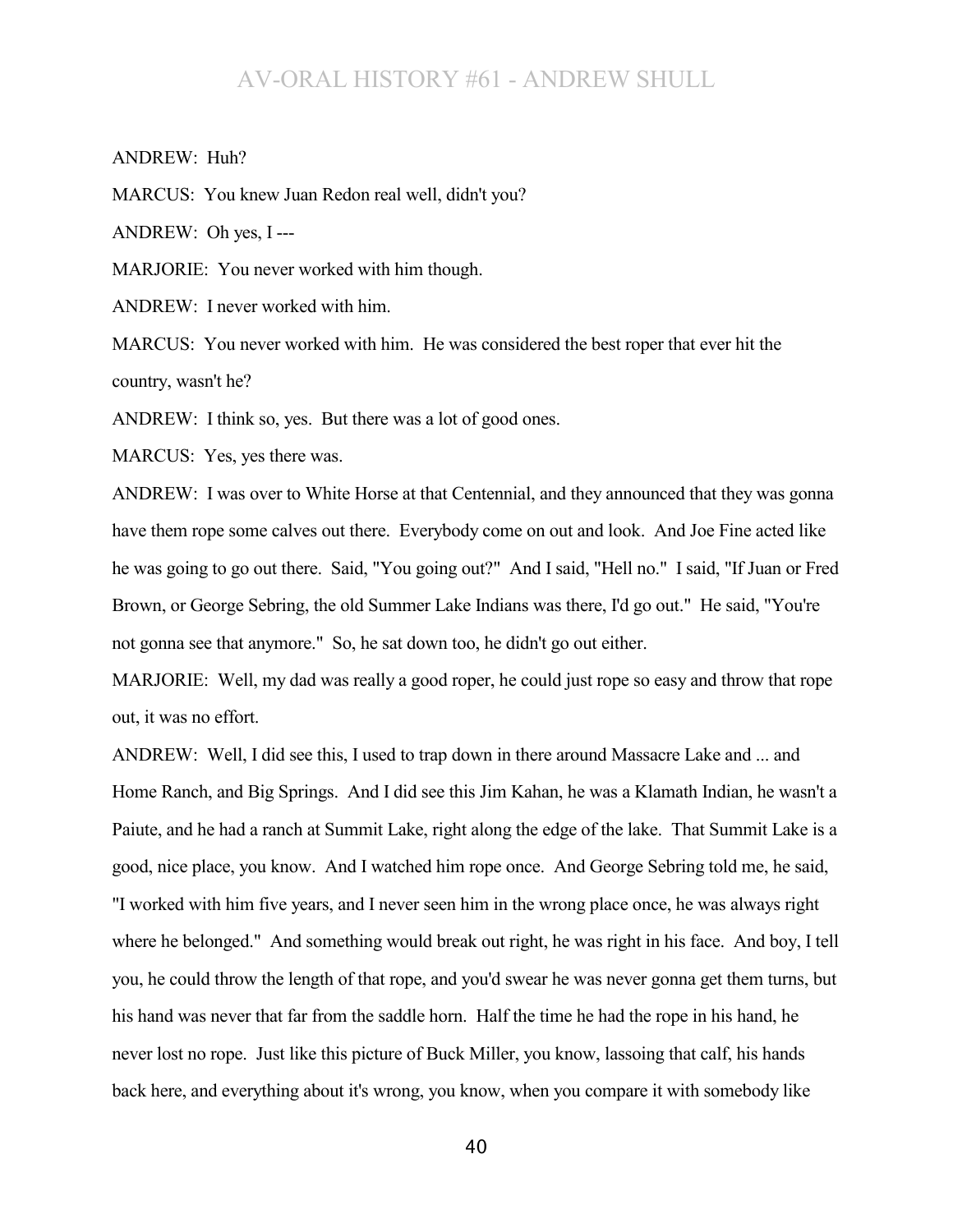ANDREW: Huh?

MARCUS: You knew Juan Redon real well, didn't you?

ANDREW: Oh yes, I ---

MARJORIE: You never worked with him though.

ANDREW: I never worked with him.

MARCUS: You never worked with him. He was considered the best roper that ever hit the country, wasn't he?

ANDREW: I think so, yes. But there was a lot of good ones.

MARCUS: Yes, yes there was.

ANDREW: I was over to White Horse at that Centennial, and they announced that they was gonna have them rope some calves out there. Everybody come on out and look. And Joe Fine acted like he was going to go out there. Said, "You going out?" And I said, "Hell no." I said, "If Juan or Fred Brown, or George Sebring, the old Summer Lake Indians was there, I'd go out." He said, "You're not gonna see that anymore." So, he sat down too, he didn't go out either.

MARJORIE: Well, my dad was really a good roper, he could just rope so easy and throw that rope out, it was no effort.

ANDREW: Well, I did see this, I used to trap down in there around Massacre Lake and ... and Home Ranch, and Big Springs. And I did see this Jim Kahan, he was a Klamath Indian, he wasn't a Paiute, and he had a ranch at Summit Lake, right along the edge of the lake. That Summit Lake is a good, nice place, you know. And I watched him rope once. And George Sebring told me, he said, "I worked with him five years, and I never seen him in the wrong place once, he was always right where he belonged." And something would break out right, he was right in his face. And boy, I tell you, he could throw the length of that rope, and you'd swear he was never gonna get them turns, but his hand was never that far from the saddle horn. Half the time he had the rope in his hand, he never lost no rope. Just like this picture of Buck Miller, you know, lassoing that calf, his hands back here, and everything about it's wrong, you know, when you compare it with somebody like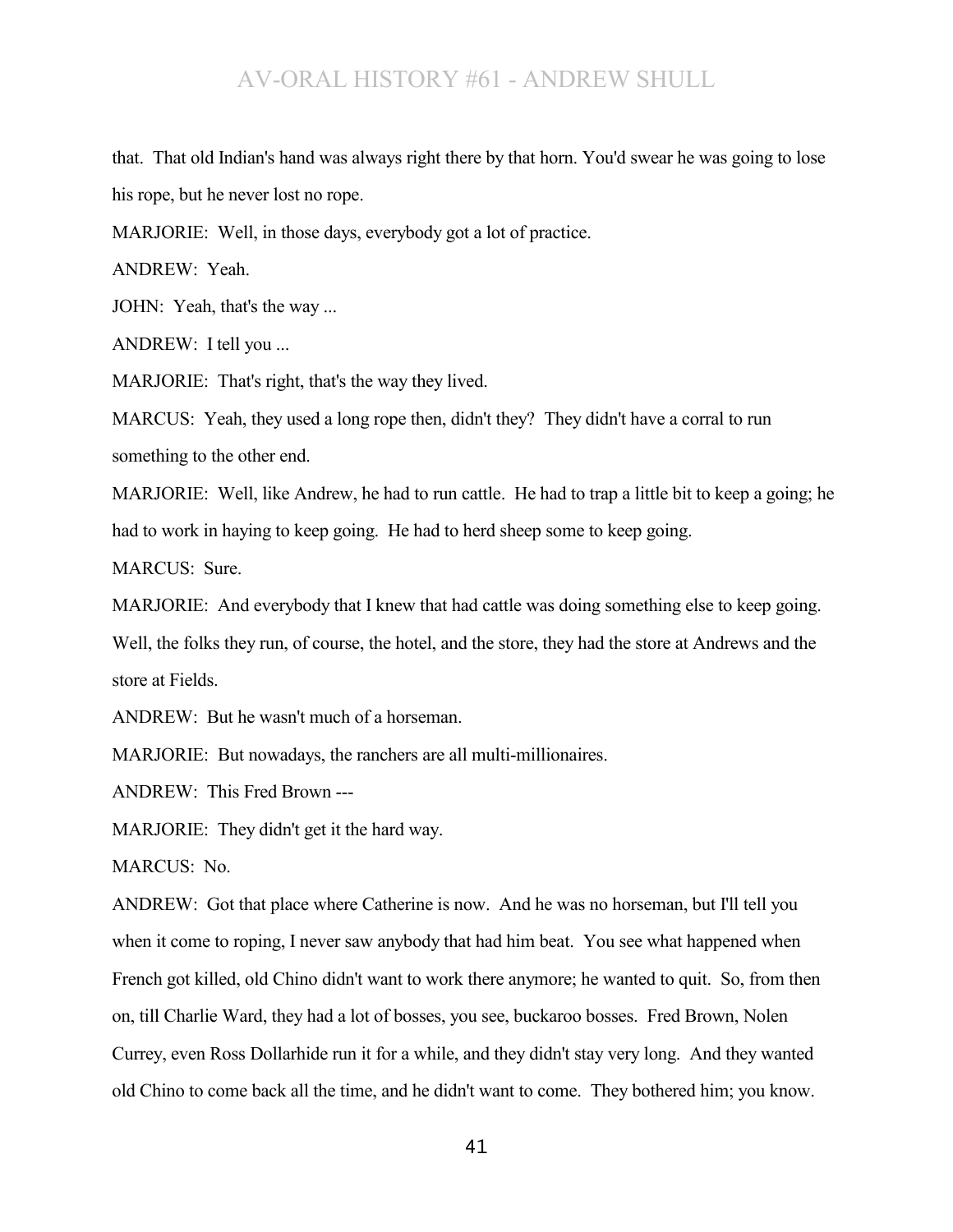that. That old Indian's hand was always right there by that horn. You'd swear he was going to lose his rope, but he never lost no rope.

MARJORIE: Well, in those days, everybody got a lot of practice.

ANDREW: Yeah.

JOHN: Yeah, that's the way ...

ANDREW: I tell you ...

MARJORIE: That's right, that's the way they lived.

MARCUS: Yeah, they used a long rope then, didn't they? They didn't have a corral to run something to the other end.

MARJORIE: Well, like Andrew, he had to run cattle. He had to trap a little bit to keep a going; he had to work in haying to keep going. He had to herd sheep some to keep going.

MARCUS: Sure.

MARJORIE: And everybody that I knew that had cattle was doing something else to keep going. Well, the folks they run, of course, the hotel, and the store, they had the store at Andrews and the store at Fields.

ANDREW: But he wasn't much of a horseman.

MARJORIE: But nowadays, the ranchers are all multi-millionaires.

ANDREW: This Fred Brown ---

MARJORIE: They didn't get it the hard way.

MARCUS: No.

ANDREW: Got that place where Catherine is now. And he was no horseman, but I'll tell you when it come to roping, I never saw anybody that had him beat. You see what happened when French got killed, old Chino didn't want to work there anymore; he wanted to quit. So, from then on, till Charlie Ward, they had a lot of bosses, you see, buckaroo bosses. Fred Brown, Nolen Currey, even Ross Dollarhide run it for a while, and they didn't stay very long. And they wanted old Chino to come back all the time, and he didn't want to come. They bothered him; you know.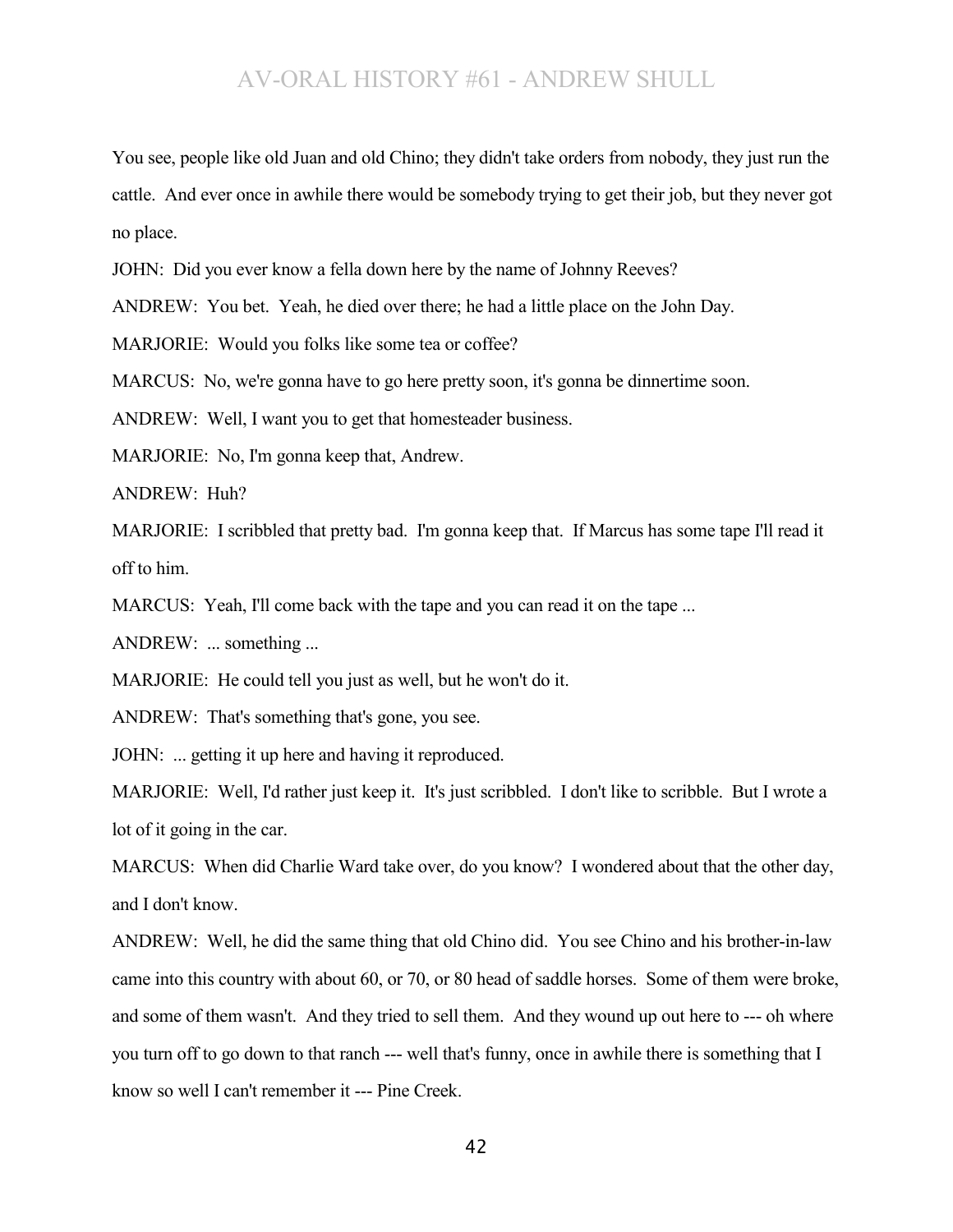You see, people like old Juan and old Chino; they didn't take orders from nobody, they just run the cattle. And ever once in awhile there would be somebody trying to get their job, but they never got no place.

JOHN: Did you ever know a fella down here by the name of Johnny Reeves?

ANDREW: You bet. Yeah, he died over there; he had a little place on the John Day.

MARJORIE: Would you folks like some tea or coffee?

MARCUS: No, we're gonna have to go here pretty soon, it's gonna be dinnertime soon.

ANDREW: Well, I want you to get that homesteader business.

MARJORIE: No, I'm gonna keep that, Andrew.

ANDREW: Huh?

MARJORIE: I scribbled that pretty bad. I'm gonna keep that. If Marcus has some tape I'll read it off to him.

MARCUS: Yeah, I'll come back with the tape and you can read it on the tape ...

ANDREW: ... something ...

MARJORIE: He could tell you just as well, but he won't do it.

ANDREW: That's something that's gone, you see.

JOHN: ... getting it up here and having it reproduced.

MARJORIE: Well, I'd rather just keep it. It's just scribbled. I don't like to scribble. But I wrote a lot of it going in the car.

MARCUS: When did Charlie Ward take over, do you know? I wondered about that the other day, and I don't know.

ANDREW: Well, he did the same thing that old Chino did. You see Chino and his brother-in-law came into this country with about 60, or 70, or 80 head of saddle horses. Some of them were broke, and some of them wasn't. And they tried to sell them. And they wound up out here to --- oh where you turn off to go down to that ranch --- well that's funny, once in awhile there is something that I know so well I can't remember it --- Pine Creek.